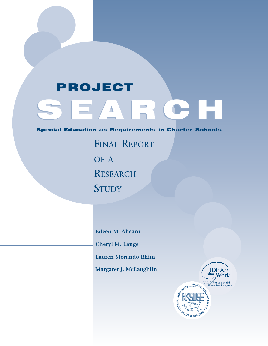# PROJECT

# $\equiv$   $\land$   $\parallel$   $\equiv$   $\land$   $\parallel$   $\equiv$   $\land$   $\parallel$   $\equiv$

#### Special Education as Requirements in Charter Schools

FINAL REPORT OF A **RESEARCH STUDY** 

**Eileen M. Ahearn**

**Cheryl M. Lange**

**Lauren Morando Rhim**

**Margaret J. McLaughlin**

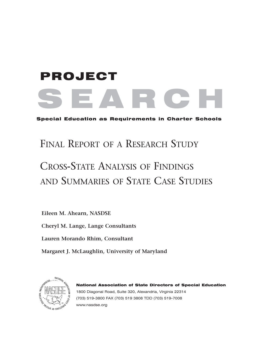# SEARCH PROJECT

Special Education as Requirements in Charter Schools

# FINAL REPORT OF A RESEARCH STUDY

# CROSS-STATE ANALYSIS OF FINDINGS AND SUMMARIES OF STATE CASE STUDIES

**Eileen M. Ahearn, NASDSE**

**Cheryl M. Lange, Lange Consultants**

**Lauren Morando Rhim, Consultant**

**Margaret J. McLaughlin, University of Maryland**



National Association of State Directors of Special Education 1800 Diagonal Road, Suite 320, Alexandria, Virginia 22314 (703) 519-3800 FAX (703) 519 3808 TDD (703) 519-7008 www.nasdse.org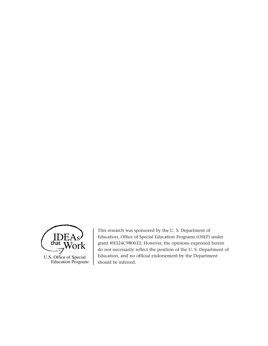

This research was sponsored by the U. S. Department of Education, Office of Special Education Programs (OSEP) under grant #H324C980032. However, the opinions expressed herein do not necessarily reflect the position of the U. S. Department of Education, and no official endorsement by the Department should be inferred.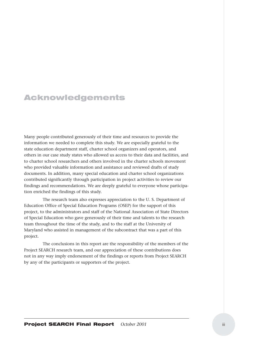#### Acknowledgements

Many people contributed generously of their time and resources to provide the information we needed to complete this study. We are especially grateful to the state education department staff, charter school organizers and operators, and others in our case study states who allowed us access to their data and facilities, and to charter school researchers and others involved in the charter schools movement who provided valuable information and assistance and reviewed drafts of study documents. In addition, many special education and charter school organizations contributed significantly through participation in project activities to review our findings and recommendations. We are deeply grateful to everyone whose participation enriched the findings of this study.

The research team also expresses appreciation to the U. S. Department of Education Office of Special Education Programs (OSEP) for the support of this project, to the administrators and staff of the National Association of State Directors of Special Education who gave generously of their time and talents to the research team throughout the time of the study, and to the staff at the University of Maryland who assisted in management of the subcontract that was a part of this project.

The conclusions in this report are the responsibility of the members of the Project SEARCH research team, and our appreciation of these contributions does not in any way imply endorsement of the findings or reports from Project SEARCH by any of the participants or supporters of the project.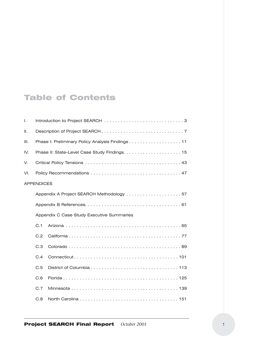### Table of Contents

| Τ.                |                                                  |  |  |
|-------------------|--------------------------------------------------|--|--|
| Ш.                |                                                  |  |  |
| III.              | Phase I: Preliminary Policy Analysis Findings 11 |  |  |
| IV.               |                                                  |  |  |
| V.                |                                                  |  |  |
| VI.               |                                                  |  |  |
| <b>APPENDICES</b> |                                                  |  |  |
|                   |                                                  |  |  |
|                   |                                                  |  |  |
|                   | Appendix C Case Study Executive Summaries        |  |  |
|                   | C.1                                              |  |  |
|                   | C.2                                              |  |  |
|                   | C.3                                              |  |  |
|                   | C.4                                              |  |  |
|                   | C.5                                              |  |  |
|                   | C.6                                              |  |  |
|                   | C.7                                              |  |  |
|                   | C.8                                              |  |  |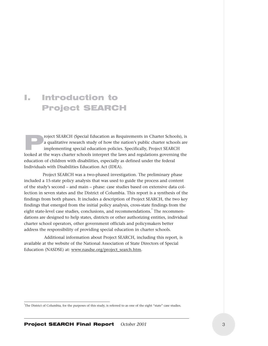### I. Introduction to Project SEARCH

roject SEARCH (Special Education as Requirements in Charter Schools), is<br>a qualitative research study of how the nation's public charter schools are<br>implementing special education policies. Specifically, Project SEARCH<br>loo a qualitative research study of how the nation's public charter schools are implementing special education policies. Specifically, Project SEARCH looked at the ways charter schools interpret the laws and regulations governing the education of children with disabilities, especially as defined under the federal Individuals with Disabilities Education Act (IDEA).

Project SEARCH was a two-phased investigation. The preliminary phase included a 15-state policy analysis that was used to guide the process and content of the study's second – and main – phase: case studies based on extensive data collection in seven states and the District of Columbia. This report is a synthesis of the findings from both phases. It includes a description of Project SEARCH, the two key findings that emerged from the initial policy analysis, cross-state findings from the eight state-level case studies, conclusions, and recommendations.<sup>1</sup> The recommendations are designed to help states, districts or other authorizing entities, individual charter school operators, other government officials and policymakers better address the responsibility of providing special education in charter schools.

Additional information about Project SEARCH, including this report, is available at the website of the National Association of State Directors of Special Education (NASDSE) at: www.nasdse.org/project\_search.htm.

<sup>&</sup>lt;sup>1</sup>The District of Columbia, for the purposes of this study, is referred to as one of the eight "state" case studies.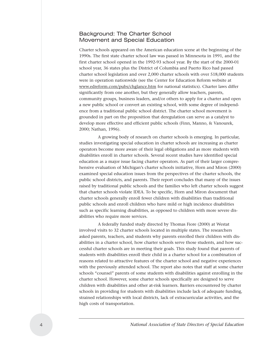#### Background: The Charter School Movement and Special Education

Charter schools appeared on the American education scene at the beginning of the 1990s. The first state charter school law was passed in Minnesota in 1991, and the first charter school opened in the 1992-93 school year. By the start of the 2000-01 school year, 36 states plus the District of Columbia and Puerto Rico had passed charter school legislation and over 2,000 charter schools with over 518,000 students were in operation nationwide (see the Center for Education Reform website at www.edreform.com/pubs/chglance.htm for national statistics). Charter laws differ significantly from one another, but they generally allow teachers, parents, community groups, business leaders, and/or others to apply for a charter and open a new public school or convert an existing school, with some degree of independence from a traditional public school district. The charter school movement is grounded in part on the proposition that deregulation can serve as a catalyst to develop more effective and efficient public schools (Finn, Manno, & Vanourek, 2000; Nathan, 1996).

A growing body of research on charter schools is emerging. In particular, studies investigating special education in charter schools are increasing as charter operators become more aware of their legal obligations and as more students with disabilities enroll in charter schools. Several recent studies have identified special education as a major issue facing charter operators. As part of their larger comprehensive evaluation of Michigan's charter schools initiative, Horn and Miron (2000) examined special education issues from the perspectives of the charter schools, the public school districts, and parents. Their report concludes that many of the issues raised by traditional public schools and the families who left charter schools suggest that charter schools violate IDEA. To be specific, Horn and Miron document that charter schools generally enroll fewer children with disabilities than traditional public schools and enroll children who have mild or high incidence disabilities such as specific learning disabilities, as opposed to children with more severe disabilities who require more services.

A federally funded study directed by Thomas Fiore (2000) at Westat involved visits to 32 charter schools located in multiple states. The researchers asked parents, teachers, and students why parents enrolled their children with disabilities in a charter school, how charter schools serve those students, and how successful charter schools are in meeting their goals. This study found that parents of students with disabilities enroll their child in a charter school for a combination of reasons related to attractive features of the charter school and negative experiences with the previously attended school. The report also notes that staff at some charter schools "counsel" parents of some students with disabilities against enrolling in the charter school. However, some charter schools specifically are designed to serve children with disabilities and other at-risk learners. Barriers encountered by charter schools in providing for students with disabilities include lack of adequate funding, strained relationships with local districts, lack of extracurricular activities, and the high costs of transportation.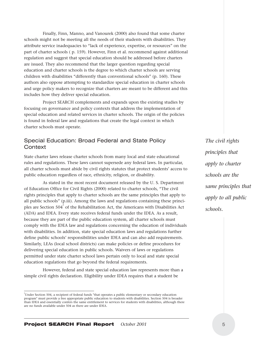Finally, Finn, Manno, and Vanourek (2000) also found that some charter schools might not be meeting all the needs of their students with disabilities. They attribute service inadequacies to "lack of experience, expertise, or resources" on the part of charter schools ( p. 159). However, Finn et al. recommend against additional regulation and suggest that special education should be addressed before charters are issued. They also recommend that the larger question regarding special education and charter schools is the degree to which charter schools are serving children with disabilities "differently than conventional schools" (p. 160). These authors also oppose attempting to standardize special education in charter schools and urge policy makers to recognize that charters are meant to be different and this includes how they deliver special education.

Project SEARCH complements and expands upon the existing studies by focusing on governance and policy contexts that address the implementation of special education and related services in charter schools. The origin of the policies is found in federal law and regulations that create the legal context in which charter schools must operate.

#### Special Education: Broad Federal and State Policy **Context**

State charter laws release charter schools from many local and state educational rules and regulations. These laws cannot supersede any federal laws. In particular, all charter schools must abide by civil rights statutes that protect students' access to public education regardless of race, ethnicity, religion, or disability.

As stated in the most recent document released by the U. S. Department of Education Office for Civil Rights (2000) related to charter schools, "The civil rights principles that apply to charter schools are the same principles that apply to all public schools" (p.iii). Among the laws and regulations containing these principles are Section 504 $^{2}$  of the Rehabilitation Act, the Americans with Disabilities Act (ADA) and IDEA. Every state receives federal funds under the IDEA. As a result, because they are part of the public education system, all charter schools must comply with the IDEA law and regulations concerning the education of individuals with disabilities. In addition, state special education laws and regulations further define public schools' responsibilities under IDEA and can also add requirements. Similarly, LEAs (local school districts) can make policies or define procedures for delivering special education in public schools. Waivers of laws or regulations permitted under state charter school laws pertain only to local and state special education regulations that go beyond the federal requirements.

However, federal and state special education law represents more than a simple civil rights declaration. Eligibility under IDEA requires that a student be

*The civil rights principles that apply to charter schools are the same principles that apply to all public schools.*

<sup>2</sup> Under Section 504, a recipient of federal funds "that operates a public elementary or secondary education program" must provide a free appropriate public education to students with disabilities. Section 504 is broader than IDEA and essentially confers the same entitlement to services for students with disabilities, although there are no funds available under 504 as there are under IDEA.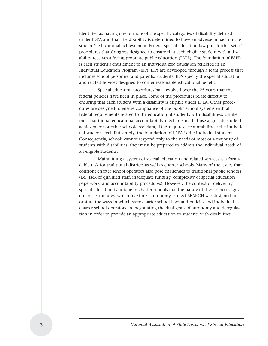identified as having one or more of the specific categories of disability defined under IDEA and that the disability is determined to have an adverse impact on the student's educational achievement. Federal special education law puts forth a set of procedures that Congress designed to ensure that each eligible student with a disability receives a free appropriate public education (FAPE). The foundation of FAPE is each student's entitlement to an individualized education reflected in an Individual Education Program (IEP). IEPs are developed through a team process that includes school personnel and parents. Students' IEPs specify the special education and related services designed to confer reasonable educational benefit.

Special education procedures have evolved over the 25 years that the federal policies have been in place. Some of the procedures relate directly to ensuring that each student with a disability is eligible under IDEA. Other procedures are designed to ensure compliance of the public school systems with all federal requirements related to the education of students with disabilities. Unlike most traditional educational accountability mechanisms that use aggregate student achievement or other school-level data, IDEA requires accountability at the individual student level. Put simply, the foundation of IDEA is the individual student. Consequently, schools cannot respond only to the needs of most or a majority of students with disabilities; they must be prepared to address the individual needs of all eligible students.

Maintaining a system of special education and related services is a formidable task for traditional districts as well as charter schools. Many of the issues that confront charter school operators also pose challenges to traditional public schools (i.e., lack of qualified staff, inadequate funding, complexity of special education paperwork, and accountability procedures). However, the context of delivering special education is unique in charter schools due the nature of these schools' governance structures, which maximize autonomy. Project SEARCH was designed to capture the ways in which state charter school laws and policies and individual charter school operators are negotiating the dual goals of autonomy and deregulation in order to provide an appropriate education to students with disabilities.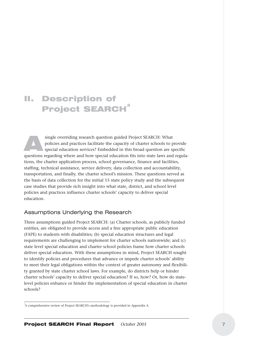## II. Description of Project SEARCH<sup>3</sup>

single overriding research question guided Project SEARCH: What<br>policies and practices facilitate the capacity of charter schools to p<br>special education services? Embedded in this broad question are s<br>questions regarding w policies and practices facilitate the capacity of charter schools to provide special education services? Embedded in this broad question are specific questions regarding where and how special education fits into state laws and regulations, the charter application process, school governance, finance and facilities, staffing, technical assistance, service delivery, data collection and accountability, transportation, and finally, the charter school's mission. These questions served as the basis of data collection for the initial 15 state policy study and the subsequent case studies that provide rich insight into what state, district, and school level policies and practices influence charter schools' capacity to deliver special education.

#### Assumptions Underlying the Research

Three assumptions guided Project SEARCH: (a) Charter schools, as publicly funded entities, are obligated to provide access and a free appropriate public education (FAPE) to students with disabilities; (b) special education structures and legal requirements are challenging to implement for charter schools nationwide; and (c) state level special education and charter school policies frame how charter schools deliver special education. With these assumptions in mind, Project SEARCH sought to identify policies and procedures that advance or impede charter schools' ability to meet their legal obligations within the context of greater autonomy and flexibility granted by state charter school laws. For example, do districts help or hinder charter schools' capacity to deliver special education? If so, how? Or, how do statelevel policies enhance or hinder the implementation of special education in charter schools?

<sup>&</sup>lt;sup>3</sup>A comprehensive review of Project SEARCH's methodology is provided in Appendix A.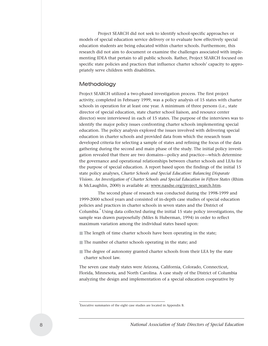Project SEARCH did not seek to identify school-specific approaches or models of special education service delivery or to evaluate how effectively special education students are being educated within charter schools. Furthermore, this research did not aim to document or examine the challenges associated with implementing IDEA that pertain to all public schools. Rather, Project SEARCH focused on specific state policies and practices that influence charter schools' capacity to appropriately serve children with disabilities.

#### Methodology

Project SEARCH utilized a two-phased investigation process. The first project activity, completed in February 1999, was a policy analysis of 15 states with charter schools in operation for at least one year. A minimum of three persons (i.e., state director of special education, state charter school liaison, and resource center director) were interviewed in each of 15 states. The purpose of the interviews was to identify the major policy issues confronting charter schools implementing special education. The policy analysis explored the issues involved with delivering special education in charter schools and provided data from which the research team developed criteria for selecting a sample of states and refining the focus of the data gathering during the second and main phase of the study. The initial policy investigation revealed that there are two domains—policy and practice—which determine the governance and operational relationships between charter schools and LEAs for the purpose of special education. A report based upon the findings of the initial 15 state policy analyses, *Charter Schools and Special Education: Balancing Disparate Visions. An Investigation of Charter Schools and Special Education in Fifteen States* (Rhim & McLaughlin, 2000) is available at: www.nasdse.org/project\_search.htm.

The second phase of research was conducted during the 1998-1999 and 1999-2000 school years and consisted of in-depth case studies of special education policies and practices in charter schools in seven states and the District of Columbia.<sup>4</sup> Using data collected during the initial 15 state policy investigations, the sample was drawn purposefully (Miles & Huberman, 1994) in order to reflect maximum variation among the individual states based upon:

- The length of time charter schools have been operating in the state;
- The number of charter schools operating in the state; and
- The degree of autonomy granted charter schools from their LEA by the state charter school law.

The seven case study states were Arizona, California, Colorado, Connecticut, Florida, Minnesota, and North Carolina. A case study of the District of Columbia analyzing the design and implementation of a special education cooperative by

<sup>4</sup> Executive summaries of the eight case studies are located in Appendix B.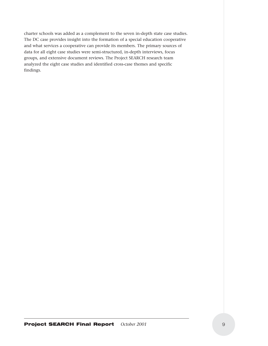charter schools was added as a complement to the seven in-depth state case studies. The DC case provides insight into the formation of a special education cooperative and what services a cooperative can provide its members. The primary sources of data for all eight case studies were semi-structured, in-depth interviews, focus groups, and extensive document reviews. The Project SEARCH research team analyzed the eight case studies and identified cross-case themes and specific findings.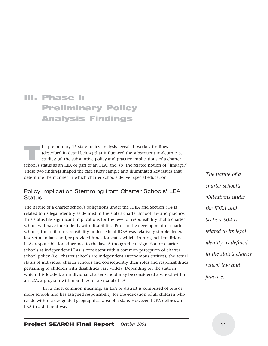# III. Phase I: Preliminary Policy Analysis Findings

The preliminary 15 state policy analysis revealed two key findings<br>(described in detail below) that influenced the subsequent in-dep<br>studies: (a) the substantive policy and practice implications of a<br>school's status as an (described in detail below) that influenced the subsequent in-depth case studies: (a) the substantive policy and practice implications of a charter school's status as an LEA or part of an LEA, and, (b) the related notion of "linkage." These two findings shaped the case study sample and illuminated key issues that determine the manner in which charter schools deliver special education.

#### Policy Implication Stemming from Charter Schools' LEA **Status**

The nature of a charter school's obligations under the IDEA and Section 504 is related to its legal identity as defined in the state's charter school law and practice. This status has significant implications for the level of responsibility that a charter school will have for students with disabilities. Prior to the development of charter schools, the trail of responsibility under federal IDEA was relatively simple: federal law set mandates and/or provided funds for states which, in turn, held traditional LEAs responsible for adherence to the law. Although the designation of charter schools as independent LEAs is consistent with a common perception of charter school policy (i.e., charter schools are independent autonomous entities), the actual status of individual charter schools and consequently their roles and responsibilities pertaining to children with disabilities vary widely. Depending on the state in which it is located, an individual charter school may be considered a school within an LEA, a program within an LEA, or a separate LEA.

In its most common meaning, an LEA or district is comprised of one or more schools and has assigned responsibility for the education of all children who reside within a designated geographical area of a state. However, IDEA defines an LEA in a different way:

*The nature of a charter school's obligations under the IDEA and Section 504 is related to its legal identity as defined in the state's charter school law and practice.*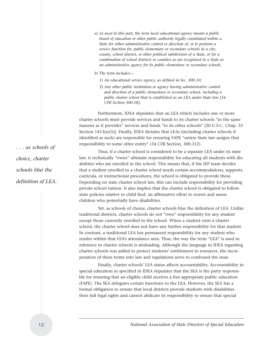*a) As used in this part, the term local educational agency means a public board of education or other public authority legally constituted within a State for either administrative control or direction of, or to perform a service function for, public elementary or secondary schools in a city, county, school district, or other political subdivision of a State, or for a combination of school districts or counties as are recognized in a State as an administrative agency for its public elementary or secondary schools.*

*b) The term includes—*

- *1) An educational service agency, as defined in Sec. 300.10;*
- *2) Any other public institution or agency having administrative control and direction of a public elementary or secondary school, including a public charter school that is established as an LEA under State law [34 CFR Section 300.18].*

Furthermore, IDEA stipulates that an LEA which includes one or more charter schools must provide services and funds to its charter schools "in the same manner as it provides" services and funds "to its other schools" [20 U.S.C. Chap. 33 Section  $1413(a)(5)$ ]. Finally, IDEA dictates that LEAs (including charter schools if identified as such) are responsible for ensuring FAPE "unless State law assigns that responsibility to some other entity" (34 CFR Section. 300.312).

Thus, if a charter school is considered to be a separate LEA under its state law, it technically "owns" ultimate responsibility for educating all students with disabilities who are enrolled in the school. This means that, if the IEP team decides that a student enrolled in a charter school needs certain accommodations, supports, curricula, or instructional procedures, the school is obligated to provide these. Depending on state charter school law, this can include responsibility for providing private school tuition. It also implies that the charter school is obligated to follow state policies relative to child find: an affirmative effort to screen and assess children who potentially have disabilities.

Yet, as schools of choice, charter schools blur the definition of LEA. Unlike traditional districts, charter schools do not "own" responsibility for any student except those currently enrolled in the school. When a student exits a charter school, the charter school does not have any further responsibility for that student. In contrast, a traditional LEA has permanent responsibility for any student who resides within that LEA's attendance area. Thus, the way the term "LEA" is used in reference to charter schools is misleading. Although the language in IDEA regarding charter schools was added to protect students' entitlement to resources, the incorporation of these terms into law and regulations serve to confound the issue.

Finally, charter schools' LEA status affects accountability. Accountability in special education as specified in IDEA stipulates that the SEA is the party responsible for ensuring that an eligible child receives a free appropriate public education (FAPE). The SEA delegates certain functions to the LEA. However, the SEA has a formal obligation to ensure that local districts provide students with disabilities their full legal rights and cannot abdicate its responsibility to ensure that special

*. . . as schools of choice, charter schools blur the definition of LEA.*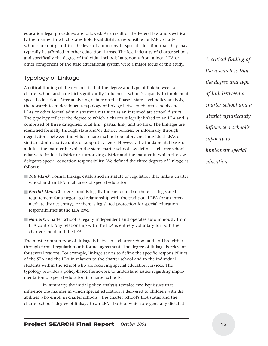education legal procedures are followed. As a result of the federal law and specifically the manner in which states hold local districts responsible for FAPE, charter schools are not permitted the level of autonomy in special education that they may typically be afforded in other educational areas. The legal identity of charter schools and specifically the degree of individual schools' autonomy from a local LEA or other component of the state educational system were a major focus of this study.

#### Typology of Linkage

A critical finding of the research is that the degree and type of link between a charter school and a district significantly influence a school's capacity to implement special education. After analyzing data from the Phase I state level policy analysis, the research team developed a typology of linkage between charter schools and LEAs or other formal administrative units such as an intermediate school district. The typology reflects the degree to which a charter is legally linked to an LEA and is comprised of three categories: total-link, partial-link, and no-link. The linkages are identified formally through state and/or district policies, or informally through negotiations between individual charter school operators and individual LEAs or similar administrative units or support systems. However, the fundamental basis of a link is the manner in which the state charter school law defines a charter school relative to its local district or authorizing district and the manner in which the law delegates special education responsibility. We defined the three degrees of linkage as follows:

- *Total-Link:* Formal linkage established in statute or regulation that links a charter school and an LEA in all areas of special education;
- **Partial-Link:** Charter school is legally independent, but there is a legislated requirement for a negotiated relationship with the traditional LEA (or an intermediate district entity), or there is legislated protection for special education responsibilities at the LEA level;
- *No-Link*: Charter school is legally independent and operates autonomously from LEA control. Any relationship with the LEA is entirely voluntary for both the charter school and the LEA.

The most common type of linkage is between a charter school and an LEA, either through formal regulation or informal agreement. The degree of linkage is relevant for several reasons. For example, linkage serves to define the specific responsibilities of the SEA and the LEA in relation to the charter school and to the individual students within the school who are receiving special education services. The typology provides a policy-based framework to understand issues regarding implementation of special education in charter schools.

In summary, the initial policy analysis revealed two key issues that influence the manner in which special education is delivered to children with disabilities who enroll in charter schools—the charter school's LEA status and the charter school's degree of linkage to an LEA—both of which are generally dictated *A critical finding of the research is that the degree and type of link between a charter school and a district significantly influence a school's capacity to implement special education.*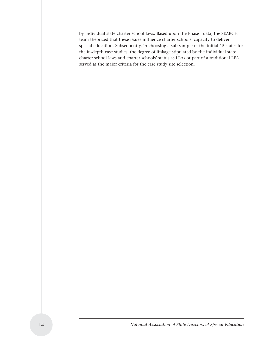by individual state charter school laws. Based upon the Phase I data, the SEARCH team theorized that these issues influence charter schools' capacity to deliver special education. Subsequently, in choosing a sub-sample of the initial 15 states for the in-depth case studies, the degree of linkage stipulated by the individual state charter school laws and charter schools' status as LEAs or part of a traditional LEA served as the major criteria for the case study site selection.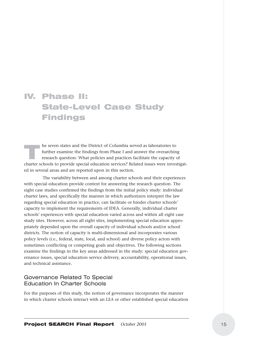## IV. Phase II: State-Level Case Study Findings

The seven states and the District of Columbia served as laboratories to<br>further examine the findings from Phase I and answer the overarchir<br>research question: What policies and practices facilitate the capacity<br>charter sch further examine the findings from Phase I and answer the overarching research question: What policies and practices facilitate the capacity of charter schools to provide special education services? Related issues were investigated in several areas and are reported upon in this section.

The variability between and among charter schools and their experiences with special education provide context for answering the research question. The eight case studies confirmed the findings from the initial policy study: individual charter laws, and specifically the manner in which authorizers interpret the law regarding special education in practice, can facilitate or hinder charter schools' capacity to implement the requirements of IDEA. Generally, individual charter schools' experiences with special education varied across and within all eight case study sites. However, across all eight sites, implementing special education appropriately depended upon the overall capacity of individual schools and/or school districts. The notion of capacity is multi-dimensional and incorporates various policy levels (i.e., federal, state, local, and school) and diverse policy actors with sometimes conflicting or competing goals and objectives. The following sections examine the findings in the key areas addressed in the study: special education governance issues, special education service delivery, accountability, operational issues, and technical assistance.

#### Governance Related To Special Education In Charter Schools

For the purposes of this study, the notion of governance incorporates the manner in which charter schools interact with an LEA or other established special education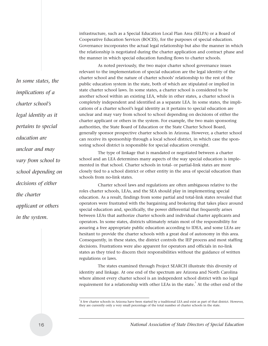infrastructure, such as a Special Education Local Plan Area (SELPA) or a Board of Cooperative Education Services (BOCES), for the purposes of special education. Governance incorporates the actual legal relationship but also the manner in which the relationship is negotiated during the charter application and contract phase and the manner in which special education funding flows to charter schools.

As noted previously, the two major charter school governance issues relevant to the implementation of special education are the legal identity of the charter school and the nature of charter schools' relationship to the rest of the public education system in the state, both of which are stipulated or implied in state charter school laws. In some states, a charter school is considered to be another school within an existing LEA, while in other states, a charter school is completely independent and identified as a separate LEA. In some states, the implications of a charter school's legal identity as it pertains to special education are unclear and may vary from school to school depending on decisions of either the charter applicant or others in the system. For example, the two main sponsoring authorities, the State Board of Education or the State Charter School Board, generally sponsor prospective charter schools in Arizona. However, a charter school can receive its sponsorship through a local school district, in which case the sponsoring school district is responsible for special education oversight.

The type of linkage that is mandated or negotiated between a charter school and an LEA determines many aspects of the way special education is implemented in that school. Charter schools in total- or partial-link states are more closely tied to a school district or other entity in the area of special education than schools from no-link states.

Charter school laws and regulations are often ambiguous relative to the roles charter schools, LEAs, and the SEA should play in implementing special education. As a result, findings from some partial and total-link states revealed that operators were frustrated with the bargaining and brokering that takes place around special education and, specifically, the power differential that frequently arises between LEAs that authorize charter schools and individual charter applicants and operators. In some states, districts ultimately retain most of the responsibility for assuring a free appropriate public education according to IDEA, and some LEAs are hesitant to provide the charter schools with a great deal of autonomy in this area. Consequently, in these states, the district controls the IEP process and most staffing decisions. Frustrations were also apparent for operators and officials in no-link states as they tried to discern their responsibilities without the guidance of written regulations or laws.

The states examined through Project SEARCH illustrate this diversity of identity and linkage. At one end of the spectrum are Arizona and North Carolina where almost every charter school is an independent school district with no legal requirement for a relationship with other LEAs in the state.<sup>5</sup> At the other end of the

*In some states, the implications of a charter school's legal identity as it pertains to special education are unclear and may vary from school to school depending on decisions of either the charter applicant or others in the system.* 

<sup>5</sup> A few charter schools in Arizona have been started by a traditional LEA and exist as part of that district. However, they are currently only a very small percentage of the total number of charter schools in the state.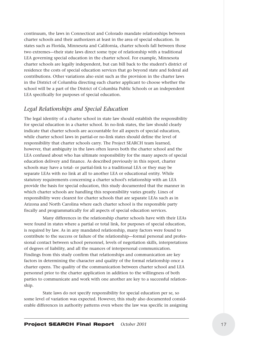continuum, the laws in Connecticut and Colorado mandate relationships between charter schools and their authorizers at least in the area of special education. In states such as Florida, Minnesota and California, charter schools fall between those two extremes—their state laws direct some type of relationship with a traditional LEA governing special education in the charter school. For example, Minnesota charter schools are legally independent, but can bill back to the student's district of residence the costs of special education services that go beyond state and federal aid contributions. Other variations also exist such as the provision in the charter laws in the District of Columbia directing each charter applicant to choose whether the school will be a part of the District of Columbia Public Schools or an independent LEA specifically for purposes of special education.

#### *Legal Relationships and Special Education*

The legal identity of a charter school in state law should establish the responsibility for special education in a charter school. In no-link states, the law should clearly indicate that charter schools are accountable for all aspects of special education, while charter school laws in partial-or no-link states should define the level of responsibility that charter schools carry. The Project SEARCH team learned, however, that ambiguity in the laws often leaves both the charter school and the LEA confused about who has ultimate responsibility for the many aspects of special education delivery and finance. As described previously in this report, charter schools may have a total- or partial-link to a traditional LEA or they may be separate LEAs with no link at all to another LEA or educational entity. While statutory requirements concerning a charter school's relationship with an LEA provide the basis for special education, this study documented that the manner in which charter schools are handling this responsibility varies greatly. Lines of responsibility were clearest for charter schools that are separate LEAs such as in Arizona and North Carolina where each charter school is the responsible party fiscally and programmatically for all aspects of special education services.

Many differences in the relationship charter schools have with their LEAs were found in states where a partial or total link, for purposes of special education, is required by law. As in any mandated relationship, many factors were found to contribute to the success or failure of the relationship—formal personal and professional contact between school personnel, levels of negotiation skills, interpretations of degrees of liability, and all the nuances of interpersonal communication. Findings from this study confirm that relationships and communication are key factors in determining the character and quality of the formal relationship once a charter opens. The quality of the communication between charter school and LEA personnel prior to the charter application in addition to the willingness of both parties to communicate and work with one another are key to a successful relationship.

State laws do not specify responsibility for special education per se, so some level of variation was expected. However, this study also documented considerable differences in authority patterns even where the law was specific in assigning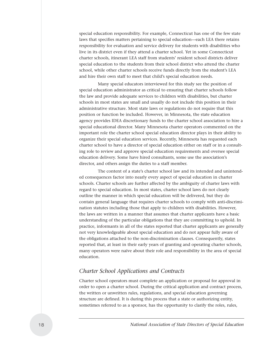special education responsibility. For example, Connecticut has one of the few state laws that specifies matters pertaining to special education—each LEA there retains responsibility for evaluation and service delivery for students with disabilities who live in its district even if they attend a charter school. Yet in some Connecticut charter schools, itinerant LEA staff from students' resident school districts deliver special education to the students from their school district who attend the charter school, while other charter schools receive funds directly from the student's LEA and hire their own staff to meet that child's special education needs.

Many special educators interviewed for this study see the position of special education administrator as critical to ensuring that charter schools follow the law and provide adequate services to children with disabilities, but charter schools in most states are small and usually do not include this position in their administrative structure. Most state laws or regulations do not require that this position or function be included. However, in Minnesota, the state education agency provides IDEA discretionary funds to the charter school association to hire a special educational director. Many Minnesota charter operators commented on the important role the charter school special education director plays in their ability to organize their special education services. Recently, Minnesota has requested each charter school to have a director of special education either on staff or in a consulting role to review and approve special education requirements and oversee special education delivery. Some have hired consultants, some use the association's director, and others assign the duties to a staff member.

The content of a state's charter school law and its intended and unintended consequences factor into nearly every aspect of special education in charter schools. Charter schools are further affected by the ambiguity of charter laws with regard to special education. In most states, charter school laws do not clearly outline the manner in which special education will be delivered, but they do contain general language that requires charter schools to comply with anti-discrimination statutes including those that apply to children with disabilities. However, the laws are written in a manner that assumes that charter applicants have a basic understanding of the particular obligations that they are committing to uphold. In practice, informants in all of the states reported that charter applicants are generally not very knowledgeable about special education and do not appear fully aware of the obligations attached to the non-discrimination clauses. Consequently, states reported that, at least in their early years of granting and operating charter schools, many operators were naïve about their role and responsibility in the area of special education.

#### *Charter School Applications and Contracts*

Charter school operators must complete an application or proposal for approval in order to open a charter school. During the critical application and contract process, the written or unwritten rules, regulations, and special education governing structure are defined. It is during this process that a state or authorizing entity, sometimes referred to as a sponsor, has the opportunity to clarify the roles, rules,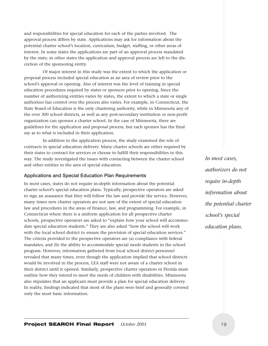and responsibilities for special education for each of the parties involved. The approval process differs by state. Applications may ask for information about the potential charter school's location, curriculum, budget, staffing, or other areas of interest. In some states the applications are part of an approval process mandated by the state; in other states the application and approval process are left to the discretion of the sponsoring entity.

Of major interest in this study was the extent to which the application or proposal process included special education as an area of review prior to the school's approval or opening. Also of interest was the level of training in special education procedures required by states or sponsors prior to opening. Since the number of authorizing entities varies by states, the extent to which a state or single authorizer has control over the process also varies. For example, in Connecticut, the State Board of Education is the only chartering authority, while in Minnesota any of the over 300 school districts, as well as any post-secondary institution or non-profit organization can sponsor a charter school. In the case of Minnesota, there are guidelines for the application and proposal process, but each sponsor has the final say as to what is included in their application.

In addition to the application process, the study examined the role of contracts in special education delivery. Many charter schools are either required by their states to contract for services or choose to fulfill their responsibilities in this way. The study investigated the issues with contacting between the charter school and other entities in the area of special education.

#### Applications and Special Education Plan Requirements

In most cases, states do not require in-depth information about the potential charter school's special education plans. Typically, prospective operators are asked to sign an assurance that they will follow the law and provide the service. However, many times new charter operators are not sure of the extent of special education law and procedures in the areas of finance, law, and programming. For example, in Connecticut where there is a uniform application for all prospective charter schools, prospective operators are asked to "explain how your school will accommodate special education students." They are also asked "how the school will work with the local school district to ensure the provision of special education services." The criteria provided to the prospective operators are (a) compliance with federal mandates, and (b) the ability to accommodate special needs students in the school program. However, information gathered from local school district personnel revealed that many times, even though the application implied that school districts would be involved in the process, LEA staff were not aware of a charter school in their district until it opened. Similarly, prospective charter operators in Florida must outline how they intend to meet the needs of children with disabilities. Minnesota also stipulates that an applicant must provide a plan for special education delivery. In reality, findings indicated that most of the plans were brief and generally covered only the most basic information.

*In most cases, authorizers do not require in-depth information about the potential charter school's special education plans.*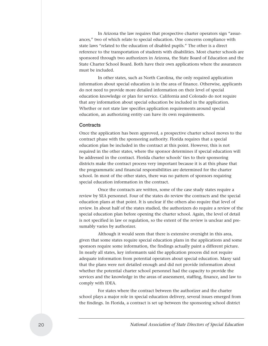In Arizona the law requires that prospective charter operators sign "assurances," two of which relate to special education. One concerns compliance with state laws "related to the education of disabled pupils." The other is a direct reference to the transportation of students with disabilities. Most charter schools are sponsored through two authorizers in Arizona, the State Board of Education and the State Charter School Board. Both have their own applications where the assurances must be included.

In other states, such as North Carolina, the only required application information about special education is in the area of finance. Otherwise, applicants do not need to provide more detailed information on their level of special education knowledge or plan for service. California and Colorado do not require that any information about special education be included in the application. Whether or not state law specifies application requirements around special education, an authorizing entity can have its own requirements.

#### **Contracts**

Once the application has been approved, a prospective charter school moves to the contract phase with the sponsoring authority. Florida requires that a special education plan be included in the contract at this point. However, this is not required in the other states, where the sponsor determines if special education will be addressed in the contract. Florida charter schools' ties to their sponsoring districts make the contract process very important because it is at this phase that the programmatic and financial responsibilities are determined for the charter school. In most of the other states, there was no pattern of sponsors requiring special education information in the contract.

Once the contracts are written, some of the case study states require a review by SEA personnel. Four of the states do review the contracts and the special education plans at that point. It is unclear if the others also require that level of review. In about half of the states studied, the authorizers do require a review of the special education plan before opening the charter school. Again, the level of detail is not specified in law or regulation, so the extent of the review is unclear and presumably varies by authorizer.

Although it would seem that there is extensive oversight in this area, given that some states require special education plans in the applications and some sponsors require some information, the findings actually paint a different picture. In nearly all states, key informants said the application process did not require adequate information from potential operators about special education. Many said that the plans were not detailed enough and did not provide information about whether the potential charter school personnel had the capacity to provide the services and the knowledge in the areas of assessment, staffing, finance, and law to comply with IDEA.

For states where the contract between the authorizer and the charter school plays a major role in special education delivery, several issues emerged from the findings. In Florida, a contract is set up between the sponsoring school district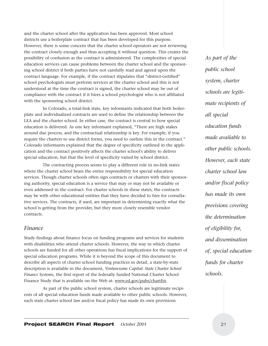and the charter school after the application has been approved. Most school districts use a boilerplate contract that has been developed for this purpose. However, there is some concern that the charter school operators are not reviewing the contract closely enough and thus accepting it without question. This creates the possibility of confusion as the contract is administered. The complexities of special education services can cause problems between the charter school and the sponsoring school district if both parties have not carefully read and agreed upon the contract language. For example, if the contract stipulates that "district-certified" school psychologists must perform services at the charter school and this is not understood at the time the contract is signed, the charter school may be out of compliance with the contract if it hires a school psychologist who is not affiliated with the sponsoring school district.

In Colorado, a total-link state, key informants indicated that both boilerplate and individualized contracts are used to define the relationship between the LEA and the charter school. In either case, the contract is central to how special education is delivered. As one key informant explained, "There are high stakes around due process, and the contractual relationship is key. For example, if you require the charters to use district forms, you need to outline this in the contract." Colorado informants explained that the degree of specificity outlined in the application and the contract positively affects the charter school's ability to deliver special education, but that the level of specificity varied by school district.

The contracting process seems to play a different role in no-link states where the charter school bears the entire responsibility for special education services. Though charter schools often sign contracts or charters with their sponsoring authority, special education is a service that may or may not be available or even addressed in the contract. For charter schools in these states, the contracts may be with other educational entities that they have decided to hire for consultative services. The contracts, if used, are important in determining exactly what the school is getting from the provider, but they more closely resemble vendor contracts.

#### *Finance*

Study findings about finance focus on funding programs and services for students with disabilities who attend charter schools. However, the way in which charter schools are funded for all other operations has fiscal implications for the support of special education programs. While it is beyond the scope of this document to describe all aspects of charter school funding practices in detail, a state-by-state description is available in the document, *Venturesome Capital: State Charter School Finance Systems*, the first report of the federally funded National Charter School Finance Study that is available on the Web at: www.ed.gov/pubs/chartfin.

As part of the public school system, charter schools are legitimate recipients of all special education funds made available to other public schools. However, each state charter school law and/or fiscal policy has made its own provisions

*As part of the public school system, charter schools are legitimate recipients of all special education funds made available to other public schools. However, each state charter school law and/or fiscal policy has made its own provisions covering the determination of eligibility for, and dissemination of, special education funds for charter schools.*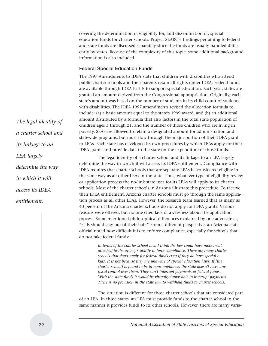covering the determination of eligibility for, and dissemination of, special education funds for charter schools. Project SEARCH findings pertaining to federal and state funds are discussed separately since the funds are usually handled differently by states. Because of the complexity of this topic, some additional background information is also included.

#### Federal Special Education Funds

The 1997 Amendments to IDEA state that children with disabilities who attend public charter schools and their parents retain all rights under IDEA. Federal funds are available through IDEA Part B to support special education. Each year, states are granted an amount derived from the Congressional appropriation. Originally, each state's amount was based on the number of students in its child count of students with disabilities. The IDEA 1997 amendments revised the allocation formula to include: (a) a basic amount equal to the state's 1999 award, and (b) an additional amount distributed by a formula that also factors in the total state population of children ages 3 through 21, and the number of those children who are living in poverty. SEAs are allowed to retain a designated amount for administration and statewide programs, but must flow through the major portion of their IDEA grant to LEAs. Each state has developed its own procedures by which LEAs apply for their IDEA grants and provide data to the state on the expenditure of those funds.

The legal identity of a charter school and its linkage to an LEA largely determine the way in which it will access its IDEA entitlement. Compliance with IDEA requires that charter schools that are separate LEAs be considered eligible in the same way as all other LEAs in the state. Thus, whatever type of eligibility review or application process the no-link state uses for its LEAs will apply to its charter schools. Most of the charter schools in Arizona illustrate this procedure. To receive their IDEA entitlement, Arizona charter schools must go through the same application process as all other LEAs. However, the research team learned that as many as 40 percent of the Arizona charter schools do not apply for IDEA grants. Various reasons were offered, but no one cited lack of awareness about the application process. Some mentioned philosophical differences explained by one advocate as, "Feds should stay out of their hair." From a different perspective, an Arizona state official noted how difficult it is to enforce compliance, especially for schools that do not take federal funds:

> *In terms of the charter school law, I think the law could have more meat attached to the agency's ability to force compliance. There are many charter schools that don't apply for federal funds even if they do have special e. kids. It is not because they are unaware of special education laws. If [the charter school] is found to be in noncompliance, the state doesn't have any fiscal control over them. They can't interrupt payments of federal funds. With the state funds it would be virtually impossible to interrupt payments. There is no provision in the state law to withhold funds to charter schools.*

The situation is different for those charter schools that are considered part of an LEA. In those states, an LEA must provide funds to the charter school in the same manner it provides funds to its other schools. However, there are many varia-

*The legal identity of a charter school and its linkage to an LEA largely determine the way in which it will access its IDEA entitlement.*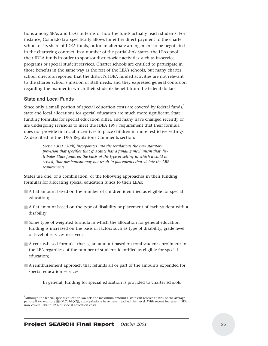tions among SEAs and LEAs in terms of how the funds actually reach students. For instance, Colorado law specifically allows for either direct payment to the charter school of its share of IDEA funds, or for an alternate arrangement to be negotiated in the chartering contract. In a number of the partial-link states, the LEAs pool their IDEA funds in order to sponsor district-wide activities such as in-service programs or special student services. Charter schools are entitled to participate in those benefits in the same way as the rest of the LEA's schools, but many charter school directors reported that the district's IDEA funded activities are not relevant to the charter school's mission or staff needs, and they expressed general confusion regarding the manner in which their students benefit from the federal dollars.

#### State and Local Funds

Since only a small portion of special education costs are covered by federal funds,<sup>6</sup> state and local allocations for special education are much more significant. State funding formulas for special education differ, and many have changed recently or are undergoing revisions to meet the IDEA 1997 requirement that their formula does not provide financial incentives to place children in more restrictive settings. As described in the IDEA Regulations Comments section:

> *Section 300.130(b) incorporates into the regulations the new statutory provision that specifies that if a State has a funding mechanism that distributes State funds on the basis of the type of setting in which a child is served, that mechanism may not result in placements that violate the LRE requirements.*

States use one, or a combination, of the following approaches in their funding formulas for allocating special education funds to their LEAs:

- A flat amount based on the number of children identified as eligible for special education;
- A flat amount based on the type of disability or placement of each student with a disability;
- Some type of weighted formula in which the allocation for general education funding is increased on the basis of factors such as type of disability, grade level, or level of services received;
- A census-based formula, that is, an amount based on total student enrollment in the LEA regardless of the number of students identified as eligible for special education;
- A reimbursement approach that refunds all or part of the amounts expended for special education services.
	- In general, funding for special education is provided to charter schools

<sup>6</sup> Although the federal special education law sets the maximum amount a state can receive at 40% of the average per-pupil expenditure [§300.701(b)(2)], appropriations have never reached that level. With recent increases, IDEA now covers 10% to 12% of special education costs.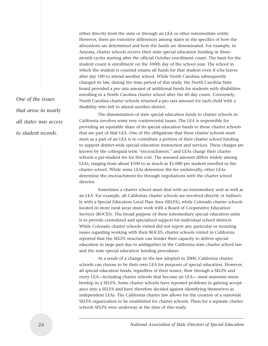either directly from the state or through an LEA or other intermediate entity. However, there are extensive differences among states in the specifics of how the allocations are determined and how the funds are disseminated. For example, in Arizona, charter schools receive their state special education funding in threemonth cycles starting after the official October enrollment count. The basis for the student count is enrollment on the 100th day of the school year. The school in which the student is counted retains all funds for that student even if s/he leaves after day 100 to attend another school. While North Carolina subsequently changed its law, during the time period of this study, the North Carolina State board provided a pro rata amount of additional funds for students with disabilities enrolling in a North Carolina charter school after the 60 day count. Conversely, North Carolina charter schools returned a pro rata amount for each child with a disability who left to attend another district.

The dissemination of state special education funds to charter schools in California involves some very controversial issues. The LEA is responsible for providing an equitable share of its special education funds to those charter schools that are part of that LEA. One of the obligations that these charter schools must meet as a part of an LEA is to contribute a portion of their charter school funding to support district-wide special education instruction and services. These charges are known by the colloquial term "encroachment," and LEAs charge their charter schools a per-student fee for this cost. The assessed amount differs widely among LEAs, ranging from about \$100 to as much as \$1,000 per student enrolled in the charter school. While some LEAs determine the fee unilaterally, other LEAs determine the encroachment fee through negotiations with the charter school director.

Sometimes a charter school must deal with an intermediary unit as well as an LEA. For example, all California charter schools are involved directly or indirectly with a Special Education Local Plan Area (SELPA), while Colorado charter schools located in more rural areas must work with a Board of Cooperative Education Services (BOCES). The broad purpose of these intermediary special education units is to provide centralized and specialized support for individual school districts. While Colorado charter schools visited did not report any particular or recurring issues regarding working with their BOCES, charter schools visited in California reported that the SELPA structure can hinder their capacity to deliver special education in large part due to ambiguities in the California state charter school law and the state special education funding procedures.

As a result of a change in the law adopted in 2000, California charter schools can choose to be their own LEA for purposes of special education. However, all special education funds, regardless of their source, flow through a SELPA and every LEA—including charter schools that become an LEA— must maintain membership in a SELPA. Some charter schools have reported problems in gaining acceptance into a SELPA and have therefore decided against identifying themselves as independent LEAs. The California charter law allows for the creation of a statewide SELPA organization to be established for charter schools. Plans for a separate charter schools SELPA were underway at the time of this study.

*One of the issues that arose in nearly all states was access to student records.*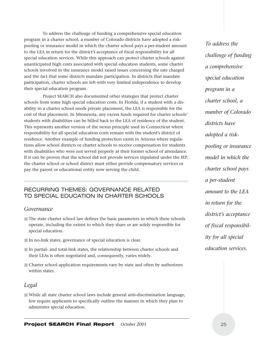To address the challenge of funding a comprehensive special education program in a charter school, a number of Colorado districts have adopted a riskpooling or insurance model in which the charter school pays a per-student amount to the LEA in return for the district's acceptance of fiscal responsibility for all special education services. While this approach can protect charter schools against unanticipated high costs associated with special education students, some charter schools involved in the insurance model raised issues concerning the rate charged and the fact that some districts mandate participation. In districts that mandate participation, charter schools are left with very limited independence to develop their special education program.

Project SEARCH also documented other strategies that protect charter schools from some high special education costs. In Florida, if a student with a disability in a charter school needs private placement, the LEA is responsible for the cost of that placement. In Minnesota, any excess funds required for charter schools' students with disabilities can be billed back to the LEA of residence of the student. This represents another version of the nexus principle used in Connecticut where responsibility for all special education costs remain with the student's district of residence. Another example of funding protection exists in Arizona where regulations allow school districts or charter schools to receive compensation for students with disabilities who were not served properly at their former school of attendance. If it can be proven that the school did not provide services stipulated under the IEP, the charter school or school district must either provide compensatory services or pay the parent or educational entity now serving the child.

#### RECURRING THEMES: GOVERNANCE RELATED TO SPECIAL EDUCATION IN CHARTER SCHOOLS

#### *Governance*

- The state charter school law defines the basic parameters in which these schools operate, including the extent to which they share or are solely responsible for special education.
- In no-link states, governance of special education is clear.
- In partial- and total-link states, the relationship between charter schools and their LEAs is often negotiated and, consequently, varies widely.
- Charter school application requirements vary by state and often by authorizers within states.

#### *Legal*

■ While all state charter school laws include general anti-discrimination language, few require applicants to specifically outline the manner in which they plan to administer special education.

*To address the challenge of funding a comprehensive special education program in a charter school, a number of Colorado districts have adopted a riskpooling or insurance model in which the charter school pays a per-student amount to the LEA in return for the district's acceptance of fiscal responsibility for all special education services.*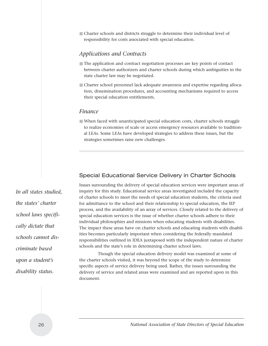■ Charter schools and districts struggle to determine their individual level of responsibility for costs associated with special education.

#### *Applications and Contracts*

- The application and contract negotiation processes are key points of contact between charter authorizers and charter schools during which ambiguities in the state charter law may be negotiated.
- Charter school personnel lack adequate awareness and expertise regarding allocation, dissemination procedures, and accounting mechanisms required to access their special education entitlements.

#### *Finance*

■ When faced with unanticipated special education costs, charter schools struggle to realize economies of scale or access emergency resources available to traditional LEAs. Some LEAs have developed strategies to address these issues, but the strategies sometimes raise new challenges.

#### Special Educational Service Delivery in Charter Schools

Issues surrounding the delivery of special education services were important areas of inquiry for this study. Educational service areas investigated included the capacity of charter schools to meet the needs of special education students, the criteria used for admittance to the school and their relationship to special education, the IEP process, and the availability of an array of services. Closely related to the delivery of special education services is the issue of whether charter schools adhere to their individual philosophies and missions when educating students with disabilities. The impact these areas have on charter schools and educating students with disabilities becomes particularly important when considering the federally mandated responsibilities outlined in IDEA juxtaposed with the independent nature of charter schools and the state's role in determining charter school laws.

Though the special education delivery model was examined at some of the charter schools visited, it was beyond the scope of the study to determine specific aspects of service delivery being used. Rather, the issues surrounding the delivery of service and related areas were examined and are reported upon in this document.

*In all states studied, the states' charter school laws specifically dictate that schools cannot discriminate based upon a student's disability status.*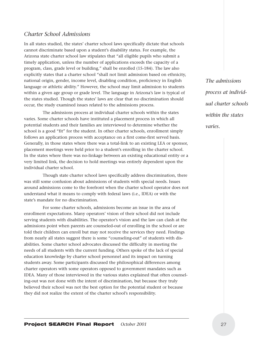#### *Charter School Admissions*

In all states studied, the states' charter school laws specifically dictate that schools cannot discriminate based upon a student's disability status. For example, the Arizona state charter school law stipulates that "all eligible pupils who submit a timely application, unless the number of applications exceeds the capacity of a program, class, grade level or building," shall be enrolled (15-184). The law also explicitly states that a charter school "shall not limit admission based on ethnicity, national origin, gender, income level, disabling condition, proficiency in English language or athletic ability." However, the school may limit admission to students within a given age group or grade level. The language in Arizona's law is typical of the states studied. Though the states' laws are clear that no discrimination should occur, the study examined issues related to the admissions process.

The admissions process at individual charter schools within the states varies. Some charter schools have instituted a placement process in which all potential students and their families are interviewed to determine whether the school is a good "fit" for the student. In other charter schools, enrollment simply follows an application process with acceptance on a first come-first served basis. Generally, in those states where there was a total-link to an existing LEA or sponsor, placement meetings were held prior to a student's enrolling in the charter school. In the states where there was no-linkage between an existing educational entity or a very limited link, the decision to hold meetings was entirely dependent upon the individual charter school.

Though state charter school laws specifically address discrimination, there was still some confusion about admissions of students with special needs. Issues around admissions come to the forefront when the charter school operator does not understand what it means to comply with federal laws (i.e., IDEA) or with the state's mandate for no discrimination.

For some charter schools, admissions become an issue in the area of enrollment expectations. Many operators' vision of their school did not include serving students with disabilities. The operator's vision and the law can clash at the admissions point when parents are counseled-out of enrolling in the school or are told their children can enroll but may not receive the services they need. Findings from nearly all states suggest there is some "counseling-out" of students with disabilities. Some charter school advocates discussed the difficulty in meeting the needs of all students with the current funding. Others spoke of the lack of special education knowledge by charter school personnel and its impact on turning students away. Some participants discussed the philosophical differences among charter operators with some operators opposed to government mandates such as IDEA. Many of those interviewed in the various states explained that often counseling-out was not done with the intent of discrimination, but because they truly believed their school was not the best option for the potential student or because they did not realize the extent of the charter school's responsibility.

*The admissions process at individual charter schools within the states varies.*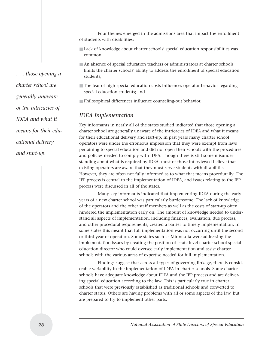Four themes emerged in the admissions area that impact the enrollment of students with disabilities:

- Lack of knowledge about charter schools' special education responsibilities was common;
- An absence of special education teachers or administrators at charter schools limits the charter schools' ability to address the enrollment of special education students;
- The fear of high special education costs influences operator behavior regarding special education students; and
- Philosophical differences influence counseling-out behavior.

#### *IDEA Implementation*

Key informants in nearly all of the states studied indicated that those opening a charter school are generally unaware of the intricacies of IDEA and what it means for their educational delivery and start-up. In past years many charter school operators were under the erroneous impression that they were exempt from laws pertaining to special education and did not open their schools with the procedures and policies needed to comply with IDEA. Though there is still some misunderstanding about what is required by IDEA, most of those interviewed believe that existing operators are aware that they must serve students with disabilities. However, they are often not fully informed as to what that means procedurally. The IEP process is central to the implementation of IDEA, and issues relating to the IEP process were discussed in all of the states.

Many key informants indicated that implementing IDEA during the early years of a new charter school was particularly burdensome. The lack of knowledge of the operators and the other staff members as well as the costs of start-up often hindered the implementation early on. The amount of knowledge needed to understand all aspects of implementation, including finances, evaluation, due process, and other procedural requirements, created a barrier to timely implementation. In some states this meant that full implementation was not occurring until the second or third year of operation. Some states such as Minnesota were addressing the implementation issues by creating the position of state-level charter school special education director who could oversee early implementation and assist charter schools with the various areas of expertise needed for full implementation.

Findings suggest that across all types of governing linkage, there is considerable variability in the implementation of IDEA in charter schools. Some charter schools have adequate knowledge about IDEA and the IEP process and are delivering special education according to the law. This is particularly true in charter schools that were previously established as traditional schools and converted to charter status. Others are having problems with all or some aspects of the law, but are prepared to try to implement other parts.

*. . . those opening a charter school are generally unaware of the intricacies of IDEA and what it means for their educational delivery and start-up.*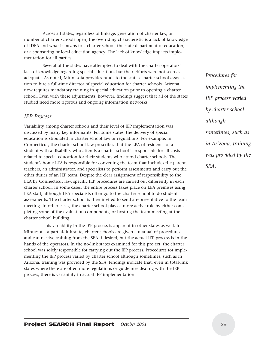Across all states, regardless of linkage, generation of charter law, or number of charter schools open, the overriding characteristic is a lack of knowledge of IDEA and what it means to a charter school, the state department of education, or a sponsoring or local education agency. The lack of knowledge impacts implementation for all parties.

Several of the states have attempted to deal with the charter operators' lack of knowledge regarding special education, but their efforts were not seen as adequate. As noted, Minnesota provides funds to the state's charter school association to hire a full-time director of special education for charter schools. Arizona now requires mandatory training in special education prior to opening a charter school. Even with these adjustments, however, findings suggest that all of the states studied need more rigorous and ongoing information networks.

#### *IEP Process*

Variability among charter schools and their level of IEP implementation was discussed by many key informants. For some states, the delivery of special education is stipulated in charter school law or regulations. For example, in Connecticut, the charter school law prescribes that the LEA of residence of a student with a disability who attends a charter school is responsible for all costs related to special education for their students who attend charter schools. The student's home LEA is responsible for convening the team that includes the parent, teachers, an administrator, and specialists to perform assessments and carry out the other duties of an IEP team. Despite the clear assignment of responsibility to the LEA by Connecticut law, specific IEP procedures are carried out differently in each charter school. In some cases, the entire process takes place on LEA premises using LEA staff, although LEA specialists often go to the charter school to do student assessments. The charter school is then invited to send a representative to the team meeting. In other cases, the charter school plays a more active role by either completing some of the evaluation components, or hosting the team meeting at the charter school building.

This variability in the IEP process is apparent in other states as well. In Minnesota, a partial-link state, charter schools are given a manual of procedures and can receive training from the SEA if desired, but the actual IEP process is in the hands of the operators. In the no-link states examined for this project, the charter school was solely responsible for carrying out the IEP process. Procedures for implementing the IEP process varied by charter school although sometimes, such as in Arizona, training was provided by the SEA. Findings indicate that, even in total-link states where there are often more regulations or guidelines dealing with the IEP process, there is variability in actual IEP implementation.

*Procedures for implementing the IEP process varied by charter school although sometimes, such as in Arizona, training was provided by the SEA.*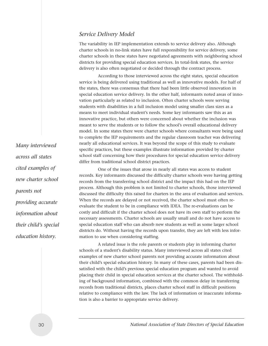#### *Service Delivery Model*

The variability in IEP implementation extends to service delivery also. Although charter schools in no-link states have full responsibility for service delivery, some charter schools in these states have negotiated agreements with neighboring school districts for providing special education services. In total-link states, the service delivery is also often negotiated or decided through the contract process.

According to those interviewed across the eight states, special education service is being delivered using traditional as well as innovative models. For half of the states, there was consensus that there had been little observed innovation in special education service delivery. In the other half, informants noted areas of innovation particularly as related to inclusion. Often charter schools were serving students with disabilities in a full inclusion model using smaller class sizes as a means to meet individual student's needs. Some key informants saw this as an innovative practice, but others were concerned about whether the inclusion was meant to serve the students or to follow the school's overall educational delivery model. In some states there were charter schools where consultants were being used to complete the IEP requirements and the regular classroom teacher was delivering nearly all educational services. It was beyond the scope of this study to evaluate specific practices, but these examples illustrate information provided by charter school staff concerning how their procedures for special education service delivery differ from traditional school district practices.

One of the issues that arose in nearly all states was access to student records. Key informants discussed the difficulty charter schools were having getting records from the transferring school district and the impact this had on the IEP process. Although this problem is not limited to charter schools, those interviewed discussed the difficulty this raised for charters in the area of evaluation and services. When the records are delayed or not received, the charter school must often reevaluate the student to be in compliance with IDEA. The re-evaluations can be costly and difficult if the charter school does not have its own staff to perform the necessary assessments. Charter schools are usually small and do not have access to special education staff who can absorb new students as well as some larger school districts do. Without having the records upon transfer, they are left with less information to use when considering staffing.

A related issue is the role parents or students play in informing charter schools of a student's disability status. Many interviewed across all states cited examples of new charter school parents not providing accurate information about their child's special education history. In many of these cases, parents had been dissatisfied with the child's previous special education program and wanted to avoid placing their child in special education services at the charter school. The withholding of background information, combined with the common delay in transferring records from traditional districts, places charter school staff in difficult positions relative to compliance with the law. The lack of information or inaccurate information is also a barrier to appropriate service delivery.

*Many interviewed across all states cited examples of new charter school parents not providing accurate information about their child's special education history.*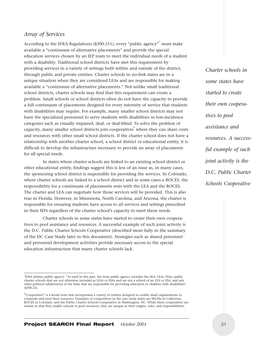#### *Array of Services*

According to the IDEA Regulations (§300.551), every "public agency" must make available a "continuum of alternative placements" and provide the special education services chosen by an IEP team to meet the individual needs of a student with a disability. Traditional school districts have met this requirement by providing services in a variety of settings both within and outside of the district, through public and private entities. Charter schools in no-link states are in a unique situation when they are considered LEAs and are responsible for making available a "continuum of alternative placements." Not unlike small traditional school districts, charter schools may find that this requirement can create a problem. Small schools or school districts often do not have the capacity to provide a full continuum of placements designed for every intensity of service that students with disabilities may require. For example, many smaller school districts may not have the specialized personnel to serve students with disabilities in low-incidence categories such as visually impaired, deaf, or deaf-blind. To solve the problem of capacity, many smaller school districts join cooperatives<sup>8</sup> where they can share costs and resources with other small school districts. If the charter school does not have a relationship with another charter school, a school district or educational entity, it is difficult to develop the infrastructure necessary to provide an array of placements for all special needs.

In states where charter schools are linked to an existing school district or other educational entity, findings suggest this is less of an issue as, in many cases, the sponsoring school district is responsible for providing the services. In Colorado, where charter schools are linked to a school district and in some cases a BOCES, the responsibility for a continuum of placements rests with the LEA and the BOCES. The charter and LEA can negotiate how those services will be provided. This is also true in Florida. However, in Minnesota, North Carolina, and Arizona, the charter is responsible for ensuring students have access to all services and settings prescribed in their IEPs regardless of the charter school's capacity to meet those needs.

Charter schools in some states have started to create their own cooperatives to pool assistance and resources. A successful example of such joint activity is the D.C. Public Charter Schools Cooperative (described more fully in the summary of the DC Case Study later in this document). Strategies such as shared personnel and personnel development activities provide necessary access to the special education infrastructure that many charter schools lack.

*Charter schools in some states have started to create their own cooperatives to pool assistance and resources. A successful example of such joint activity is the D.C. Public Charter Schools Cooperative*

<sup>7</sup> IDEA defines public agency: "As used in this part, the term public agency includes the SEA, LEAs, ESAs, public charter schools that are not otherwise included as LEAs or ESAs and are not a school of an LEA or ESA, and any other political subdivisions of the State that are responsible for providing education to children with disabilities" (§300.22).

<sup>&</sup>lt;sup>8</sup> Cooperative" is a broad term that incorporates a variety of entities designed to enable small organizations to cooperate and pool their resources. Examples of cooperatives in the case study states are SELPAs in California, BOCES in Colorado, and the Public Charter Schools Cooperative in Washington, DC. While these cooperatives are similar in that they enable schools to pool resources, they are unique in their origins, roles, and responsibilities.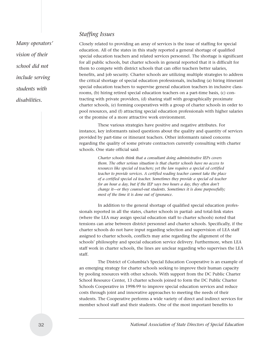#### *Staffing Issues*

*Many operators' vision of their school did not include serving students with disabilities.*

Closely related to providing an array of services is the issue of staffing for special education. All of the states in this study reported a general shortage of qualified special education teachers and related services personnel. The shortage is significant for all public schools, but charter schools in general reported that it is difficult for them to compete with district schools that can offer teachers better salaries, benefits, and job security. Charter schools are utilizing multiple strategies to address the critical shortage of special education professionals, including (a) hiring itinerant special education teachers to supervise general education teachers in inclusive classrooms, (b) hiring retired special education teachers on a part-time basis, (c) contracting with private providers, (d) sharing staff with geographically proximate charter schools, (e) forming cooperatives with a group of charter schools in order to pool resources, and (f) attracting special education professionals with higher salaries or the promise of a more attractive work environment.

These various strategies have positive and negative attributes. For instance, key informants raised questions about the quality and quantity of services provided by part-time or itinerant teachers. Other informants raised concerns regarding the quality of some private contractors currently consulting with charter schools. One state official said:

> *Charter schools think that a consultant doing administrative IEPs covers them. The other serious situation is that charter schools have no access to resources like special ed teachers; yet the law requires a special ed certified teacher to provide services. A certified reading teacher cannot take the place of a certified special ed teacher. Sometimes they provide a special ed teacher for an hour a day, but if the IEP says two hours a day, they often don't change it—or they counsel-out students. Sometimes it is done purposefully; most of the time it is done out of ignorance.*

In addition to the general shortage of qualified special education professionals reported in all the states, charter schools in partial- and total-link states (where the LEA may assign special education staff to charter schools) noted that tensions can arise between district personnel and charter schools. Specifically, if the charter schools do not have input regarding selection and supervision of LEA staff assigned to charter schools, conflicts may arise regarding the alignment of the schools' philosophy and special education service delivery. Furthermore, when LEA staff work in charter schools, the lines are unclear regarding who supervises the LEA staff.

The District of Columbia's Special Education Cooperative is an example of an emerging strategy for charter schools seeking to improve their human capacity by pooling resources with other schools. With support from the DC Public Charter School Resource Center, 13 charter schools joined to form the DC Public Charter Schools Cooperative in 1998-99 to improve special education services and reduce costs through joint and innovative approaches to meeting the needs of their students. The Cooperative performs a wide variety of direct and indirect services for member school staff and their students. One of the most important benefits to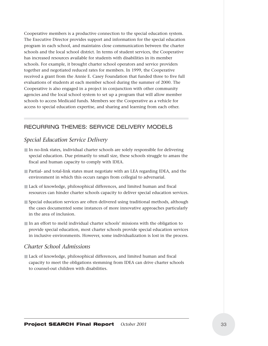Cooperative members is a productive connection to the special education system. The Executive Director provides support and information for the special education program in each school, and maintains close communication between the charter schools and the local school district. In terms of student services, the Cooperative has increased resources available for students with disabilities in its member schools. For example, it brought charter school operators and service providers together and negotiated reduced rates for members. In 1999, the Cooperative received a grant from the Annie E. Casey Foundation that funded three to five full evaluations of students at each member school during the summer of 2000. The Cooperative is also engaged in a project in conjunction with other community agencies and the local school system to set up a program that will allow member schools to access Medicaid funds. Members see the Cooperative as a vehicle for access to special education expertise, and sharing and learning from each other.

#### RECURRING THEMES: SERVICE DELIVERY MODELS

#### *Special Education Service Delivery*

- In no-link states, individual charter schools are solely responsible for delivering special education. Due primarily to small size, these schools struggle to amass the fiscal and human capacity to comply with IDEA.
- Partial- and total-link states must negotiate with an LEA regarding IDEA, and the environment in which this occurs ranges from collegial to adversarial.
- Lack of knowledge, philosophical differences, and limited human and fiscal resources can hinder charter schools capacity to deliver special education services.
- Special education services are often delivered using traditional methods, although the cases documented some instances of more innovative approaches particularly in the area of inclusion.
- In an effort to meld individual charter schools' missions with the obligation to provide special education, most charter schools provide special education services in inclusive environments. However, some individualization is lost in the process.

#### *Charter School Admissions*

■ Lack of knowledge, philosophical differences, and limited human and fiscal capacity to meet the obligations stemming from IDEA can drive charter schools to counsel-out children with disabilities.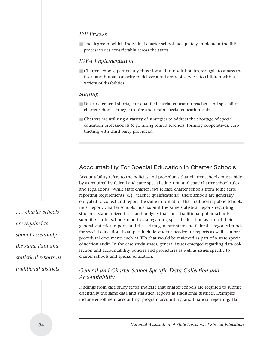#### *IEP Process*

■ The degree to which individual charter schools adequately implement the IEP process varies considerably across the states.

#### *IDEA Implementation*

■ Charter schools, particularly those located in no-link states, struggle to amass the fiscal and human capacity to deliver a full array of services to children with a variety of disabilities.

#### *Staffing*

- Due to a general shortage of qualified special education teachers and specialists, charter schools struggle to hire and retain special education staff.
- Charters are utilizing a variety of strategies to address the shortage of special education professionals (e.g., hiring retired teachers, forming cooperatives, contracting with third party providers).

#### Accountability For Special Education In Charter Schools

Accountability refers to the policies and procedures that charter schools must abide by as required by federal and state special education and state charter school rules and regulations. While state charter laws release charter schools from some state reporting requirements (e.g., teacher qualifications), these schools are generally obligated to collect and report the same information that traditional public schools must report. Charter schools must submit the same statistical reports regarding students, standardized tests, and budgets that most traditional public schools submit. Charter schools report data regarding special education as part of their general statistical reports and these data generate state and federal categorical funds for special education. Examples include student headcount reports as well as more procedural documents such as IEPs that would be reviewed as part of a state special education audit. In the case study states, general issues emerged regarding data collection and accountability policies and procedures as well as issues specific to charter schools and special education.

### *General and Charter School-Specific Data Collection and Accountability*

Findings from case study states indicate that charter schools are required to submit essentially the same data and statistical reports as traditional districts. Examples include enrollment accounting, program accounting, and financial reporting. Half

*. . . charter schools are required to submit essentially the same data and statistical reports as traditional districts.*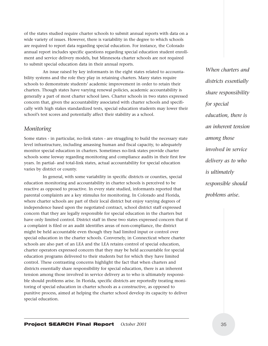of the states studied require charter schools to submit annual reports with data on a wide variety of issues. However, there is variability in the degree to which schools are required to report data regarding special education. For instance, the Colorado annual report includes specific questions regarding special education student enrollment and service delivery models, but Minnesota charter schools are not required to submit special education data in their annual reports.

An issue raised by key informants in the eight states related to accountability systems and the role they play in retaining charters. Many states require schools to demonstrate students' academic improvement in order to retain their charters. Though states have varying renewal policies, academic accountability is generally a part of most charter school laws. Charter schools in two states expressed concern that, given the accountability associated with charter schools and specifically with high stakes standardized tests, special education students may lower their school's test scores and potentially affect their stability as a school.

### *Monitoring*

Some states - in particular, no-link states - are struggling to build the necessary state level infrastructure, including amassing human and fiscal capacity, to adequately monitor special education in charters. Sometimes no-link states provide charter schools some leeway regarding monitoring and compliance audits in their first few years. In partial- and total-link states, actual accountability for special education varies by district or county.

In general, with some variability in specific districts or counties, special education monitoring and accountability in charter schools is perceived to be reactive as opposed to proactive. In every state studied, informants reported that parental complaints are a key stimulus for monitoring. In Colorado and Florida, where charter schools are part of their local district but enjoy varying degrees of independence based upon the negotiated contract, school district staff expressed concern that they are legally responsible for special education in the charters but have only limited control. District staff in these two states expressed concern that if a complaint is filed or an audit identifies areas of non-compliance, the district might be held accountable even though they had limited input or control over special education in the charter schools. Conversely, in Connecticut where charter schools are also part of an LEA and the LEA retains control of special education, charter operators expressed concern that they may be held accountable for special education programs delivered to their students but for which they have limited control. These contrasting concerns highlight the fact that when charters and districts essentially share responsibility for special education, there is an inherent tension among those involved in service delivery as to who is ultimately responsible should problems arise. In Florida, specific districts are reportedly treating monitoring of special education in charter schools as a constructive, as opposed to punitive process, aimed at helping the charter school develop its capacity to deliver special education.

*When charters and districts essentially share responsibility for special education, there is an inherent tension among those involved in service delivery as to who is ultimately responsible should problems arise.*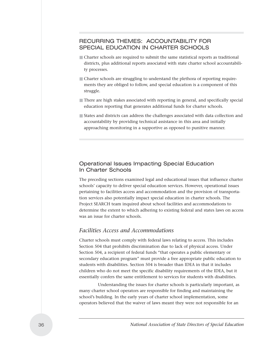## RECURRING THEMES: ACCOUNTABILITY FOR SPECIAL EDUCATION IN CHARTER SCHOOLS

- Charter schools are required to submit the same statistical reports as traditional districts, plus additional reports associated with state charter school accountability processes.
- Charter schools are struggling to understand the plethora of reporting requirements they are obliged to follow, and special education is a component of this struggle.
- There are high stakes associated with reporting in general, and specifically special education reporting that generates additional funds for charter schools.
- States and districts can address the challenges associated with data collection and accountability by providing technical assistance in this area and initially approaching monitoring in a supportive as opposed to punitive manner.

#### Operational Issues Impacting Special Education In Charter Schools

The preceding sections examined legal and educational issues that influence charter schools' capacity to deliver special education services. However, operational issues pertaining to facilities access and accommodation and the provision of transportation services also potentially impact special education in charter schools. The Project SEARCH team inquired about school facilities and accommodations to determine the extent to which adhering to existing federal and states laws on access was an issue for charter schools.

### *Facilities Access and Accommodations*

Charter schools must comply with federal laws relating to access. This includes Section 504 that prohibits discrimination due to lack of physical access. Under Section 504, a recipient of federal funds "that operates a public elementary or secondary education program" must provide a free appropriate public education to students with disabilities. Section 504 is broader than IDEA in that it includes children who do not meet the specific disability requirements of the IDEA, but it essentially confers the same entitlement to services for students with disabilities.

Understanding the issues for charter schools is particularly important, as many charter school operators are responsible for finding and maintaining the school's building. In the early years of charter school implementation, some operators believed that the waiver of laws meant they were not responsible for an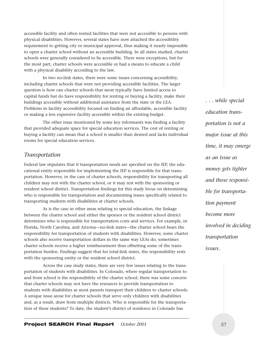accessible facility and often rented facilities that were not accessible to persons with physical disabilities. However, several states have now attached the accessibility requirement to getting city or municipal approval, thus making it nearly impossible to open a charter school without an accessible building. In all states studied, charter schools were generally considered to be accessible. There were exceptions, but for the most part, charter schools were accessible or had a means to educate a child with a physical disability according to the law.

In two no-link states, there were some issues concerning accessibility, including charter schools that were not providing accessible facilities. The larger question is how can charter schools that most typically have limited access to capital funds but do have responsibility for renting or buying a facility, make their buildings accessible without additional assistance from the state or the LEA. Problems in facility accessibility focused on finding an affordable, accessible facility or making a less expensive facility accessible within the existing budget.

The other issue mentioned by some key informants was finding a facility that provided adequate space for special education services. The cost of renting or buying a facility can mean that a school is smaller than desired and lacks individual rooms for special education services.

#### *Transportation*

Federal law stipulates that if transportation needs are specified on the IEP, the educational entity responsible for implementing the IEP is responsible for that transportation. However, in the case of charter schools, responsibility for transporting all children may rest with the charter school, or it may rest with the sponsoring or resident school district. Transportation findings for this study focus on determining who is responsible for transportation and documenting issues specifically related to transporting students with disabilities at charter schools.

As is the case in other areas relating to special education, the linkage between the charter school and either the sponsor or the resident school district determines who is responsible for transportation costs and services. For example, in Florida, North Carolina, and Arizona—no-link states—the charter school bears the responsibility for transportation of students with disabilities. However, some charter schools also receive transportation dollars in the same way LEAs do; sometimes charter schools receive a higher reimbursement thus offsetting some of the transportation burden. Findings suggest that for total-link states, the responsibility rests with the sponsoring entity or the resident school district.

Across the case study states, there are very few issues relating to the transportation of students with disabilities. In Colorado, where regular transportation to and from school is the responsibility of the charter school, there was some concern that charter schools may not have the resources to provide transportation to students with disabilities as most parents transport their children to charter schools. A unique issue arose for charter schools that serve only children with disabilities and, as a result, draw from multiple districts. Who is responsible for the transportation of these students? To date, the student's district of residence in Colorado has

*. . . while special education transportation is not a major issue at this time, it may emerge as an issue as money gets tighter and those responsible for transportation payment become more involved in deciding transportation issues.*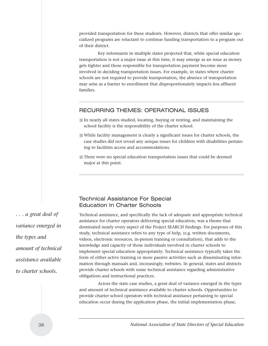provided transportation for these students. However, districts that offer similar specialized programs are reluctant to continue funding transportation to a program out of their district.

Key informants in multiple states projected that, while special education transportation is not a major issue at this time, it may emerge as an issue as money gets tighter and those responsible for transportation payment become more involved in deciding transportation issues. For example, in states where charter schools are not required to provide transportation, the absence of transportation may arise as a barrier to enrollment that disproportionately impacts less affluent families.

#### RECURRING THEMES: OPERATIONAL ISSUES

- In nearly all states studied, locating, buying or renting, and maintaining the school facility is the responsibility of the charter school.
- While facility management is clearly a significant issues for charter schools, the case studies did not reveal any unique issues for children with disabilities pertaining to facilities access and accommodations.
- There were no special education transportation issues that could be deemed major at this point.

### Technical Assistance For Special Education In Charter Schools

Technical assistance, and specifically the lack of adequate and appropriate technical assistance for charter operators delivering special education, was a theme that dominated nearly every aspect of the Project SEARCH findings. For purposes of this study, technical assistance refers to any type of help, (e.g. written documents, videos, electronic resources, in-person training or consultation), that adds to the knowledge and capacity of those individuals involved in charter schools to implement special education appropriately. Technical assistance typically takes the form of either active training or more passive activities such as disseminating information through manuals and, increasingly, websites. In general, states and districts provide charter schools with some technical assistance regarding administrative obligations and instructional practices.

Across the state case studies, a great deal of variance emerged in the types and amount of technical assistance available to charter schools. Opportunities to provide charter school operators with technical assistance pertaining to special education occur during the application phase, the initial implementation phase,

*. . . a great deal of variance emerged in the types and amount of technical assistance available to charter schools.*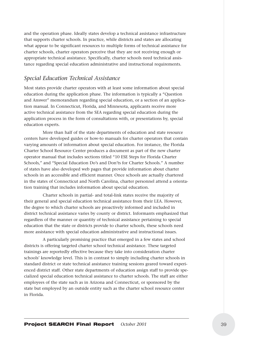and the operation phase. Ideally states develop a technical assistance infrastructure that supports charter schools. In practice, while districts and states are allocating what appear to be significant resources to multiple forms of technical assistance for charter schools, charter operators perceive that they are not receiving enough or appropriate technical assistance. Specifically, charter schools need technical assistance regarding special education administrative and instructional requirements.

#### *Special Education Technical Assistance*

Most states provide charter operators with at least some information about special education during the application phase. The information is typically a "Question and Answer" memorandum regarding special education, or a section of an application manual. In Connecticut, Florida, and Minnesota, applicants receive more active technical assistance from the SEA regarding special education during the application process in the form of consultations with, or presentations by, special education experts.

More than half of the state departments of education and state resource centers have developed guides or how-to manuals for charter operators that contain varying amounts of information about special education. For instance, the Florida Charter School Resource Center produces a document as part of the new charter operator manual that includes sections titled "10 ESE Steps for Florida Charter Schools," and "Special Education Do's and Don'ts for Charter Schools." A number of states have also developed web pages that provide information about charter schools in an accessible and efficient manner. Once schools are actually chartered in the states of Connecticut and North Carolina, charter personnel attend a orientation training that includes information about special education.

Charter schools in partial- and total-link states receive the majority of their general and special education technical assistance from their LEA. However, the degree to which charter schools are proactively informed and included in district technical assistance varies by county or district. Informants emphasized that regardless of the manner or quantity of technical assistance pertaining to special education that the state or districts provide to charter schools, these schools need more assistance with special education administrative and instructional issues.

A particularly promising practice that emerged in a few states and school districts is offering targeted charter school technical assistance. These targeted trainings are reportedly effective because they take into consideration charter schools' knowledge level. This is in contrast to simply including charter schools in standard district or state technical assistance training sessions geared toward experienced district staff. Other state departments of education assign staff to provide specialized special education technical assistance to charter schools. The staff are either employees of the state such as in Arizona and Connecticut, or sponsored by the state but employed by an outside entity such as the charter school resource center in Florida.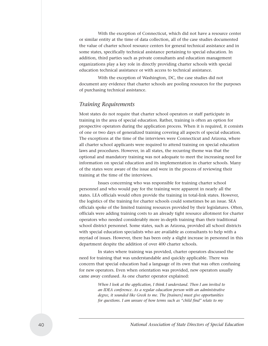With the exception of Connecticut, which did not have a resource center or similar entity at the time of data collection, all of the case studies documented the value of charter school resource centers for general technical assistance and in some states, specifically technical assistance pertaining to special education. In addition, third parties such as private consultants and education management organizations play a key role in directly providing charter schools with special education technical assistance or with access to technical assistance.

With the exception of Washington, DC, the case studies did not document any evidence that charter schools are pooling resources for the purposes of purchasing technical assistance.

#### *Training Requirements*

Most states do not require that charter school operators or staff participate in training in the area of special education. Rather, training is often an option for prospective operators during the application process. When it is required, it consists of one or two days of generalized training covering all aspects of special education. The exceptions at the time of the interviews were Connecticut and Arizona, where all charter school applicants were required to attend training on special education laws and procedures. However, in all states, the recurring theme was that the optional and mandatory training was not adequate to meet the increasing need for information on special education and its implementation in charter schools. Many of the states were aware of the issue and were in the process of reviewing their training at the time of the interviews.

Issues concerning who was responsible for training charter school personnel and who would pay for the training were apparent in nearly all the states. LEA officials would often provide the training in total-link states. However, the logistics of the training for charter schools could sometimes be an issue. SEA officials spoke of the limited training resources provided by their legislatures. Often, officials were adding training costs to an already tight resource allotment for charter operators who needed considerably more in-depth training than their traditional school district personnel. Some states, such as Arizona, provided all school districts with special education specialists who are available as consultants to help with a myriad of issues. However, there has been only a slight increase in personnel in this department despite the addition of over 400 charter schools.

In states where training was provided, charter operators discussed the need for training that was understandable and quickly applicable. There was concern that special education had a language of its own that was often confusing for new operators. Even when orientation was provided, new operators usually came away confused. As one charter operator explained:

> *When I look at the application, I think I understand. Then I am invited to an IDEA conference. As a regular education person with an administrative degree, it sounded like Greek to me. The [trainers] must give opportunities for questions. I am unsure of how terms such as "child find" relate to my*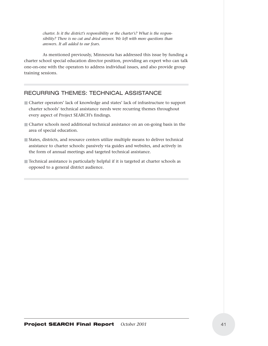*charter. Is it the district's responsibility or the charter's? What is the responsibility? There is no cut and dried answer. We left with more questions than answers. It all added to our fears.*

As mentioned previously, Minnesota has addressed this issue by funding a charter school special education director position, providing an expert who can talk one-on-one with the operators to address individual issues, and also provide group training sessions.

## RECURRING THEMES: TECHNICAL ASSISTANCE

- Charter operators' lack of knowledge and states' lack of infrastructure to support charter schools' technical assistance needs were recurring themes throughout every aspect of Project SEARCH's findings.
- Charter schools need additional technical assistance on an on-going basis in the area of special education.
- States, districts, and resource centers utilize multiple means to deliver technical assistance to charter schools: passively via guides and websites, and actively in the form of annual meetings and targeted technical assistance.
- Technical assistance is particularly helpful if it is targeted at charter schools as opposed to a general district audience.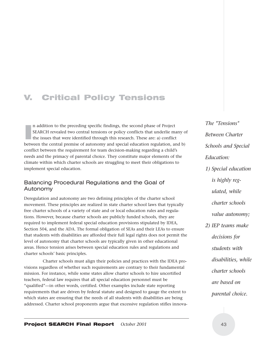## V. Critical Policy Tensions

In addition to the preceding specific findings, the second phase of Project<br>SEARCH revealed two central tensions or policy conflicts that underlie many c<br>the issues that were identified through this research. These are: a) n addition to the preceding specific findings, the second phase of Project SEARCH revealed two central tensions or policy conflicts that underlie many of the issues that were identified through this research. These are: a) conflict conflict between the requirement for team decision-making regarding a child's needs and the primacy of parental choice. They constitute major elements of the climate within which charter schools are struggling to meet their obligations to implement special education.

#### Balancing Procedural Regulations and the Goal of Autonomy

Deregulation and autonomy are two defining principles of the charter school movement. These principles are realized in state charter school laws that typically free charter schools of a variety of state and or local education rules and regulations. However, because charter schools are publicly funded schools, they are required to implement federal special education provisions stipulated by IDEA, Section 504, and the ADA. The formal obligation of SEAs and their LEAs to ensure that students with disabilities are afforded their full legal rights does not permit the level of autonomy that charter schools are typically given in other educational areas. Hence tension arises between special education rules and regulations and charter schools' basic principles.

Charter schools must align their policies and practices with the IDEA provisions regardless of whether such requirements are contrary to their fundamental mission. For instance, while some states allow charter schools to hire uncertified teachers, federal law requires that all special education personnel must be "qualified"—in other words, certified. Other examples include state reporting requirements that are driven by federal statute and designed to gauge the extent to which states are ensuring that the needs of all students with disabilities are being addressed. Charter school proponents argue that excessive regulation stifles innova*The "Tensions" Between Charter Schools and Special Education: 1) Special education is highly regulated, while charter schools value autonomy; 2) IEP teams make decisions for students with disabilities, while charter schools are based on parental choice.*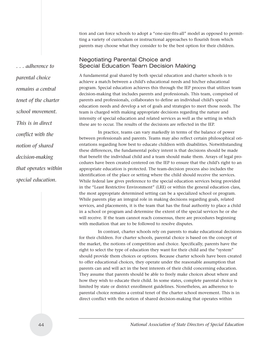tion and can force schools to adopt a "one-size-fits-all" model as opposed to permitting a variety of curriculum or instructional approaches to flourish from which parents may choose what they consider to be the best option for their children.

#### Negotiating Parental Choice and Special Education Team Decision Making

A fundamental goal shared by both special education and charter schools is to achieve a match between a child's educational needs and his/her educational program. Special education achieves this through the IEP process that utilizes team decision-making that includes parents and professionals. This team, comprised of parents and professionals, collaborates to define an individual child's special education needs and develop a set of goals and strategies to meet those needs. The team is charged with making appropriate decisions regarding the nature and intensity of special education and related services as well as the setting in which these are to occur. The results of the decisions are reflected in the IEP.

In practice, teams can vary markedly in terms of the balance of power between professionals and parents. Teams may also reflect certain philosophical orientations regarding how best to educate children with disabilities. Notwithstanding these differences, the fundamental policy intent is that decisions should be made that benefit the individual child and a team should make them. Arrays of legal procedures have been created centered on the IEP to ensure that the child's right to an appropriate education is protected. The team-decision process also includes the identification of the place or setting where the child should receive the services. While federal law gives preference to the special education services being provided in the "Least Restrictive Environment" (LRE) or within the general education class, the most appropriate determined setting can be a specialized school or program. While parents play an integral role in making decisions regarding goals, related services, and placements, it is the team that has the final authority to place a child in a school or program and determine the extent of the special services he or she will receive. If the team cannot reach consensus, there are procedures beginning with mediation that are to be followed to resolve disputes.

In contrast, charter schools rely on parents to make educational decisions for their children. For charter schools, parental choice is based on the concept of the market, the notions of competition and choice. Specifically, parents have the right to select the type of education they want for their child and the "system" should provide them choices or options. Because charter schools have been created to offer educational choices, they operate under the reasonable assumption that parents can and will act in the best interests of their child concerning education. They assume that parents should be able to freely make choices about where and how they wish to educate their child. In some states, complete parental choice is limited by state or district enrollment guidelines. Nonetheless, an adherence to parental choice remains a central tenet of the charter school movement. This is in direct conflict with the notion of shared decision-making that operates within

*. . . adherence to parental choice remains a central tenet of the charter school movement. This is in direct conflict with the notion of shared decision-making that operates within special education.*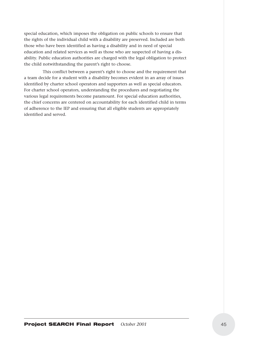special education, which imposes the obligation on public schools to ensure that the rights of the individual child with a disability are preserved. Included are both those who have been identified as having a disability and in need of special education and related services as well as those who are suspected of having a disability. Public education authorities are charged with the legal obligation to protect the child notwithstanding the parent's right to choose.

This conflict between a parent's right to choose and the requirement that a team decide for a student with a disability becomes evident in an array of issues identified by charter school operators and supporters as well as special educators. For charter school operators, understanding the procedures and negotiating the various legal requirements become paramount. For special education authorities, the chief concerns are centered on accountability for each identified child in terms of adherence to the IEP and ensuring that all eligible students are appropriately identified and served.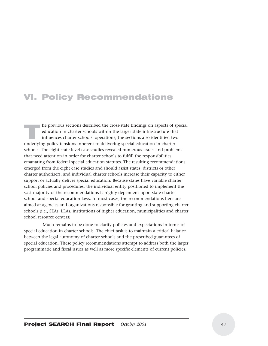## VI. Policy Recommendations

The previous sections described the cross-state findings on aspects of special<br>ducation in charter schools within the larger state infrastructure that<br>influences charter schools' operations; the sections also identified tw education in charter schools within the larger state infrastructure that influences charter schools' operations; the sections also identified two underlying policy tensions inherent to delivering special education in charter schools. The eight state-level case studies revealed numerous issues and problems that need attention in order for charter schools to fulfill the responsibilities emanating from federal special education statutes. The resulting recommendations emerged from the eight case studies and should assist states, districts or other charter authorizers, and individual charter schools increase their capacity to either support or actually deliver special education. Because states have variable charter school policies and procedures, the individual entity positioned to implement the vast majority of the recommendations is highly dependent upon state charter school and special education laws. In most cases, the recommendations here are aimed at agencies and organizations responsible for granting and supporting charter schools (i.e., SEAs, LEAs, institutions of higher education, municipalities and charter school resource centers).

Much remains to be done to clarify policies and expectations in terms of special education in charter schools. The chief task is to maintain a critical balance between the legal autonomy of charter schools and the prescribed guarantees of special education. These policy recommendations attempt to address both the larger programmatic and fiscal issues as well as more specific elements of current policies.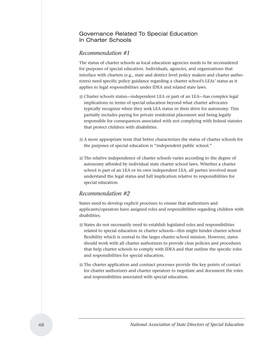#### Governance Related To Special Education In Charter Schools

#### *Recommendation #1*

The status of charter schools as local education agencies needs to be reconsidered for purposes of special education. Individuals, agencies, and organizations that interface with charters (e.g., state and district level policy makers and charter authorizers) need specific policy guidance regarding a charter school's LEAs' status as it applies to legal responsibilities under IDEA and related state laws.

- Charter schools status—independent LEA or part of an LEA—has complex legal implications in terms of special education beyond what charter advocates typically recognize when they seek LEA status in their drive for autonomy. This partially includes paying for private residential placement and being legally responsible for consequences associated with not complying with federal statutes that protect children with disabilities.
- A more appropriate term that better characterizes the status of charter schools for the purposes of special education is "independent public school."
- The relative independence of charter schools varies according to the degree of autonomy afforded by individual state charter school laws. Whether a charter school is part of an LEA or its own independent LEA, all parties involved must understand the legal status and full implication relative to responsibilities for special education.

#### *Recommendation #2*

States need to develop explicit processes to ensure that authorizers and applicants/operators have assigned roles and responsibilities regarding children with disabilities.

- States do not necessarily need to establish legislated roles and responsibilities related to special education in charter schools—this might hinder charter school flexibility which is central to the larger charter school mission. However, states should work with all charter authorizers to provide clear policies and procedures that help charter schools to comply with IDEA and that outline the specific roles and responsibilities for special education.
- The charter application and contract processes provide the key points of contact for charter authorizers and charter operators to negotiate and document the roles and responsibilities associated with special education.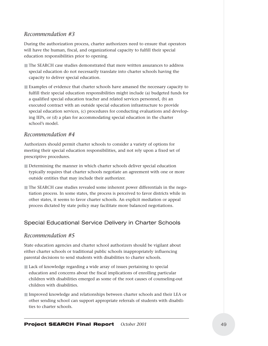### *Recommendation #3*

During the authorization process, charter authorizers need to ensure that operators will have the human, fiscal, and organizational capacity to fulfill their special education responsibilities prior to opening.

- The SEARCH case studies demonstrated that mere written assurances to address special education do not necessarily translate into charter schools having the capacity to deliver special education.
- Examples of evidence that charter schools have amassed the necessary capacity to fulfill their special education responsibilities might include (a) budgeted funds for a qualified special education teacher and related services personnel, (b) an executed contract with an outside special education infrastructure to provide special education services, (c) procedures for conducting evaluations and developing IEPs, or (d) a plan for accommodating special education in the charter school's model.

#### *Recommendation #4*

Authorizers should permit charter schools to consider a variety of options for meeting their special education responsibilities, and not rely upon a fixed set of prescriptive procedures.

- Determining the manner in which charter schools deliver special education typically requires that charter schools negotiate an agreement with one or more outside entities that may include their authorizer.
- The SEARCH case studies revealed some inherent power differentials in the negotiation process. In some states, the process is perceived to favor districts while in other states, it seems to favor charter schools. An explicit mediation or appeal process dictated by state policy may facilitate more balanced negotiations.

#### Special Educational Service Delivery in Charter Schools

#### *Recommendation #5*

State education agencies and charter school authorizers should be vigilant about either charter schools or traditional public schools inappropriately influencing parental decisions to send students with disabilities to charter schools.

- Lack of knowledge regarding a wide array of issues pertaining to special education and concerns about the fiscal implications of enrolling particular children with disabilities emerged as some of the root causes of counseling-out children with disabilities.
- Improved knowledge and relationships between charter schools and their LEA or other sending school can support appropriate referrals of students with disabilities to charter schools.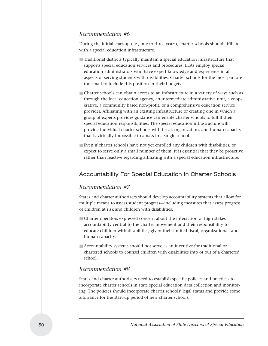#### *Recommendation #6*

During the initial start-up (i.e., one to three years), charter schools should affiliate with a special education infrastructure.

- Traditional districts typically maintain a special education infrastructure that supports special education services and procedures. LEAs employ special education administrators who have expert knowledge and experience in all aspects of serving students with disabilities. Charter schools for the most part are too small to include this position in their budgets.
- Charter schools can obtain access to an infrastructure in a variety of ways such as through the local education agency, an intermediate administrative unit, a cooperative, a community based non-profit, or a comprehensive education service provider. Affiliating with an existing infrastructure or creating one in which a group of experts provides guidance can enable charter schools to fulfill their special education responsibilities. The special education infrastructure will provide individual charter schools with fiscal, organization, and human capacity that is virtually impossible to amass in a single school.
- Even if charter schools have not yet enrolled any children with disabilities, or expect to serve only a small number of them, it is essential that they be proactive rather than reactive regarding affiliating with a special education infrastructure.

#### Accountability For Special Education In Charter Schools

#### *Recommendation #7*

States and charter authorizers should develop accountability systems that allow for multiple means to assess student progress—including measures that assess progress of children at risk and children with disabilities.

- Charter operators expressed concern about the interaction of high stakes accountability central to the charter movement and their responsibility to educate children with disabilities, given their limited fiscal, organizational, and human capacity.
- Accountability systems should not serve as an incentive for traditional or chartered schools to counsel children with disabilities into or out of a chartered school.

#### *Recommendation #8*

States and charter authorizers need to establish specific policies and practices to incorporate charter schools in state special education data collection and monitoring. The policies should incorporate charter schools' legal status and provide some allowance for the start-up period of new charter schools.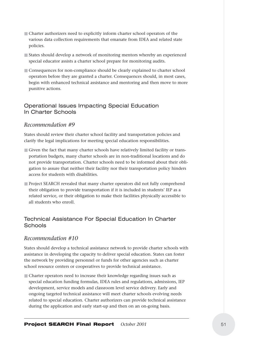- Charter authorizers need to explicitly inform charter school operators of the various data collection requirements that emanate from IDEA and related state policies.
- States should develop a network of monitoring mentors whereby an experienced special educator assists a charter school prepare for monitoring audits.
- Consequences for non-compliance should be clearly explained to charter school operators before they are granted a charter. Consequences should, in most cases, begin with enhanced technical assistance and mentoring and then move to more punitive actions.

### Operational Issues Impacting Special Education In Charter Schools

### *Recommendation #9*

States should review their charter school facility and transportation policies and clarify the legal implications for meeting special education responsibilities.

- Given the fact that many charter schools have relatively limited facility or transportation budgets, many charter schools are in non-traditional locations and do not provide transportation. Charter schools need to be informed about their obligation to assure that neither their facility nor their transportation policy hinders access for students with disabilities.
- Project SEARCH revealed that many charter operators did not fully comprehend their obligation to provide transportation if it is included in students' IEP as a related service, or their obligation to make their facilities physically accessible to all students who enroll.

## Technical Assistance For Special Education In Charter **Schools**

### *Recommendation #10*

States should develop a technical assistance network to provide charter schools with assistance in developing the capacity to deliver special education. States can foster the network by providing personnel or funds for other agencies such as charter school resource centers or cooperatives to provide technical assistance.

■ Charter operators need to increase their knowledge regarding issues such as special education funding formulas, IDEA rules and regulations, admissions, IEP development, service models and classroom level service delivery. Early and ongoing targeted technical assistance will meet charter schools evolving needs related to special education. Charter authorizers can provide technical assistance during the application and early start-up and then on an on-going basis.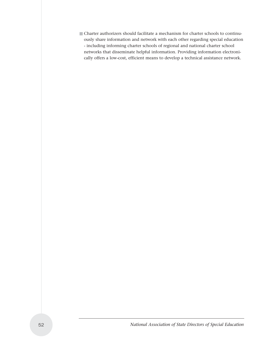■ Charter authorizers should facilitate a mechanism for charter schools to continuously share information and network with each other regarding special education - including informing charter schools of regional and national charter school networks that disseminate helpful information. Providing information electronically offers a low-cost, efficient means to develop a technical assistance network.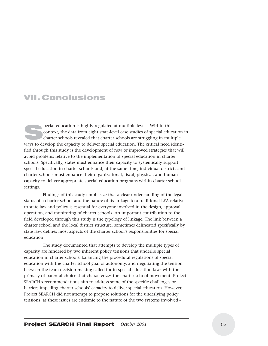## VII. Conclusions

pecial education is highly regulated at multiple levels. Within this<br>context, the data from eight state-level case studies of special educ<br>charter schools revealed that charter schools are struggling in mul context, the data from eight state-level case studies of special education in charter schools revealed that charter schools are struggling in multiple ways to develop the capacity to deliver special education. The critical need identified through this study is the development of new or improved strategies that will avoid problems relative to the implementation of special education in charter schools. Specifically, states must enhance their capacity to systemically support special education in charter schools and, at the same time, individual districts and charter schools must enhance their organizational, fiscal, physical, and human capacity to deliver appropriate special education programs within charter school settings.

Findings of this study emphasize that a clear understanding of the legal status of a charter school and the nature of its linkage to a traditional LEA relative to state law and policy is essential for everyone involved in the design, approval, operation, and monitoring of charter schools. An important contribution to the field developed through this study is the typology of linkage. The link between a charter school and the local district structure, sometimes delineated specifically by state law, defines most aspects of the charter school's responsibilities for special education.

The study documented that attempts to develop the multiple types of capacity are hindered by two inherent policy tensions that underlie special education in charter schools: balancing the procedural regulations of special education with the charter school goal of autonomy, and negotiating the tension between the team decision making called for in special education laws with the primacy of parental choice that characterizes the charter school movement. Project SEARCH's recommendations aim to address some of the specific challenges or barriers impeding charter schools' capacity to deliver special education. However, Project SEARCH did not attempt to propose solutions for the underlying policy tensions, as these issues are endemic to the nature of the two systems involved -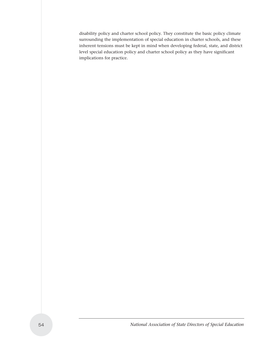disability policy and charter school policy. They constitute the basic policy climate surrounding the implementation of special education in charter schools, and these inherent tensions must be kept in mind when developing federal, state, and district level special education policy and charter school policy as they have significant implications for practice.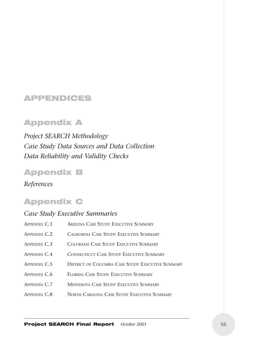## APPENDICES

## Appendix A

*Project SEARCH Methodology Case Study Data Sources and Data Collection Data Reliability and Validity Checks*

## Appendix B

*References*

## Appendix C

## *Case Study Executive Summaries* APPENDIX C.1 ARIZONA CASE STUDY EXECUTIVE SUMMARY APPENDIX C.2 CALIFORNIA CASE STUDY EXECUTIVE SUMMARY APPENDIX C.3 COLORADO CASE STUDY EXECUTIVE SUMMARY APPENDIX C.4 CONNECTICUT CASE STUDY EXECUTIVE SUMMARY APPENDIX C.5 DISTRICT OF COLUMBIA CASE STUDY EXECUTIVE SUMMARY APPENDIX C.6 FLORIDA CASE STUDY EXECUTIVE SUMMARY APPENDIX C.7 MINNESOTA CASE STUDY EXECUTIVE SUMMARY APPENDIX C.8 NORTH CAROLINA CASE STUDY EXECUTIVE SUMMARY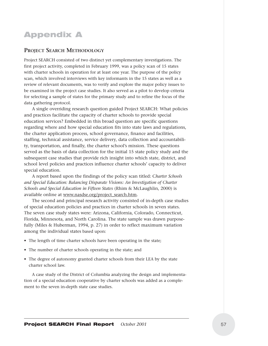## Appendix A

#### **PROJECT SEARCH METHODOLOGY**

Project SEARCH consisted of two distinct yet complementary investigations. The first project activity, completed in February 1999, was a policy scan of 15 states with charter schools in operation for at least one year. The purpose of the policy scan, which involved interviews with key informants in the 15 states as well as a review of relevant documents, was to verify and explore the major policy issues to be examined in the project case studies. It also served as a pilot to develop criteria for selecting a sample of states for the primary study and to refine the focus of the data gathering protocol.

A single overriding research question guided Project SEARCH: What policies and practices facilitate the capacity of charter schools to provide special education services? Embedded in this broad question are specific questions regarding where and how special education fits into state laws and regulations, the charter application process, school governance, finance and facilities, staffing, technical assistance, service delivery, data collection and accountability, transportation, and finally, the charter school's mission. These questions served as the basis of data collection for the initial 15 state policy study and the subsequent case studies that provide rich insight into which state, district, and school level policies and practices influence charter schools' capacity to deliver special education.

A report based upon the findings of the policy scan titled: C*harter Schools and Special Education: Balancing Disparate Visions: An Investigation of Charter Schools and Special Education in Fifteen States* (Rhim & McLaughlin, 2000) is available online at www.nasdse.org/project\_search.htm.

The second and principal research activity consisted of in-depth case studies of special education policies and practices in charter schools in seven states. The seven case study states were: Arizona, California, Colorado, Connecticut, Florida, Minnesota, and North Carolina. The state sample was drawn purposefully (Miles & Huberman, 1994, p. 27) in order to reflect maximum variation among the individual states based upon:

- The length of time charter schools have been operating in the state;
- The number of charter schools operating in the state; and
- The degree of autonomy granted charter schools from their LEA by the state charter school law.

A case study of the District of Columbia analyzing the design and implementation of a special education cooperative by charter schools was added as a complement to the seven in-depth state case studies.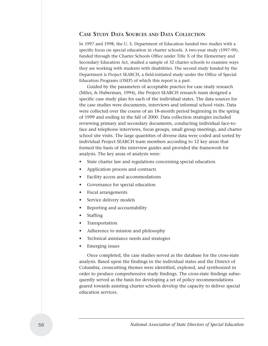#### **CASE STUDY DATA SOURCES AND DATA COLLECTION**

In 1997 and 1998, the U. S. Department of Education funded two studies with a specific focus on special education in charter schools. A two-year study (1997-99), funded through the Charter Schools Office under Title X of the Elementary and Secondary Education Act, studied a sample of 32 charter schools to examine ways they are working with students with disabilities. The second study funded by the Department is Project SEARCH, a field-initiated study under the Office of Special Education Programs (OSEP) of which this report is a part.

Guided by the parameters of acceptable practice for case study research (Miles, & Huberman, 1994), the Project SEARCH research team designed a specific case study plan for each of the individual states. The data sources for the case studies were documents, interviews and informal school visits. Data were collected over the course of an 18-month period beginning in the spring of 1999 and ending in the fall of 2000. Data collection strategies included reviewing primary and secondary documents, conducting individual face-toface and telephone interviews, focus groups, small group meetings, and charter school site visits. The large quantities of diverse data were coded and sorted by individual Project SEARCH team members according to 12 key areas that formed the basis of the interview guides and provided the framework for analysis. The key areas of analysis were:

- State charter law and regulations concerning special education
- Application process and contracts
- Facility access and accommodations
- Governance for special education
- Fiscal arrangements
- Service delivery models
- Reporting and accountability
- Staffing
- Transportation
- Adherence to mission and philosophy
- Technical assistance needs and strategies
- Emerging issues

Once completed, the case studies served as the database for the cross-state analysis. Based upon the findings in the individual states and the District of Columbia, crosscutting themes were identified, explored, and synthesized in order to produce comprehensive study findings. The cross-state findings subsequently served as the basis for developing a set of policy recommendations geared towards assisting charter schools develop the capacity to deliver special education services.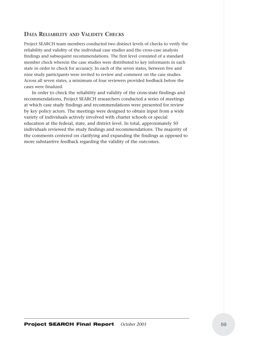#### **DATA RELIABILITY AND VALIDITY CHECKS**

Project SEARCH team members conducted two distinct levels of checks to verify the reliability and validity of the individual case studies and the cross-case analysis findings and subsequent recommendations. The first level consisted of a standard member check wherein the case studies were distributed to key informants in each state in order to check for accuracy. In each of the seven states, between five and nine study participants were invited to review and comment on the case studies. Across all seven states, a minimum of four reviewers provided feedback before the cases were finalized.

In order to check the reliability and validity of the cross-state findings and recommendations, Project SEARCH researchers conducted a series of meetings at which case study findings and recommendations were presented for review by key policy actors. The meetings were designed to obtain input from a wide variety of individuals actively involved with charter schools or special education at the federal, state, and district level. In total, approximately 50 individuals reviewed the study findings and recommendations. The majority of the comments centered on clarifying and expanding the findings as opposed to more substantive feedback regarding the validity of the outcomes.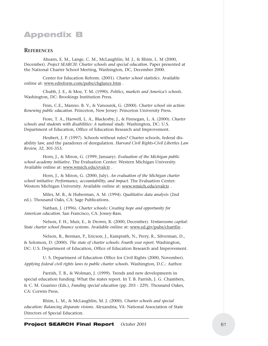## Appendix B

#### **REFERENCES**

Ahearn, E. M., Lange, C. M., McLaughlin, M. J., & Rhim, L. M (2000, December). *Project SEARCH: Charter schools and special education*. Paper presented at the National Charter School Meeting, Washington, DC, December 2000.

Center for Education Reform. (2001). *Charter school statistics*. Available online at: www.edreform.com/pubs/chglance.htm .

Chubb, J. E., & Moe, T. M. (1990). *Politics, markets and America's schools.* Washington, DC: Brookings Institution Press.

Finn, C.E., Manno. B. V., & Vanourek, G. (2000). *Charter school sin action: Renewing public education*. Princeton, New Jersey: Princeton University Press.

Fiore, T. A., Harwell, L. A., Blackorby, J., & Finnegan, L. A. (2000). *Charter schools and students with disabilities: A national study*. Washington, DC: U.S. Department of Education, Office of Education Research and Improvement.

Heubert, J. P. (1997). Schools without rules? Charter schools, federal disability law, and the paradoxes of deregulation. *Harvard Civil Rights-Civil Liberties Law Review, 32*, 301-353.

Horn, J., & Miron, G. (1999, January). *Evaluation of the Michigan public school academy initiative.* The Evaluation Center: Western Michigan University. Available online at: www.wmich.edu/evalctr .

Horn, J., & Miron, G. (2000, July). *An evaluation of the Michigan charter school initiative: Performance, accountability, and impact.* The Evaluation Center: Western Michigan University. Available online at: www.wmich.edu/evalctr .

Miles, M. B., & Huberman, A. M. (1994). *Qualitative data analysis* (2nd ed.). Thousand Oaks, CA: Sage Publications.

Nathan, J. (1996). *Charter schools: Creating hope and opportunity for American education.* San Francisco, CA: Jossey-Bass.

Nelson, F. H., Muir, E., & Drown, R. (2000, December). *Venturesome capital: State charter school finance systems.* Available online at: www.ed.giv/pubs/chartfin .

Nelson, B., Berman, P., Ericson, J., Kamprath, N., Perry, R., Silverman, D., & Solomon, D. (2000). *The state of charter schools: Fourth year report.* Washington, DC: U.S. Department of Education, Office of Education Research and Improvement.

U. S. Department of Education Office for Civil Rights (2000, November). *Applying federal civil rights laws to public charter schools.* Washington, D.C.: Author.

Parrish, T. B., & Wolman, J. (1999). Trends and new developments in special education funding: What the states report. In T. B. Parrish, J. G. Chambers, & C. M. Guarino (Eds.), *Funding special education* (pp. 203 - 229). Thousand Oakes, CA: Corwin Press.

Rhim, L. M., & McLaughlin, M. J. (2000). *Charter schools and special education: Balancing disparate visions.* Alexandria, VA: National Association of State Directors of Special Education.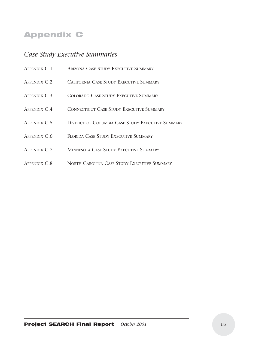## Appendix C

## *Case Study Executive Summaries*

| APPENDIX C.1 | <b>ARIZONA CASE STUDY EXECUTIVE SUMMARY</b>       |
|--------------|---------------------------------------------------|
| APPENDIX C.2 | CALIFORNIA CASE STUDY EXECUTIVE SUMMARY           |
| APPENDIX C.3 | COLORADO CASE STUDY EXECUTIVE SUMMARY             |
| APPENDIX C.4 | <b>CONNECTICUT CASE STUDY EXECUTIVE SUMMARY</b>   |
| APPENDIX C.5 | DISTRICT OF COLUMBIA CASE STUDY EXECUTIVE SUMMARY |
| APPENDIX C.6 | FLORIDA CASE STUDY EXECUTIVE SUMMARY              |
| APPENDIX C.7 | MINNESOTA CASE STUDY EXECUTIVE SUMMARY            |
| APPENDIX C.8 | NORTH CAROLINA CASE STUDY EXECUTIVE SUMMARY       |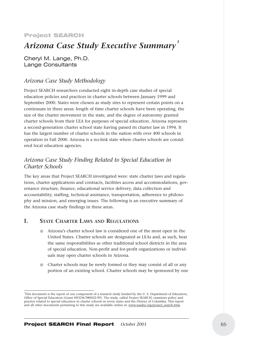#### Project SEARCH

# *Arizona Case Study Executive Summary <sup>1</sup>*

Cheryl M. Lange, Ph.D. Lange Consultants

#### *Arizona Case Study Methodology*

Project SEARCH researchers conducted eight in-depth case studies of special education policies and practices in charter schools between January 1999 and September 2000. States were chosen as study sites to represent certain points on a continuum in three areas: length of time charter schools have been operating, the size of the charter movement in the state, and the degree of autonomy granted charter schools from their LEA for purposes of special education. Arizona represents a second-generation charter school state having passed its charter law in 1994. It has the largest number of charter schools in the nation with over 400 schools in operation in Fall 2000. Arizona is a no-link state where charter schools are considered local education agencies.

### *Arizona Case Study Finding Related to Special Education in Charter Schools*

The key areas that Project SEARCH investigated were: state charter laws and regulations, charter applications and contracts, facilities access and accommodations, governance structure, finance, educational service delivery, data collection and accountability, staffing, technical assistance, transportation, adherence to philosophy and mission, and emerging issues. The following is an executive summary of the Arizona case study findings in these areas.

#### **I. STATE CHARTER LAWS AND REGULATIONS**

- Arizona's charter school law is considered one of the most open in the United States. Charter schools are designated as LEAs and, as such, bear the same responsibilities as other traditional school districts in the area of special education. Non-profit and for-profit organizations or individuals may open charter schools in Arizona.
- Charter schools may be newly formed or they may consist of all or any portion of an existing school. Charter schools may be sponsored by one

<sup>1</sup> This document is the report of one component of a research study funded by the U. S. Department of Education, Office of Special Education (Grant #H324C980032-99). The study, called Project SEARCH, examines policy and practice related to special education in charter schools in seven states and the District of Columbia. This report and all other documents pertaining to this study are available online at: www.nasdse.org/project\_search.htm.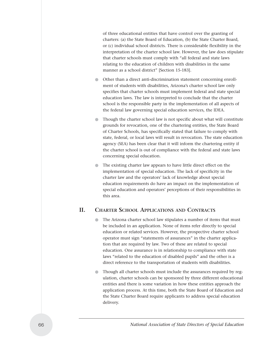of three educational entities that have control over the granting of charters: (a) the State Board of Education, (b) the State Charter Board, or (c) individual school districts. There is considerable flexibility in the interpretation of the charter school law. However, the law does stipulate that charter schools must comply with "all federal and state laws relating to the education of children with disabilities in the same manner as a school district" [Section 15-183].

- Other than a direct anti-discrimination statement concerning enrollment of students with disabilities, Arizona's charter school law only specifies that charter schools must implement federal and state special education laws. The law is interpreted to conclude that the charter school is the responsible party in the implementation of all aspects of the federal law governing special education services, the IDEA.
- Though the charter school law is not specific about what will constitute grounds for revocation, one of the chartering entities, the State Board of Charter Schools, has specifically stated that failure to comply with state, federal, or local laws will result in revocation. The state education agency (SEA) has been clear that it will inform the chartering entity if the charter school is out of compliance with the federal and state laws concerning special education.
- The existing charter law appears to have little direct effect on the implementation of special education. The lack of specificity in the charter law and the operators' lack of knowledge about special education requirements do have an impact on the implementation of special education and operators' perceptions of their responsibilities in this area.

#### **II. CHARTER SCHOOL APPLICATIONS AND CONTRACTS**

- The Arizona charter school law stipulates a number of items that must be included in an application. None of items refer directly to special education or related services. However, the prospective charter school operator must sign "statements of assurances" in the charter application that are required by law. Two of these are related to special education. One assurance is in relationship to compliance with state laws "related to the education of disabled pupils" and the other is a direct reference to the transportation of students with disabilities.
- Though all charter schools must include the assurances required by regulation, charter schools can be sponsored by three different educational entities and there is some variation in how these entities approach the application process. At this time, both the State Board of Education and the State Charter Board require applicants to address special education delivery.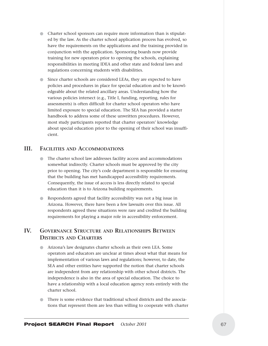- Charter school sponsors can require more information than is stipulated by the law. As the charter school application process has evolved, so have the requirements on the applications and the training provided in conjunction with the application. Sponsoring boards now provide training for new operators prior to opening the schools, explaining responsibilities in meeting IDEA and other state and federal laws and regulations concerning students with disabilities.
- Since charter schools are considered LEAs, they are expected to have policies and procedures in place for special education and to be knowledgeable about the related ancillary areas. Understanding how the various policies intersect (e.g., Title I, funding, reporting, rules for assessments) is often difficult for charter school operators who have limited exposure to special education. The SEA has provided a starter handbook to address some of these unwritten procedures. However, most study participants reported that charter operators' knowledge about special education prior to the opening of their school was insufficient.

#### **III. FACILITIES AND ACCOMMODATIONS**

- The charter school law addresses facility access and accommodations somewhat indirectly. Charter schools must be approved by the city prior to opening. The city's code department is responsible for ensuring that the building has met handicapped accessibility requirements. Consequently, the issue of access is less directly related to special education than it is to Arizona building requirements.
- Respondents agreed that facility accessibility was not a big issue in Arizona. However, there have been a few lawsuits over this issue. All respondents agreed these situations were rare and credited the building requirements for playing a major role in accessibility enforcement.

## **IV. GOVERNANCE STRUCTURE AND RELATIONSHIPS BETWEEN DISTRICTS AND CHARTERS**

- Arizona's law designates charter schools as their own LEA. Some operators and educators are unclear at times about what that means for implementation of various laws and regulations; however, to date, the SEA and other entities have supported the notion that charter schools are independent from any relationship with other school districts. The independence is also in the area of special education. The choice to have a relationship with a local education agency rests entirely with the charter school.
- There is some evidence that traditional school districts and the associations that represent them are less than willing to cooperate with charter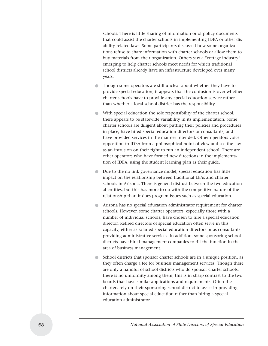schools. There is little sharing of information or of policy documents that could assist the charter schools in implementing IDEA or other disability-related laws. Some participants discussed how some organizations refuse to share information with charter schools or allow them to buy materials from their organization. Others saw a "cottage industry" emerging to help charter schools meet needs for which traditional school districts already have an infrastructure developed over many years.

- Though some operators are still unclear about whether they have to provide special education, it appears that the confusion is over whether charter schools have to provide any special education service rather than whether a local school district has the responsibility.
- With special education the sole responsibility of the charter school, there appears to be statewide variability in its implementation. Some charter schools are diligent about putting their policies and procedures in place, have hired special education directors or consultants, and have provided services in the manner intended. Other operators voice opposition to IDEA from a philosophical point of view and see the law as an intrusion on their right to run an independent school. There are other operators who have formed new directions in the implementation of IDEA, using the student learning plan as their guide.
- Due to the no-link governance model, special education has little impact on the relationship between traditional LEAs and charter schools in Arizona. There is general distrust between the two educational entities, but this has more to do with the competitive nature of the relationship than it does program issues such as special education.
- Arizona has no special education administrator requirement for charter schools. However, some charter operators, especially those with a number of individual schools, have chosen to hire a special education director. Retired directors of special education often serve in this capacity, either as salaried special education directors or as consultants providing administrative services. In addition, some sponsoring school districts have hired management companies to fill the function in the area of business management.
- School districts that sponsor charter schools are in a unique position, as they often charge a fee for business management services. Though there are only a handful of school districts who do sponsor charter schools, there is no uniformity among them; this is in sharp contrast to the two boards that have similar applications and requirements. Often the charters rely on their sponsoring school district to assist in providing information about special education rather than hiring a special education administrator.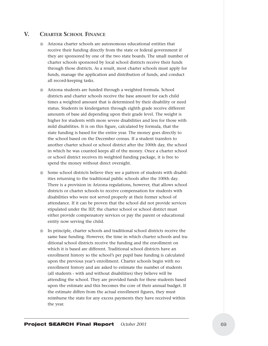## **V. CHARTER SCHOOL FINANCE**

- Arizona charter schools are autonomous educational entities that receive their funding directly from the state or federal government if they are sponsored by one of the two state boards. The small number of charter schools sponsored by local school districts receive their funds through those districts. As a result, most charter schools must apply for funds, manage the application and distribution of funds, and conduct all record-keeping tasks.
- Arizona students are funded through a weighted formula. School districts and charter schools receive the base amount for each child times a weighted amount that is determined by their disability or need status. Students in kindergarten through eighth grade receive different amounts of base aid depending upon their grade level. The weight is higher for students with more severe disabilities and less for those with mild disabilities. It is on this figure, calculated by formula, that the state funding is based for the entire year. The money goes directly to the school based on the December census. If a student transfers to another charter school or school district after the 100th day, the school in which he was counted keeps all of the money. Once a charter school or school district receives its weighted funding package, it is free to spend the money without direct oversight.
- Some school districts believe they see a pattern of students with disabilities returning to the traditional public schools after the 100th day. There is a provision in Arizona regulations, however, that allows school districts or charter schools to receive compensation for students with disabilities who were not served properly at their former school of attendance. If it can be proven that the school did not provide services stipulated under the IEP, the charter school or school district must either provide compensatory services or pay the parent or educational entity now serving the child.
- In principle, charter schools and traditional school districts receive the same base funding. However, the time in which charter schools and traditional school districts receive the funding and the enrollment on which it is based are different. Traditional school districts have an enrollment history so the school's per pupil base funding is calculated upon the previous year's enrollment. Charter schools begin with no enrollment history and are asked to estimate the number of students (all students - with and without disabilities) they believe will be attending the school. They are provided funds for these students based upon the estimate and this becomes the core of their annual budget. If the estimate differs from the actual enrollment figures, they must reimburse the state for any excess payments they have received within the year.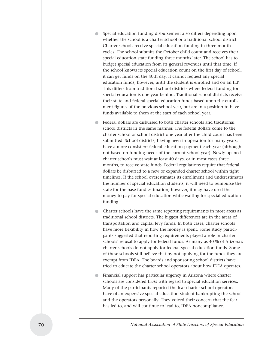- Special education funding disbursement also differs depending upon whether the school is a charter school or a traditional school district. Charter schools receive special education funding in three-month cycles. The school submits the October child count and receives their special education state funding three months later. The school has to budget special education from its general revenues until that time. If the school knows its special education count on the first day of school, it can get funds on the 40th day. It cannot request any special education funds, however, until the student is enrolled and on an IEP. This differs from traditional school districts where federal funding for special education is one year behind. Traditional school districts receive their state and federal special education funds based upon the enrollment figures of the previous school year, but are in a position to have funds available to them at the start of each school year.
- Federal dollars are disbursed to both charter schools and traditional school districts in the same manner. The federal dollars come to the charter school or school district one year after the child count has been submitted. School districts, having been in operation for many years, have a more consistent federal education payment each year (although not based on funding needs of the current school year). Newly opened charter schools must wait at least 40 days, or in most cases three months, to receive state funds. Federal regulations require that federal dollars be disbursed to a new or expanded charter school within tight timelines. If the school overestimates its enrollment and underestimates the number of special education students, it will need to reimburse the state for the base fund estimation; however, it may have used the money to pay for special education while waiting for special education funding.
- Charter schools have the same reporting requirements in most areas as traditional school districts. The biggest differences are in the areas of transportation and capital levy funds. In both cases, charter schools have more flexibility in how the money is spent. Some study participants suggested that reporting requirements played a role in charter schools' refusal to apply for federal funds. As many as 40 % of Arizona's charter schools do not apply for federal special education funds. Some of these schools still believe that by not applying for the funds they are exempt from IDEA. The boards and sponsoring school districts have tried to educate the charter school operators about how IDEA operates.
- Financial support has particular urgency in Arizona where charter schools are considered LEAs with regard to special education services. Many of the participants reported the fear charter school operators have of an expensive special education student bankrupting the school and the operators personally. They voiced their concern that the fear has led to, and will continue to lead to, IDEA noncompliance.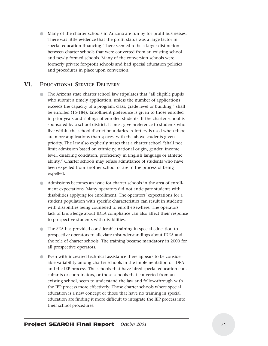● Many of the charter schools in Arizona are run by for-profit businesses. There was little evidence that the profit status was a large factor in special education financing. There seemed to be a larger distinction between charter schools that were converted from an existing school and newly formed schools. Many of the conversion schools were formerly private for-profit schools and had special education policies and procedures in place upon conversion.

#### **VI. EDUCATIONAL SERVICE DELIVERY**

- The Arizona state charter school law stipulates that "all eligible pupils who submit a timely application, unless the number of applications exceeds the capacity of a program, class, grade level or building," shall be enrolled (15-184). Enrollment preference is given to those enrolled in prior years and siblings of enrolled students. If the charter school is sponsored by a school district, it must give preference to students who live within the school district boundaries. A lottery is used when there are more applications than spaces, with the above students given priority. The law also explicitly states that a charter school "shall not limit admission based on ethnicity, national origin, gender, income level, disabling condition, proficiency in English language or athletic ability." Charter schools may refuse admittance of students who have been expelled from another school or are in the process of being expelled.
- Admissions becomes an issue for charter schools in the area of enrollment expectations. Many operators did not anticipate students with disabilities applying for enrollment. The operators' expectations for a student population with specific characteristics can result in students with disabilities being counseled to enroll elsewhere. The operators' lack of knowledge about IDEA compliance can also affect their response to prospective students with disabilities.
- The SEA has provided considerable training in special education to prospective operators to alleviate misunderstandings about IDEA and the role of charter schools. The training became mandatory in 2000 for all prospective operators.
- Even with increased technical assistance there appears to be considerable variability among charter schools in the implementation of IDEA and the IEP process. The schools that have hired special education consultants or coordinators, or those schools that converted from an existing school, seem to understand the law and follow-through with the IEP process more effectively. Those charter schools where special education is a new concept or those that have no training in special education are finding it more difficult to integrate the IEP process into their school procedures.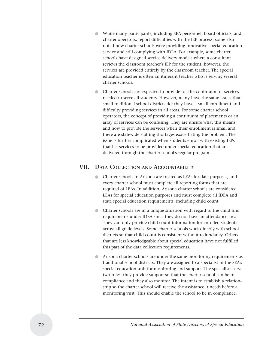- While many participants, including SEA personnel, board officials, and charter operators, report difficulties with the IEP process, some also noted how charter schools were providing innovative special education service and still complying with IDEA. For example, some charter schools have designed service delivery models where a consultant reviews the classroom teacher's IEP for the student; however, the services are provided entirely by the classroom teacher. The special education teacher is often an itinerant teacher who is serving several charter schools.
- Charter schools are expected to provide for the continuum of services needed to serve all students. However, many have the same issues that small traditional school districts do: they have a small enrollment and difficulty providing services in all areas. For some charter school operators, the concept of providing a continuum of placements or an array of services can be confusing. They are unsure what this means and how to provide the services when their enrollment is small and there are statewide staffing shortages exacerbating the problem. The issue is further complicated when students enroll with existing IEPs that list services to be provided under special education that are delivered through the charter school's regular program.

#### **VII. DATA COLLECTION AND ACCOUNTABILITY**

- Charter schools in Arizona are treated as LEAs for data purposes, and every charter school must complete all reporting forms that are required of LEAs. In addition, Arizona charter schools are considered LEAs for special education purposes and must complete all IDEA and state special education requirements, including child count.
- Charter schools are in a unique situation with regard to the child find requirements under IDEA since they do not have an attendance area. They can only provide child count information for enrolled students across all grade levels. Some charter schools work directly with school districts so that child count is consistent without redundancy. Others that are less knowledgeable about special education have not fulfilled this part of the data collection requirements.
- Arizona charter schools are under the same monitoring requirements as traditional school districts. They are assigned to a specialist in the SEA's special education unit for monitoring and support. The specialists serve two roles: they provide support so that the charter school can be in compliance and they also monitor. The intent is to establish a relationship so the charter school will receive the assistance it needs before a monitoring visit. This should enable the school to be in compliance.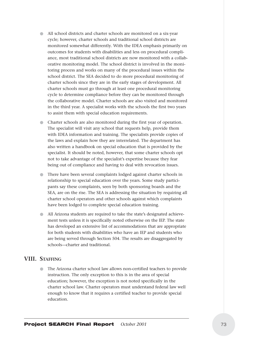- All school districts and charter schools are monitored on a six-year cycle; however, charter schools and traditional school districts are monitored somewhat differently. With the IDEA emphasis primarily on outcomes for students with disabilities and less on procedural compliance, most traditional school districts are now monitored with a collaborative monitoring model. The school district is involved in the monitoring process and works on many of the procedural issues within the school district. The SEA decided to do more procedural monitoring of charter schools since they are in the early stages of development. All charter schools must go through at least one procedural monitoring cycle to determine compliance before they can be monitored through the collaborative model. Charter schools are also visited and monitored in the third year. A specialist works with the schools the first two years to assist them with special education requirements.
- Charter schools are also monitored during the first year of operation. The specialist will visit any school that requests help, provide them with IDEA information and training. The specialists provide copies of the laws and explain how they are interrelated. The department has also written a handbook on special education that is provided by the specialist. It should be noted, however, that some charter schools opt not to take advantage of the specialist's expertise because they fear being out of compliance and having to deal with revocation issues.
- There have been several complaints lodged against charter schools in relationship to special education over the years. Some study participants say these complaints, seen by both sponsoring boards and the SEA, are on the rise. The SEA is addressing the situation by requiring all charter school operators and other schools against which complaints have been lodged to complete special education training.
- All Arizona students are required to take the state's designated achievement tests unless it is specifically noted otherwise on the IEP. The state has developed an extensive list of accommodations that are appropriate for both students with disabilities who have an IEP and students who are being served through Section 504. The results are disaggregated by schools—charter and traditional.

## **VIII. STAFFING**

The Arizona charter school law allows non-certified teachers to provide instruction. The only exception to this is in the area of special education; however, the exception is not noted specifically in the charter school law. Charter operators must understand federal law well enough to know that it requires a certified teacher to provide special education.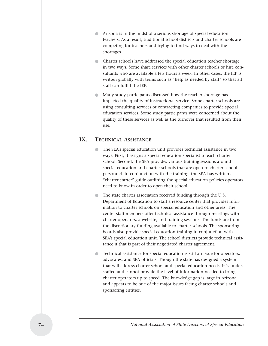- Arizona is in the midst of a serious shortage of special education teachers. As a result, traditional school districts and charter schools are competing for teachers and trying to find ways to deal with the shortages.
- Charter schools have addressed the special education teacher shortage in two ways. Some share services with other charter schools or hire consultants who are available a few hours a week. In other cases, the IEP is written globally with terms such as "help as needed by staff" so that all staff can fulfill the IEP.
- Many study participants discussed how the teacher shortage has impacted the quality of instructional service. Some charter schools are using consulting services or contracting companies to provide special education services. Some study participants were concerned about the quality of these services as well as the turnover that resulted from their use.

## **IX. TECHNICAL ASSISTANCE**

- The SEA's special education unit provides technical assistance in two ways. First, it assigns a special education specialist to each charter school. Second, the SEA provides various training sessions around special education and charter schools that are open to charter school personnel. In conjunction with the training, the SEA has written a "charter starter" guide outlining the special education policies operators need to know in order to open their school.
- The state charter association received funding through the U.S. Department of Education to staff a resource center that provides information to charter schools on special education and other areas. The center staff members offer technical assistance through meetings with charter operators, a website, and training sessions. The funds are from the discretionary funding available to charter schools. The sponsoring boards also provide special education training in conjunction with SEA's special education unit. The school districts provide technical assistance if that is part of their negotiated charter agreement.
- Technical assistance for special education is still an issue for operators, advocates, and SEA officials. Though the state has designed a system that will address charter school and special education needs, it is understaffed and cannot provide the level of information needed to bring charter operators up to speed. The knowledge gap is large in Arizona and appears to be one of the major issues facing charter schools and sponsoring entities.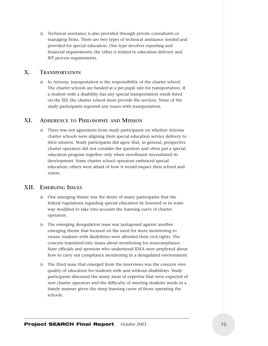● Technical assistance is also provided through private consultants or managing firms. There are two types of technical assistance needed and provided for special education. One type involves reporting and financial requirements; the other is related to education delivery and IEP process requirements.

### **X. TRANSPORTATION**

In Arizona, transportation is the responsibility of the charter school. The charter schools are funded at a per-pupil rate for transportation. If a student with a disability has any special transportation needs listed on the IEP, the charter school must provide the services. None of the study participants reported any issues with transportation.

## **XI. ADHERENCE TO PHILOSOPHY AND MISSION**

● There was not agreement from study participants on whether Arizona charter schools were aligning their special education service delivery to their mission. Study participants did agree that, in general, prospective charter operators did not consider the question and often put a special education program together only when enrollment necessitated its development. Some charter school operators embraced special education; others were afraid of how it would impact their school and vision.

## **XII. EMERGING ISSUES**

- One emerging theme was the desire of many participants that the federal regulations regarding special education be lessened or in some way modified to take into account the learning curve of charter operators.
- The emerging deregulation issue was juxtaposed against another emerging theme that focused on the need for more monitoring to ensure students with disabilities were afforded their civil rights. The concern translated into issues about monitoring for noncompliance. State officials and sponsors who understood IDEA were perplexed about how to carry out compliance monitoring in a deregulated environment.
- The third issue that emerged from the interviews was the concern over quality of education for students with and without disabilities. Study participants discussed the many areas of expertise that were expected of new charter operators and the difficulty of meeting students needs in a timely manner given the steep learning curve of those operating the schools.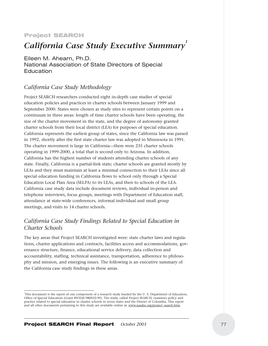#### Project SEARCH

# *California Case Study Executive Summary*<sup>1</sup>

Eileen M. Ahearn, Ph.D. National Association of State Directors of Special **Education** 

## *California Case Study Methodology*

Project SEARCH researchers conducted eight in-depth case studies of special education policies and practices in charter schools between January 1999 and September 2000. States were chosen as study sites to represent certain points on a continuum in three areas: length of time charter schools have been operating, the size of the charter movement in the state, and the degree of autonomy granted charter schools from their local district (LEA) for purposes of special education. California represents the earliest group of states, since the California law was passed in 1992, shortly after the first state charter law was adopted in Minnesota in 1991. The charter movement is large in California—there were 235 charter schools operating in 1999-2000, a total that is second only to Arizona. In addition, California has the highest number of students attending charter schools of any state. Finally, California is a partial-link state; charter schools are granted mostly by LEAs and they must maintain at least a minimal connection to their LEAs since all special education funding in California flows to school only through a Special Education Local Plan Area (SELPA) to its LEAs, and then to schools of the LEA. California case study data include document reviews, individual in-person and telephone interviews, focus groups, meetings with Department of Education staff, attendance at state-wide conferences, informal individual and small group meetings, and visits to 14 charter schools.

## *California Case Study Findings Related to Special Education in Charter Schools*

The key areas that Project SEARCH investigated were: state charter laws and regulations, charter applications and contracts, facilities access and accommodations, governance structure, finance, educational service delivery, data collection and accountability, staffing, technical assistance, transportation, adherence to philosophy and mission, and emerging issues. The following is an executive summary of the California case study findings in these areas.

<sup>1</sup> This document is the report of one component of a research study funded by the U. S. Department of Education, Office of Special Education (Grant #H324C980032-99). The study, called Project SEARCH, examines policy and practice related to special education in charter schools in seven states and the District of Columbia. This report and all other documents pertaining to this study are available online at: www.nasdse.org/project\_search.htm.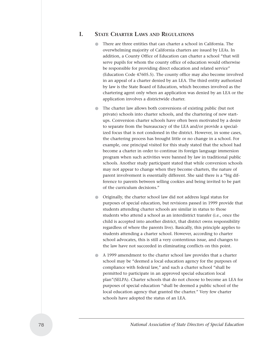#### **I. STATE CHARTER LAWS AND REGULATIONS**

- There are three entities that can charter a school in California. The overwhelming majority of California charters are issued by LEAs. In addition, a County Office of Education can charter a school "that will serve pupils for whom the county office of education would otherwise be responsible for providing direct education and related service" (Education Code 47605.5). The county office may also become involved in an appeal of a charter denied by an LEA. The third entity authorized by law is the State Board of Education, which becomes involved as the chartering agent only when an application was denied by an LEA or the application involves a districtwide charter.
- The charter law allows both conversions of existing public (but not private) schools into charter schools, and the chartering of new startups. Conversion charter schools have often been motivated by a desire to separate from the bureaucracy of the LEA and/or provide a specialized focus that is not condoned in the district. However, in some cases, the chartering process has brought little or no change in a school. For example, one principal visited for this study stated that the school had become a charter in order to continue its foreign language immersion program when such activities were banned by law in traditional public schools. Another study participant stated that while conversion schools may not appear to change when they become charters, the nature of parent involvement is essentially different. She said there is a "big difference to parents between selling cookies and being invited to be part of the curriculum decisions."
- Originally, the charter school law did not address legal status for purposes of special education, but revisions passed in 1999 provide that students attending charter schools are similar in status to those students who attend a school as an interdistrict transfer (i.e., once the child is accepted into another district, that district owns responsibility regardless of where the parents live). Basically, this principle applies to students attending a charter school. However, according to charter school advocates, this is still a very contentious issue, and changes to the law have not succeeded in eliminating conflicts on this point.
- A 1999 amendment to the charter school law provides that a charter school may be "deemed a local education agency for the purposes of compliance with federal law," and such a charter school "shall be permitted to participate in an approved special education local plan"(SELPA). Charter schools that do not choose to become an LEA for purposes of special education "shall be deemed a public school of the local education agency that granted the charter." Very few charter schools have adopted the status of an LEA.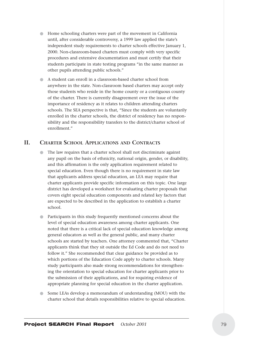- Home schooling charters were part of the movement in California until, after considerable controversy, a 1999 law applied the state's independent study requirements to charter schools effective January 1, 2000. Non-classroom-based charters must comply with very specific procedures and extensive documentation and must certify that their students participate in state testing programs "in the same manner as other pupils attending public schools."
- A student can enroll in a classroom-based charter school from anywhere in the state. Non-classroom based charters may accept only those students who reside in the home county or a contiguous county of the charter. There is currently disagreement over the issue of the importance of residency as it relates to children attending charters schools. The SEA perspective is that, "Since the students are voluntarily enrolled in the charter schools, the district of residency has no responsibility and the responsibility transfers to the district/charter school of enrollment."

## **II. CHARTER SCHOOL APPLICATIONS AND CONTRACTS**

- The law requires that a charter school shall not discriminate against any pupil on the basis of ethnicity, national origin, gender, or disability, and this affirmation is the only application requirement related to special education. Even though there is no requirement in state law that applicants address special education, an LEA may require that charter applicants provide specific information on this topic. One large district has developed a worksheet for evaluating charter proposals that covers eight special education components and related key factors that are expected to be described in the application to establish a charter school.
- Participants in this study frequently mentioned concerns about the level of special education awareness among charter applicants. One noted that there is a critical lack of special education knowledge among general educators as well as the general public, and many charter schools are started by teachers. One attorney commented that, "Charter applicants think that they sit outside the Ed Code and do not need to follow it." She recommended that clear guidance be provided as to which portions of the Education Code apply to charter schools. Many study participants also made strong recommendations for strengthening the orientation to special education for charter applicants prior to the submission of their applications, and for requiring evidence of appropriate planning for special education in the charter application.
- Some LEAs develop a memorandum of understanding (MOU) with the charter school that details responsibilities relative to special education.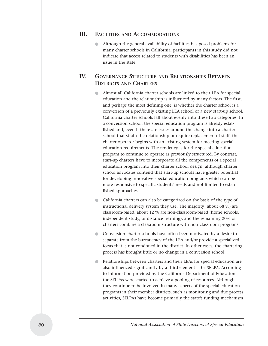#### **III. FACILITIES AND ACCOMMODATIONS**

Although the general availability of facilities has posed problems for many charter schools in California, participants in this study did not indicate that access related to students with disabilities has been an issue in the state.

## **IV. GOVERNANCE STRUCTURE AND RELATIONSHIPS BETWEEN DISTRICTS AND CHARTERS**

- Almost all California charter schools are linked to their LEA for special education and the relationship is influenced by many factors. The first, and perhaps the most defining one, is whether the charter school is a conversion of a previously existing LEA school or a new start-up school. California charter schools fall about evenly into these two categories. In a conversion school, the special education program is already established and, even if there are issues around the change into a charter school that strain the relationship or require replacement of staff, the charter operator begins with an existing system for meeting special education requirements. The tendency is for the special education program to continue to operate as previously structured. By contrast, start-up charters have to incorporate all the components of a special education program into their charter school design, although charter school advocates contend that start-up schools have greater potential for developing innovative special education programs which can be more responsive to specific students' needs and not limited to established approaches.
- California charters can also be categorized on the basis of the type of instructional delivery system they use. The majority (about 68 %) are classroom-based, about 12 % are non-classroom-based (home schools, independent study, or distance learning), and the remaining 20% of charters combine a classroom structure with non-classroom programs.
- Conversion charter schools have often been motivated by a desire to separate from the bureaucracy of the LEA and/or provide a specialized focus that is not condoned in the district. In other cases, the chartering process has brought little or no change in a conversion school.
- Relationships between charters and their LEAs for special education are also influenced significantly by a third element—the SELPA. According to information provided by the California Department of Education, the SELPAs were started to achieve a pooling of resources. Although they continue to be involved in many aspects of the special education programs in their member districts, such as monitoring and due process activities, SELPAs have become primarily the state's funding mechanism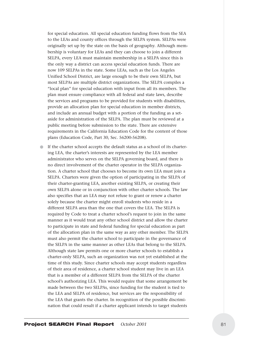for special education. All special education funding flows from the SEA to the LEAs and county offices through the SELPA system. SELPAs were originally set up by the state on the basis of geography. Although membership is voluntary for LEAs and they can choose to join a different SELPA, every LEA must maintain membership in a SELPA since this is the only way a district can access special education funds. There are now 109 SELPAs in the state. Some LEAs, such as the Los Angeles Unified School District, are large enough to be their own SELPA, but most SELPAs are multiple district organizations. The SELPA compiles a "local plan" for special education with input from all its members. The plan must ensure compliance with all federal and state laws, describe the services and programs to be provided for students with disabilities, provide an allocation plan for special education in member districts, and include an annual budget with a portion of the funding as a setaside for administration of the SELPA. The plan must be reviewed at a public meeting before submission to the state. There are extensive requirements in the California Education Code for the content of those plans (Education Code, Part 30, Sec. 56200-56208).

If the charter school accepts the default status as a school of its chartering LEA, the charter's interests are represented by the LEA member administrator who serves on the SELPA governing board, and there is no direct involvement of the charter operator in the SELPA organization. A charter school that chooses to become its own LEA must join a SELPA. Charters were given the option of participating in the SELPA of their charter-granting LEA, another existing SELPA, or creating their own SELPA alone or in conjunction with other charter schools. The law also specifies that an LEA may not refuse to grant or renew a charter solely because the charter might enroll students who reside in a different SELPA area than the one that covers the LEA. The SELPA is required by Code to treat a charter school's request to join in the same manner as it would treat any other school district and allow the charter to participate in state and federal funding for special education as part of the allocation plan in the same way as any other member. The SELPA must also permit the charter school to participate in the governance of the SELPA in the same manner as other LEAs that belong to the SELPA. Although state law permits one or more charter schools to establish a charter-only SELPA, such an organization was not yet established at the time of this study. Since charter schools may accept students regardless of their area of residence, a charter school student may live in an LEA that is a member of a different SELPA from the SELPA of the charter school's authorizing LEA. This would require that some arrangement be made between the two SELPAs, since funding for the student is tied to the LEA and SELPA of residence, but services are the responsibility of the LEA that grants the charter. In recognition of the possible discrimination that could result if a charter applicant intends to target students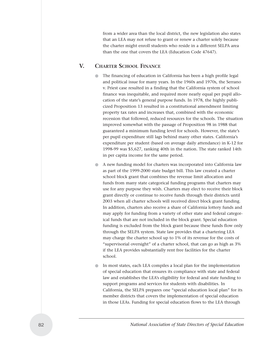from a wider area than the local district, the new legislation also states that an LEA may not refuse to grant or renew a charter solely because the charter might enroll students who reside in a different SELPA area than the one that covers the LEA (Education Code 47647).

## **V. CHARTER SCHOOL FINANCE**

- The financing of education in California has been a high profile legal and political issue for many years. In the 1960s and 1970s, the Serrano v. Priest case resulted in a finding that the California system of school finance was inequitable, and required more nearly equal per pupil allocation of the state's general purpose funds. In 1978, the highly publicized Proposition 13 resulted in a constitutional amendment limiting property tax rates and increases that, combined with the economic recession that followed, reduced resources for the schools. The situation improved somewhat with the passage of Proposition 98 in 1988 that guaranteed a minimum funding level for schools. However, the state's per pupil expenditure still lags behind many other states. California's expenditure per student (based on average daily attendance) in K-12 for 1998-99 was \$5,627, ranking 40th in the nation. The state ranked 14th in per capita income for the same period.
- A new funding model for charters was incorporated into California law as part of the 1999-2000 state budget bill. This law created a charter school block grant that combines the revenue limit allocation and funds from many state categorical funding programs that charters may use for any purpose they wish. Charters may elect to receive their block grant directly or continue to receive funds through their districts until 2003 when all charter schools will received direct block grant funding. In addition, charters also receive a share of California lottery funds and may apply for funding from a variety of other state and federal categorical funds that are not included in the block grant. Special education funding is excluded from the block grant because these funds flow only through the SELPA system. State law provides that a chartering LEA may charge the charter school up to 1% of its revenue for the costs of "supervisorial oversight" of a charter school, that can go as high as 3% if the LEA provides substantially rent free facilities for the charter school.
- In most states, each LEA compiles a local plan for the implementation of special education that ensures its compliance with state and federal law and establishes the LEA's eligibility for federal and state funding to support programs and services for students with disabilities. In California, the SELPA prepares one "special education local plan" for its member districts that covers the implementation of special education in those LEAs. Funding for special education flows to the LEA through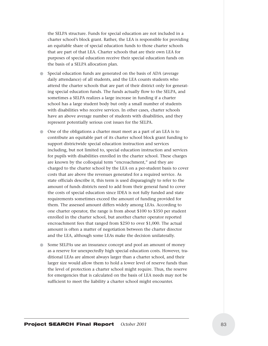the SELPA structure. Funds for special education are not included in a charter school's block grant. Rather, the LEA is responsible for providing an equitable share of special education funds to those charter schools that are part of that LEA. Charter schools that are their own LEA for purposes of special education receive their special education funds on the basis of a SELPA allocation plan.

- Special education funds are generated on the basis of ADA (average daily attendance) of all students, and the LEA counts students who attend the charter schools that are part of their district only for generating special education funds. The funds actually flow to the SELPA, and sometimes a SELPA realizes a large increase in funding if a charter school has a large student body but only a small number of students with disabilities who receive services. In other cases, charter schools have an above average number of students with disabilities, and they represent potentially serious cost issues for the SELPA.
- One of the obligations a charter must meet as a part of an LEA is to contribute an equitable part of its charter school block grant funding to support districtwide special education instruction and services including, but not limited to, special education instruction and services for pupils with disabilities enrolled in the charter school. These charges are known by the colloquial term "encroachment," and they are charged to the charter school by the LEA on a per-student basis to cover costs that are above the revenues generated for a required service. As state officials describe it, this term is used disparagingly to refer to the amount of funds districts need to add from their general fund to cover the costs of special education since IDEA is not fully funded and state requirements sometimes exceed the amount of funding provided for them. The assessed amount differs widely among LEAs. According to one charter operator, the range is from about \$100 to \$350 per student enrolled in the charter school, but another charter operator reported encroachment fees that ranged from \$250 to over \$1,000. The actual amount is often a matter of negotiation between the charter director and the LEA, although some LEAs make the decision unilaterally.
- Some SELPAs use an insurance concept and pool an amount of money as a reserve for unexpectedly high special education costs. However, traditional LEAs are almost always larger than a charter school, and their larger size would allow them to hold a lower level of reserve funds than the level of protection a charter school might require. Thus, the reserve for emergencies that is calculated on the basis of LEA needs may not be sufficient to meet the liability a charter school might encounter.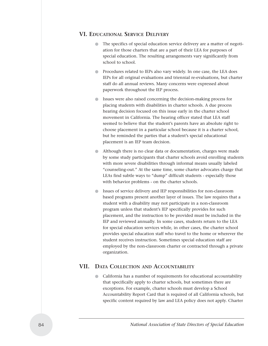#### **VI. EDUCATIONAL SERVICE DELIVERY**

- The specifics of special education service delivery are a matter of negotiation for those charters that are a part of their LEA for purposes of special education. The resulting arrangements vary significantly from school to school.
- Procedures related to IEPs also vary widely. In one case, the LEA does IEPs for all original evaluations and triennial re-evaluations, but charter staff do all annual reviews. Many concerns were expressed about paperwork throughout the IEP process.
- Issues were also raised concerning the decision-making process for placing students with disabilities in charter schools. A due process hearing decision focused on this issue early in the charter school movement in California. The hearing officer stated that LEA staff seemed to believe that the student's parents have an absolute right to choose placement in a particular school because it is a charter school, but he reminded the parties that a student's special educational placement is an IEP team decision.
- Although there is no clear data or documentation, charges were made by some study participants that charter schools avoid enrolling students with more severe disabilities through informal means usually labeled "counseling-out." At the same time, some charter advocates charge that LEAs find subtle ways to "dump" difficult students - especially those with behavior problems - on the charter schools.
- Issues of service delivery and IEP responsibilities for non-classroom based programs present another layer of issues. The law requires that a student with a disability may not participate in a non-classroom program unless that student's IEP specifically provides for such placement, and the instruction to be provided must be included in the IEP and reviewed annually. In some cases, students return to the LEA for special education services while, in other cases, the charter school provides special education staff who travel to the home or wherever the student receives instruction. Sometimes special education staff are employed by the non-classroom charter or contracted through a private organization.

## **VII. DATA COLLECTION AND ACCOUNTABILITY**

● California has a number of requirements for educational accountability that specifically apply to charter schools, but sometimes there are exceptions. For example, charter schools must develop a School Accountability Report Card that is required of all California schools, but specific content required by law and LEA policy does not apply. Charter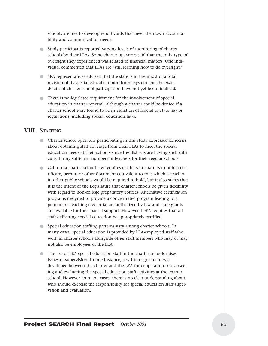schools are free to develop report cards that meet their own accountability and communication needs.

- Study participants reported varying levels of monitoring of charter schools by their LEAs. Some charter operators said that the only type of oversight they experienced was related to financial matters. One individual commented that LEAs are "still learning how to do oversight."
- SEA representatives advised that the state is in the midst of a total revision of its special education monitoring system and the exact details of charter school participation have not yet been finalized.
- There is no legislated requirement for the involvement of special education in charter renewal, although a charter could be denied if a charter school were found to be in violation of federal or state law or regulations, including special education laws.

#### **VIII. STAFFING**

- Charter school operators participating in this study expressed concerns about obtaining staff coverage from their LEAs to meet the special education needs at their schools since the districts are having such difficulty hiring sufficient numbers of teachers for their regular schools.
- California charter school law requires teachers in charters to hold a certificate, permit, or other document equivalent to that which a teacher in other public schools would be required to hold, but it also states that it is the intent of the Legislature that charter schools be given flexibility with regard to non-college preparatory courses. Alternative certification programs designed to provide a concentrated program leading to a permanent teaching credential are authorized by law and state grants are available for their partial support. However, IDEA requires that all staff delivering special education be appropriately certified.
- Special education staffing patterns vary among charter schools. In many cases, special education is provided by LEA-employed staff who work in charter schools alongside other staff members who may or may not also be employees of the LEA.
- The use of LEA special education staff in the charter schools raises issues of supervision. In one instance, a written agreement was developed between the charter and the LEA for cooperation in overseeing and evaluating the special education staff activities at the charter school. However, in many cases, there is no clear understanding about who should exercise the responsibility for special education staff supervision and evaluation.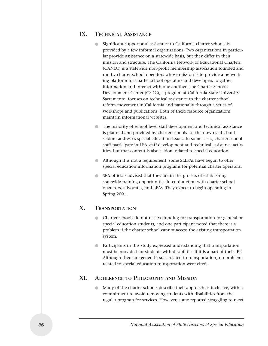## **IX. TECHNICAL ASSISTANCE**

- Significant support and assistance to California charter schools is provided by a few informal organizations. Two organizations in particular provide assistance on a statewide basis, but they differ in their mission and structure. The California Network of Educational Charters (CANEC) is a statewide non-profit membership association founded and run by charter school operators whose mission is to provide a networking platform for charter school operators and developers to gather information and interact with one another. The Charter Schools Development Center (CSDC), a program at California State University Sacramento, focuses on technical assistance to the charter school reform movement in California and nationally through a series of workshops and publications. Both of these resource organizations maintain informational websites.
- The majority of school-level staff development and technical assistance is planned and provided by charter schools for their own staff, but it seldom addresses special education issues. In some cases, charter school staff participate in LEA staff development and technical assistance activities, but that content is also seldom related to special education.
- Although it is not a requirement, some SELPAs have begun to offer special education information programs for potential charter operators.
- SEA officials advised that they are in the process of establishing statewide training opportunities in conjunction with charter school operators, advocates, and LEAs. They expect to begin operating in Spring 2001.

#### **X. TRANSPORTATION**

- Charter schools do not receive funding for transportation for general or special education students, and one participant noted that there is a problem if the charter school cannot access the existing transportation system.
- Participants in this study expressed understanding that transportation must be provided for students with disabilities if it is a part of their IEP. Although there are general issues related to transportation, no problems related to special education transportation were cited.

#### **XI. ADHERENCE TO PHILOSOPHY AND MISSION**

● Many of the charter schools describe their approach as inclusive, with a commitment to avoid removing students with disabilities from the regular program for services. However, some reported struggling to meet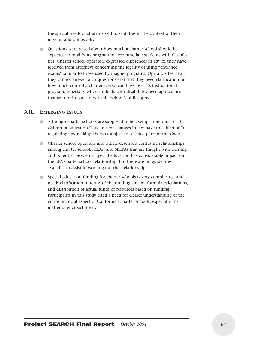the special needs of students with disabilities in the context of their mission and philosophy.

● Questions were raised about how much a charter school should be expected to modify its program to accommodate students with disabilities. Charter school operators expressed differences in advice they have received from attorneys concerning the legality of using "entrance exams" similar to those used by magnet programs. Operators feel that they cannot answer such questions and that they need clarification on how much control a charter school can have over its instructional program, especially when students with disabilities need approaches that are not in concert with the school's philosophy.

#### **XII. EMERGING ISSUES**

- Although charter schools are supposed to be exempt from most of the California Education Code, recent changes in law have the effect of "reregulating" by making charters subject to selected parts of the Code.
- Charter school operators and others described confusing relationships among charter schools, LEAs, and SELPAs that are fraught with existing and potential problems. Special education has considerable impact on the LEA-charter school relationship, but there are no guidelines available to assist in working out that relationship.
- Special education funding for charter schools is very complicated and needs clarification in terms of the funding stream, formula calculations, and distribution of actual funds or resources based on funding. Participants in this study cited a need for clearer understanding of the entire financial aspect of California's charter schools, especially the matter of encroachment.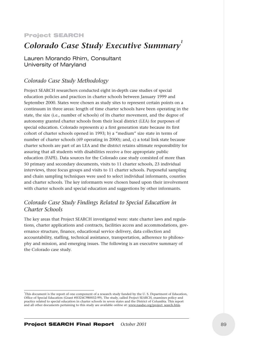#### Project SEARCH

# **Colorado Case Study Executive Summary**<sup>1</sup>

Lauren Morando Rhim, Consultant University of Maryland

#### *Colorado Case Study Methodology*

Project SEARCH researchers conducted eight in-depth case studies of special education policies and practices in charter schools between January 1999 and September 2000. States were chosen as study sites to represent certain points on a continuum in three areas: length of time charter schools have been operating in the state, the size (i.e., number of schools) of its charter movement, and the degree of autonomy granted charter schools from their local district (LEA) for purposes of special education. Colorado represents a) a first generation state because its first cohort of charter schools opened in 1993; b) a "medium" size state in terms of number of charter schools (69 operating in 2000); and, c) a total link state because charter schools are part of an LEA and the district retains ultimate responsibility for assuring that all students with disabilities receive a free appropriate public education (FAPE). Data sources for the Colorado case study consisted of more than 50 primary and secondary documents, visits to 11 charter schools, 23 individual interviews, three focus groups and visits to 11 charter schools. Purposeful sampling and chain sampling techniques were used to select individual informants, counties and charter schools. The key informants were chosen based upon their involvement with charter schools and special education and suggestions by other informants.

## *Colorado Case Study Findings Related to Special Education in Charter Schools*

The key areas that Project SEARCH investigated were: state charter laws and regulations, charter applications and contracts, facilities access and accommodations, governance structure, finance, educational service delivery, data collection and accountability, staffing, technical assistance, transportation, adherence to philosophy and mission, and emerging issues. The following is an executive summary of the Colorado case study.

<sup>1</sup> This document is the report of one component of a research study funded by the U. S. Department of Education, Office of Special Education (Grant #H324C980032-99). The study, called Project SEARCH, examines policy and practice related to special education in charter schools in seven states and the District of Columbia. This report and all other documents pertaining to this study are available online at: www.nasdse.org/project\_search.htm.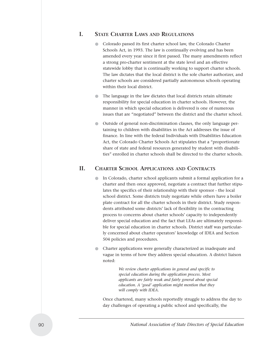## **I. STATE CHARTER LAWS AND REGULATIONS**

- Colorado passed its first charter school law, the Colorado Charter Schools Act, in 1993. The law is continually evolving and has been amended every year since it first passed. The many amendments reflect a strong pro-charter sentiment at the state level and an effective statewide lobby that is continually working to support charter schools. The law dictates that the local district is the sole charter authorizer, and charter schools are considered partially autonomous schools operating within their local district.
- The language in the law dictates that local districts retain ultimate responsibility for special education in charter schools. However, the manner in which special education is delivered is one of numerous issues that are "negotiated" between the district and the charter school.
- Outside of general non-discrimination clauses, the only language pertaining to children with disabilities in the Act addresses the issue of finance. In line with the federal Individuals with Disabilities Education Act, the Colorado Charter Schools Act stipulates that a "proportionate share of state and federal resources generated by student with disabilities" enrolled in charter schools shall be directed to the charter schools.

## **II. CHARTER SCHOOL APPLICATIONS AND CONTRACTS**

- In Colorado, charter school applicants submit a formal application for a charter and then once approved, negotiate a contract that further stipulates the specifics of their relationship with their sponsor - the local school district. Some districts truly negotiate while others have a boiler plate contract for all the charter schools in their district. Study respondents attributed some districts' lack of flexibility in the contracting process to concerns about charter schools' capacity to independently deliver special education and the fact that LEAs are ultimately responsible for special education in charter schools. District staff was particularly concerned about charter operators' knowledge of IDEA and Section 504 policies and procedures.
- Charter applications were generally characterized as inadequate and vague in terms of how they address special education. A district liaison noted:

*We review charter applications in general and specific to special education during the application process. Most applicants are fairly weak and fairly general about special education. A 'good' application might mention that they will comply with IDEA.* 

Once chartered, many schools reportedly struggle to address the day to day challenges of operating a public school and specifically, the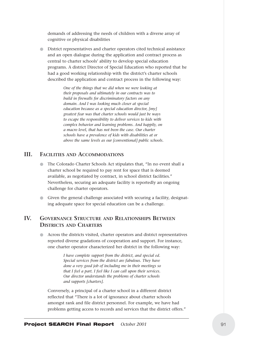demands of addressing the needs of children with a diverse array of cognitive or physical disabilities

● District representatives and charter operators cited technical assistance and an open dialogue during the application and contract process as central to charter schools' ability to develop special education programs. A district Director of Special Education who reported that he had a good working relationship with the district's charter schools described the application and contract process in the following way:

> *One of the things that we did when we were looking at their proposals and ultimately in our contracts was to build in firewalls for discriminatory factors on any domain. And I was looking much closer at special education because as a special education director, [my] greatest fear was that charter schools would just be ways to escape the responsibility to deliver services to kids with complex behavior and learning problems. And happily, on a macro level, that has not been the case. Our charter schools have a prevalence of kids with disabilities at or above the same levels as our [conventional] public schools.*

#### **III. FACILITIES AND ACCOMMODATIONS**

- The Colorado Charter Schools Act stipulates that, "In no event shall a charter school be required to pay rent for space that is deemed available, as negotiated by contract, in school district facilities." Nevertheless, securing an adequate facility is reportedly an ongoing challenge for charter operators.
- Given the general challenge associated with securing a facility, designating adequate space for special education can be a challenge.

## **IV. GOVERNANCE STRUCTURE AND RELATIONSHIPS BETWEEN DISTRICTS AND CHARTERS**

● Across the districts visited, charter operators and district representatives reported diverse gradations of cooperation and support. For instance, one charter operator characterized her district in the following way:

> *I have complete support from the district, and special ed. Special services from the district are fabulous. They have done a very good job of including me in their meetings so that I feel a part. I feel like I can call upon their services. Our director understands the problems of charter schools and supports [charters].*

Conversely, a principal of a charter school in a different district reflected that "There is a lot of ignorance about charter schools amongst rank and file district personnel. For example, we have had problems getting access to records and services that the district offers."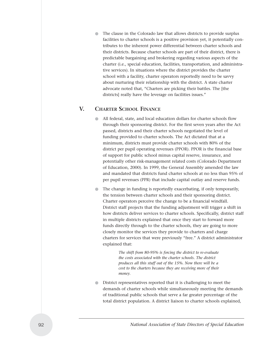The clause in the Colorado law that allows districts to provide surplus facilities to charter schools is a positive provision yet, it potentially contributes to the inherent power differential between charter schools and their districts. Because charter schools are part of their district, there is predictable bargaining and brokering regarding various aspects of the charter (i.e., special education, facilities, transportation, and administrative services). In situations where the district provides the charter school with a facility, charter operators reportedly need to be savvy about nurturing their relationship with the district. A state charter advocate noted that, "Charters are picking their battles. The [the districts] really have the leverage on facilities issues."

## **V. CHARTER SCHOOL FINANCE**

- All federal, state, and local education dollars for charter schools flow through their sponsoring district. For the first seven years after the Act passed, districts and their charter schools negotiated the level of funding provided to charter schools. The Act dictated that at a minimum, districts must provide charter schools with 80% of the district per pupil operating revenues (PPOR). PPOR is the financial base of support for public school minus capital reserve, insurance, and potentially other risk-management related costs (Colorado Department of Education, 2000). In 1999, the General Assembly amended the law and mandated that districts fund charter schools at no less than 95% of per pupil revenues (PPR) that include capital outlay and reserve funds.
- The change in funding is reportedly exacerbating, if only temporarily, the tension between charter schools and their sponsoring district. Charter operators perceive the change to be a financial windfall. District staff projects that the funding adjustment will trigger a shift in how districts deliver services to charter schools. Specifically, district staff in multiple districts explained that once they start to forward more funds directly through to the charter schools, they are going to more closely monitor the services they provide to charters and charge charters for services that were previously "free." A district administrator explained that:

*The shift from 80-95% is forcing the district to re-evaluate the costs associated with the charter schools. The district produces all this stuff out of the 15%. Now there will be a cost to the charters because they are receiving more of their money.*

District representatives reported that it is challenging to meet the demands of charter schools while simultaneously meeting the demands of traditional public schools that serve a far greater percentage of the total district population. A district liaison to charter schools explained,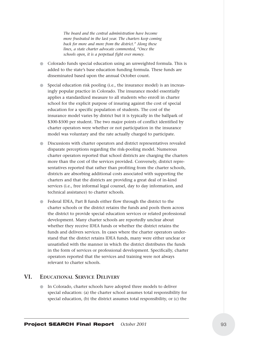*The board and the central administration have become more frustrated in the last year. The charters keep coming back for more and more from the district." Along these lines, a state charter advocate commented, "Once the schools open, it is a perpetual fight over money.*

- Colorado funds special education using an unweighted formula. This is added to the state's base education funding formula. These funds are disseminated based upon the annual October count.
- Special education risk pooling (i.e., the insurance model) is an increasingly popular practice in Colorado. The insurance model essentially applies a standardized measure to all students who enroll in charter school for the explicit purpose of insuring against the cost of special education for a specific population of students. The cost of the insurance model varies by district but it is typically in the ballpark of \$300-\$500 per student. The two major points of conflict identified by charter operators were whether or not participation in the insurance model was voluntary and the rate actually charged to participate.
- Discussions with charter operators and district representatives revealed disparate perceptions regarding the risk-pooling model. Numerous charter operators reported that school districts are charging the charters more than the cost of the services provided. Conversely, district representatives reported that rather than profiting from the charter schools, districts are absorbing additional costs associated with supporting the charters and that the districts are providing a great deal of in-kind services (i.e., free informal legal counsel, day to day information, and technical assistance) to charter schools.
- Federal IDEA, Part B funds either flow through the district to the charter schools or the district retains the funds and pools them across the district to provide special education services or related professional development. Many charter schools are reportedly unclear about whether they receive IDEA funds or whether the district retains the funds and delivers services. In cases where the charter operators understand that the district retains IDEA funds, many were either unclear or unsatisfied with the manner in which the district distributes the funds in the form of services or professional development. Specifically, charter operators reported that the services and training were not always relevant to charter schools.

## **VI. EDUCATIONAL SERVICE DELIVERY**

● In Colorado, charter schools have adopted three models to deliver special education: (a) the charter school assumes total responsibility for special education, (b) the district assumes total responsibility, or (c) the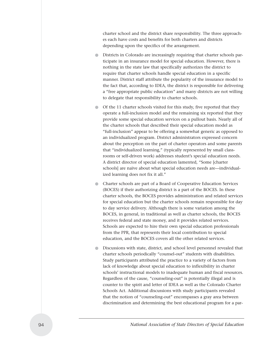charter school and the district share responsibility. The three approaches each have costs and benefits for both charters and districts depending upon the specifics of the arrangement.

- Districts in Colorado are increasingly requiring that charter schools participate in an insurance model for special education. However, there is nothing in the state law that specifically authorizes the district to require that charter schools handle special education in a specific manner. District staff attribute the popularity of the insurance model to the fact that, according to IDEA, the district is responsible for delivering a "free appropriate public education" and many districts are not willing to delegate that responsibility to charter schools.
- Of the 11 charter schools visited for this study, five reported that they operate a full-inclusion model and the remaining six reported that they provide some special education services on a pullout basis. Nearly all of the charter schools that described their special education model as "full-inclusion" appear to be offering a somewhat generic as opposed to an individualized program. District administrators expressed concern about the perception on the part of charter operators and some parents that "individualized learning," (typically represented by small classrooms or self-driven work) addresses student's special education needs. A district director of special education lamented, "Some [charter schools] are naïve about what special education needs are—individualized learning does not fix it all."
- Charter schools are part of a Board of Cooperative Education Services (BOCES) if their authorizing district is a part of the BOCES. In these charter schools, the BOCES provides administration and related services for special education but the charter schools remain responsible for day to day service delivery. Although there is some variation among the BOCES, in general, in traditional as well as charter schools, the BOCES receives federal and state money, and it provides related services. Schools are expected to hire their own special education professionals from the PPR, that represents their local contribution to special education, and the BOCES covers all the other related services.
- Discussions with state, district, and school level personnel revealed that charter schools periodically "counsel-out" students with disabilities. Study participants attributed the practice to a variety of factors from lack of knowledge about special education to inflexibility in charter schools' instructional models to inadequate human and fiscal resources. Regardless of the cause, "counseling-out" is potentially illegal and is counter to the spirit and letter of IDEA as well as the Colorado Charter Schools Act. Additional discussions with study participants revealed that the notion of "counseling-out" encompasses a gray area between discrimination and determining the best educational program for a par-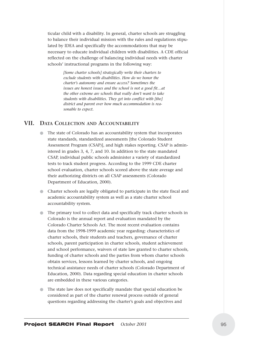ticular child with a disability. In general, charter schools are struggling to balance their individual mission with the rules and regulations stipulated by IDEA and specifically the accommodations that may be necessary to educate individual children with disabilities. A CDE official reflected on the challenge of balancing individual needs with charter schools' instructional programs in the following way:

> *[Some charter schools] strategically write their charters to exclude students with disabilities. How do we honor the charter's autonomy and ensure access? Sometimes the issues are honest issues and the school is not a good fit…at the other extreme are schools that really don't want to take students with disabilities. They get into conflict with [the] district and parent over how much accommodation is reasonable to expect.*

#### **VII. DATA COLLECTION AND ACCOUNTABILITY**

- The state of Colorado has an accountability system that incorporates state standards, standardized assessments [the Colorado Student Assessment Program (CSAP)], and high stakes reporting. CSAP is administered in grades 3, 4, 7, and 10. In addition to the state mandated CSAP, individual public schools administer a variety of standardized tests to track student progress. According to the 1999 CDE charter school evaluation, charter schools scored above the state average and their authorizing districts on all CSAP assessments (Colorado Department of Education, 2000).
- Charter schools are legally obligated to participate in the state fiscal and academic accountability system as well as a state charter school accountability system.
- The primary tool to collect data and specifically track charter schools in Colorado is the annual report and evaluation mandated by the Colorado Charter Schools Act. The most recent evaluation contains data from the 1998-1999 academic year regarding: characteristics of charter schools, their students and teachers, governance of charter schools, parent participation in charter schools, student achievement and school performance, waivers of state law granted to charter schools, funding of charter schools and the parties from whom charter schools obtain services, lessons learned by charter schools, and ongoing technical assistance needs of charter schools (Colorado Department of Education, 2000). Data regarding special education in charter schools are embedded in these various categories.
- The state law does not specifically mandate that special education be considered as part of the charter renewal process outside of general questions regarding addressing the charter's goals and objectives and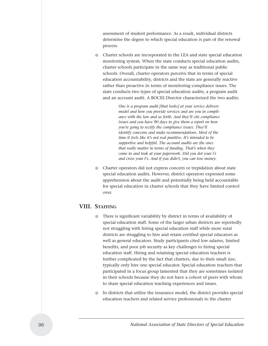assessment of student performance. As a result, individual districts determine the degree to which special education is part of the renewal process.

● Charter schools are incorporated in the LEA and state special education monitoring system. When the state conducts special education audits, charter schools participate in the same way as traditional public schools. Overall, charter operators perceive that in terms of special education accountability, districts and the state are generally reactive rather than proactive in terms of monitoring compliance issues. The state conducts two types of special education audits, a program audit and an account audit. A BOCES Director characterized the two audits:

> *One is a program audit [that looks] at your service delivery model and how you provide services and are you in compliance with the law and so forth. And they'll cite compliance issues and you have 90 days to give them a report on how you're going to rectify the compliance issues. They'll identify concerns and make recommendations. Most of the time it feels like it's not real punitive. It's intended to be supportive and helpful. The account audits are the ones that really matter in terms of funding. That's when they come in and look at your paperwork. Did you dot your i's and cross your t's. And if you didn't, you can lose money.*

Charter operators did not express concern or trepidation about state special education audits. However, district operators expressed some apprehension about the audit and potentially being held accountable for special education in charter schools that they have limited control over.

#### **VIII. STAFFING**

- There is significant variability by district in terms of availability of special education staff. Some of the larger urban districts are reportedly not struggling with hiring special education staff while more rural districts are struggling to hire and retain certified special educators as well as general educators. Study participants cited low salaries, limited benefits, and poor job security as key challenges to hiring special education staff. Hiring and retaining special education teachers is further complicated by the fact that charters, due to their small size, typically only hire one special educator. Special education teachers that participated in a focus group lamented that they are sometimes isolated in their schools because they do not have a cohort of peers with whom to share special education teaching experiences and issues.
- In districts that utilize the insurance model, the district provides special education teachers and related service professionals to the charter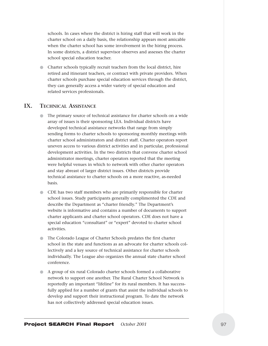schools. In cases where the district is hiring staff that will work in the charter school on a daily basis, the relationship appears most amicable when the charter school has some involvement in the hiring process. In some districts, a district supervisor observes and assesses the charter school special education teacher.

● Charter schools typically recruit teachers from the local district, hire retired and itinerant teachers, or contract with private providers. When charter schools purchase special education services through the district, they can generally access a wider variety of special education and related services professionals.

#### **IX. TECHNICAL ASSISTANCE**

- The primary source of technical assistance for charter schools on a wide array of issues is their sponsoring LEA. Individual districts have developed technical assistance networks that range from simply sending forms to charter schools to sponsoring monthly meetings with charter school administrators and district staff. Charter operators report uneven access to various district activities and in particular, professional development activities. In the two districts that convene charter school administrator meetings, charter operators reported that the meeting were helpful venues in which to network with other charter operators and stay abreast of larger district issues. Other districts provide technical assistance to charter schools on a more reactive, as-needed basis.
- CDE has two staff members who are primarily responsible for charter school issues. Study participants generally complimented the CDE and describe the Department as "charter friendly." The Department's website is informative and contains a number of documents to support charter applicants and charter school operators. CDE does not have a special education "consultant" or "expert" devoted to charter school activities.
- The Colorado League of Charter Schools predates the first charter school in the state and functions as an advocate for charter schools collectively and a key source of technical assistance for charter schools individually. The League also organizes the annual state charter school conference.
- A group of six rural Colorado charter schools formed a collaborative network to support one another. The Rural Charter School Network is reportedly an important "lifeline" for its rural members. It has successfully applied for a number of grants that assist the individual schools to develop and support their instructional program. To date the network has not collectively addressed special education issues.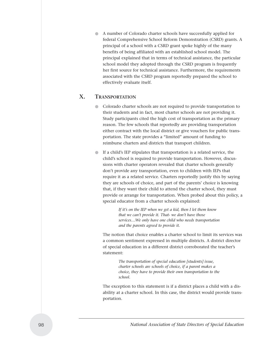● A number of Colorado charter schools have successfully applied for federal Comprehensive School Reform Demonstration (CSRD) grants. A principal of a school with a CSRD grant spoke highly of the many benefits of being affiliated with an established school model. The principal explained that in terms of technical assistance, the particular school model they adopted through the CSRD program is frequently her first source for technical assistance. Furthermore, the requirements associated with the CSRD program reportedly prepared the school to effectively evaluate itself.

## **X. TRANSPORTATION**

- Colorado charter schools are not required to provide transportation to their students and in fact, most charter schools are not providing it. Study participants cited the high cost of transportation as the primary reason. The few schools that reportedly are providing transportation either contract with the local district or give vouchers for public transportation. The state provides a "limited" amount of funding to reimburse charters and districts that transport children.
- If a child's IEP stipulates that transportation is a related service, the child's school is required to provide transportation. However, discussions with charter operators revealed that charter schools generally don't provide any transportation, even to children with IEPs that require it as a related service. Charters reportedly justify this by saying they are schools of choice, and part of the parents' choice is knowing that, if they want their child to attend the charter school, they must provide or arrange for transportation. When probed about this policy, a special educator from a charter schools explained:

*If it's on the IEP when we get a kid, then I let them know that we can't provide it. That- we don't have those services…We only have one child who needs transportation and the parents agreed to provide it.* 

The notion that choice enables a charter school to limit its services was a common sentiment expressed in multiple districts. A district director of special education in a different district corroborated the teacher's statement:

> *The transportation of special education [students] issue, charter schools are schools of choice, if a parent makes a choice, they have to provide their own transportation to the school.*

The exception to this statement is if a district places a child with a disability at a charter school. In this case, the district would provide transportation.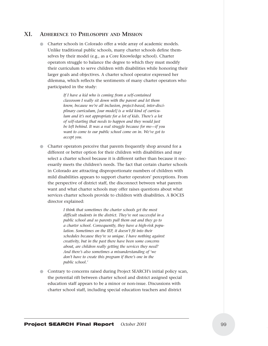### **XI. ADHERENCE TO PHILOSOPHY AND MISSION**

● Charter schools in Colorado offer a wide array of academic models. Unlike traditional public schools, many charter schools define themselves by their model (e.g., as a Core Knowledge school). Charter operators struggle to balance the degree to which they must modify their curriculum to serve children with disabilities while honoring their larger goals and objectives. A charter school operator expressed her dilemma, which reflects the sentiments of many charter operators who participated in the study:

> *If I have a kid who is coming from a self-contained classroom I really sit down with the parent and let them know, because we're all inclusion, project-based, inter-disciplinary curriculum, [our model] is a wild kind of curriculum and it's not appropriate for a lot of kids. There's a lot of self-starting that needs to happen and they would just be left behind. It was a real struggle because for me—if you want to come to our public school come on in. We've got to accept you.*

Charter operators perceive that parents frequently shop around for a different or better option for their children with disabilities and may select a charter school because it is different rather than because it necessarily meets the children's needs. The fact that certain charter schools in Colorado are attracting disproportionate numbers of children with mild disabilities appears to support charter operators' perceptions. From the perspective of district staff, the disconnect between what parents want and what charter schools may offer raises questions about what services charter schools provide to children with disabilities. A BOCES director explained:

> *I think that sometimes the charter schools get the most difficult students in the district. They're not successful in a public school and so parents pull them out and they go to a charter school. Consequently, they have a high-risk population. Sometimes on the IEP, it doesn't fit into their schedules because they're so unique. I have nothing against creativity, but in the past there have been some concerns about, are children really getting the services they need? And there's also sometimes a misunderstanding of 'we don't have to create this program if there's one in the public school.'*

● Contrary to concerns raised during Project SEARCH's initial policy scan, the potential rift between charter school and district assigned special education staff appears to be a minor or non-issue. Discussions with charter school staff, including special education teachers and district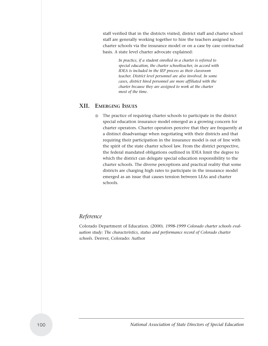staff verified that in the districts visited, district staff and charter school staff are generally working together to hire the teachers assigned to charter schools via the insurance model or on a case by case contractual basis. A state level charter advocate explained:

> *In practice, if a student enrolled in a charter is referred to special education, the charter schoolteacher, in accord with IDEA is included in the IEP process as their classroom teacher. District level personnel are also involved. In some cases, district hired personnel are more affiliated with the charter because they are assigned to work at the charter most of the time.*

#### **XII. EMERGING ISSUES**

The practice of requiring charter schools to participate in the district special education insurance model emerged as a growing concern for charter operators. Charter operators perceive that they are frequently at a distinct disadvantage when negotiating with their districts and that requiring their participation in the insurance model is out of line with the spirit of the state charter school law. From the district perspective, the federal mandated obligations outlined in IDEA limit the degree to which the district can delegate special education responsibility to the charter schools. The diverse perceptions and practical reality that some districts are charging high rates to participate in the insurance model emerged as an issue that causes tension between LEAs and charter schools.

## *Reference*

Colorado Department of Education. (2000). *1998-1999 Colorado charter schools evaluation study: The characteristics, status and performance record of Colorado charter schools.* Denver, Colorado: Author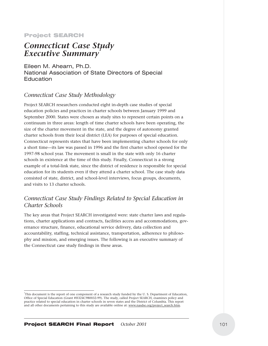#### Project SEARCH

## *Connecticut Case Study Executive Summary1*

Eileen M. Ahearn, Ph.D. National Association of State Directors of Special **Education** 

## *Connecticut Case Study Methodology*

Project SEARCH researchers conducted eight in-depth case studies of special education policies and practices in charter schools between January 1999 and September 2000. States were chosen as study sites to represent certain points on a continuum in three areas: length of time charter schools have been operating, the size of the charter movement in the state, and the degree of autonomy granted charter schools from their local district (LEA) for purposes of special education. Connecticut represents states that have been implementing charter schools for only a short time—its law was passed in 1996 and the first charter school opened for the 1997-98 school year. The movement is small in the state with only 16 charter schools in existence at the time of this study. Finally, Connecticut is a strong example of a total-link state, since the district of residence is responsible for special education for its students even if they attend a charter school. The case study data consisted of state, district, and school-level interviews, focus groups, documents, and visits to 13 charter schools.

## *Connecticut Case Study Findings Related to Special Education in Charter Schools*

The key areas that Project SEARCH investigated were: state charter laws and regulations, charter applications and contracts, facilities access and accommodations, governance structure, finance, educational service delivery, data collection and accountability, staffing, technical assistance, transportation, adherence to philosophy and mission, and emerging issues. The following is an executive summary of the Connecticut case study findings in these areas.

<sup>1</sup> This document is the report of one component of a research study funded by the U. S. Department of Education, Office of Special Education (Grant #H324C980032-99). The study, called Project SEARCH, examines policy and practice related to special education in charter schools in seven states and the District of Columbia. This report and all other documents pertaining to this study are available online at: www.nasdse.org/project\_search.htm.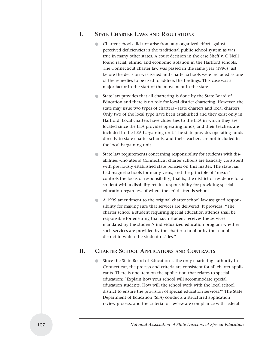#### **I. STATE CHARTER LAWS AND REGULATIONS**

- Charter schools did not arise from any organized effort against perceived deficiencies in the traditional public school system as was true in many other states. A court decision in the case Sheff v. O'Neill found racial, ethnic, and economic isolation in the Hartford schools. The Connecticut charter law was passed in the same year (1996) just before the decision was issued and charter schools were included as one of the remedies to be used to address the findings. This case was a major factor in the start of the movement in the state.
- State law provides that all chartering is done by the State Board of Education and there is no role for local district chartering. However, the state may issue two types of charters - state charters and local charters. Only two of the local type have been established and they exist only in Hartford. Local charters have closer ties to the LEA in which they are located since the LEA provides operating funds, and their teachers are included in the LEA bargaining unit. The state provides operating funds directly to state charter schools, and their teachers are not included in the local bargaining unit.
- State law requirements concerning responsibility for students with disabilities who attend Connecticut charter schools are basically consistent with previously established state policies on this matter. The state has had magnet schools for many years, and the principle of "nexus" controls the locus of responsibility; that is, the district of residence for a student with a disability retains responsibility for providing special education regardless of where the child attends school.
- A 1999 amendment to the original charter school law assigned responsibility for making sure that services are delivered. It provides: "The charter school a student requiring special education attends shall be responsible for ensuring that such student receives the services mandated by the student's individualized education program whether such services are provided by the charter school or by the school district in which the student resides."

#### **II. CHARTER SCHOOL APPLICATIONS AND CONTRACTS**

Since the State Board of Education is the only chartering authority in Connecticut, the process and criteria are consistent for all charter applicants. There is one item on the application that relates to special education: "Explain how your school will accommodate special education students. How will the school work with the local school district to ensure the provision of special education services?" The State Department of Education (SEA) conducts a structured application review process, and the criteria for review are compliance with federal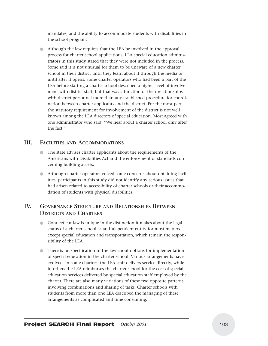mandates, and the ability to accommodate students with disabilities in the school program.

● Although the law requires that the LEA be involved in the approval process for charter school applications, LEA special education administrators in this study stated that they were not included in the process. Some said it is not unusual for them to be unaware of a new charter school in their district until they learn about it through the media or until after it opens. Some charter operators who had been a part of the LEA before starting a charter school described a higher level of involvement with district staff, but that was a function of their relationships with district personnel more than any established procedure for coordination between charter applicants and the district. For the most part, the statutory requirement for involvement of the district is not well known among the LEA directors of special education. Most agreed with one administrator who said, "We hear about a charter school only after the fact."

# **III. FACILITIES AND ACCOMMODATIONS**

- The state advises charter applicants about the requirements of the Americans with Disabilities Act and the enforcement of standards concerning building access.
- Although charter operators voiced some concerns about obtaining facilities, participants in this study did not identify any serious issues that had arisen related to accessibility of charter schools or their accommodation of students with physical disabilities.

# **IV. GOVERNANCE STRUCTURE AND RELATIONSHIPS BETWEEN DISTRICTS AND CHARTERS**

- Connecticut law is unique in the distinction it makes about the legal status of a charter school as an independent entity for most matters except special education and transportation, which remain the responsibility of the LEA.
- There is no specification in the law about options for implementation of special education in the charter school. Various arrangements have evolved. In some charters, the LEA staff delivers service directly, while in others the LEA reimburses the charter school for the cost of special education services delivered by special education staff employed by the charter. There are also many variations of these two opposite patterns involving combinations and sharing of tasks. Charter schools with students from more than one LEA described the managing of these arrangements as complicated and time consuming.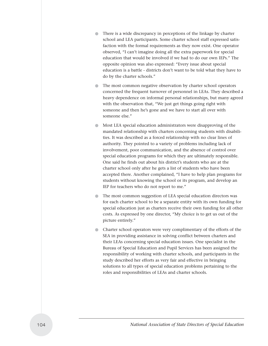- There is a wide discrepancy in perceptions of the linkage by charter school and LEA participants. Some charter school staff expressed satisfaction with the formal requirements as they now exist. One operator observed, "I can't imagine doing all the extra paperwork for special education that would be involved if we had to do our own IEPs." The opposite opinion was also expressed: "Every issue about special education is a battle - districts don't want to be told what they have to do by the charter schools."
- The most common negative observation by charter school operators concerned the frequent turnover of personnel in LEAs. They described a heavy dependence on informal personal relationships, but many agreed with the observation that, "We just get things going right with someone and then he's gone and we have to start all over with someone else."
- Most LEA special education administrators were disapproving of the mandated relationship with charters concerning students with disabilities. It was described as a forced relationship with no clear lines of authority. They pointed to a variety of problems including lack of involvement, poor communication, and the absence of control over special education programs for which they are ultimately responsible. One said he finds out about his district's students who are at the charter school only after he gets a list of students who have been accepted there. Another complained, "I have to help plan programs for students without knowing the school or its program, and develop an IEP for teachers who do not report to me."
- The most common suggestion of LEA special education directors was for each charter school to be a separate entity with its own funding for special education just as charters receive their own funding for all other costs. As expressed by one director, "My choice is to get us out of the picture entirely."
- Charter school operators were very complimentary of the efforts of the SEA in providing assistance in solving conflict between charters and their LEAs concerning special education issues. One specialist in the Bureau of Special Education and Pupil Services has been assigned the responsibility of working with charter schools, and participants in the study described her efforts as very fair and effective in bringing solutions to all types of special education problems pertaining to the roles and responsibilities of LEAs and charter schools.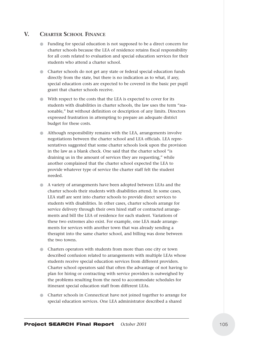# **V. CHARTER SCHOOL FINANCE**

- Funding for special education is not supposed to be a direct concern for charter schools because the LEA of residence retains fiscal responsibility for all costs related to evaluation and special education services for their students who attend a charter school.
- Charter schools do not get any state or federal special education funds directly from the state, but there is no indication as to what, if any, special education costs are expected to be covered in the basic per pupil grant that charter schools receive.
- With respect to the costs that the LEA is expected to cover for its students with disabilities in charter schools, the law uses the term "reasonable," but without definition or description of any limits. Directors expressed frustration in attempting to prepare an adequate district budget for these costs.
- Although responsibility remains with the LEA, arrangements involve negotiations between the charter school and LEA officials. LEA representatives suggested that some charter schools look upon the provision in the law as a blank check. One said that the charter school "is draining us in the amount of services they are requesting," while another complained that the charter school expected the LEA to provide whatever type of service the charter staff felt the student needed.
- A variety of arrangements have been adopted between LEAs and the charter schools their students with disabilities attend. In some cases, LEA staff are sent into charter schools to provide direct services to students with disabilities. In other cases, charter schools arrange for service delivery through their own hired staff or contracted arrangements and bill the LEA of residence for each student. Variations of these two extremes also exist. For example, one LEA made arrangements for services with another town that was already sending a therapist into the same charter school, and billing was done between the two towns.
- Charters operators with students from more than one city or town described confusion related to arrangements with multiple LEAs whose students receive special education services from different providers. Charter school operators said that often the advantage of not having to plan for hiring or contracting with service providers is outweighed by the problems resulting from the need to accommodate schedules for itinerant special education staff from different LEAs.
- Charter schools in Connecticut have not joined together to arrange for special education services. One LEA administrator described a shared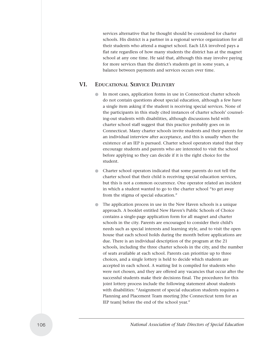services alternative that he thought should be considered for charter schools. His district is a partner in a regional service organization for all their students who attend a magnet school. Each LEA involved pays a flat rate regardless of how many students the district has at the magnet school at any one time. He said that, although this may involve paying for more services than the district's students get in some years, a balance between payments and services occurs over time.

# **VI. EDUCATIONAL SERVICE DELIVERY**

- In most cases, application forms in use in Connecticut charter schools do not contain questions about special education, although a few have a single item asking if the student is receiving special services. None of the participants in this study cited instances of charter schools' counseling-out students with disabilities, although discussions held with charter school staff suggest that this practice probably goes on in Connecticut. Many charter schools invite students and their parents for an individual interview after acceptance, and this is usually when the existence of an IEP is pursued. Charter school operators stated that they encourage students and parents who are interested to visit the school before applying so they can decide if it is the right choice for the student.
- Charter school operators indicated that some parents do not tell the charter school that their child is receiving special education services, but this is not a common occurrence. One operator related an incident in which a student wanted to go to the charter school "to get away from the stigma of special education."
- The application process in use in the New Haven schools is a unique approach. A booklet entitled New Haven's Public Schools of Choice contains a single-page application form for all magnet and charter schools in the city. Parents are encouraged to consider their child's needs such as special interests and learning style, and to visit the open house that each school holds during the month before applications are due. There is an individual description of the program at the 21 schools, including the three charter schools in the city, and the number of seats available at each school. Parents can prioritize up to three choices, and a single lottery is held to decide which students are accepted in each school. A waiting list is compiled for students who were not chosen, and they are offered any vacancies that occur after the successful students make their decisions final. The procedures for this joint lottery process include the following statement about students with disabilities: "Assignment of special education students requires a Planning and Placement Team meeting [the Connecticut term for an IEP team] before the end of the school year."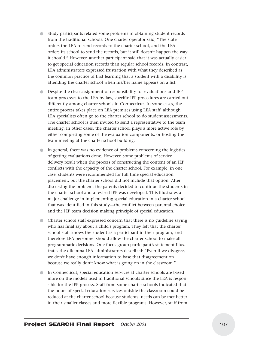- Study participants related some problems in obtaining student records from the traditional schools. One charter operator said, "The state orders the LEA to send records to the charter school, and the LEA orders its school to send the records, but it still doesn't happen the way it should." However, another participant said that it was actually easier to get special education records than regular school records. In contrast, LEA administrators expressed frustration with what they described as the common practice of first learning that a student with a disability is attending the charter school when his/her name appears on a list.
- Despite the clear assignment of responsibility for evaluations and IEP team processes to the LEA by law, specific IEP procedures are carried out differently among charter schools in Connecticut. In some cases, the entire process takes place on LEA premises using LEA staff, although LEA specialists often go to the charter school to do student assessments. The charter school is then invited to send a representative to the team meeting. In other cases, the charter school plays a more active role by either completing some of the evaluation components, or hosting the team meeting at the charter school building.
- In general, there was no evidence of problems concerning the logistics of getting evaluations done. However, some problems of service delivery result when the process of constructing the content of an IEP conflicts with the capacity of the charter school. For example, in one case, students were recommended for full time special education placement, but the charter school did not include that option. After discussing the problem, the parents decided to continue the students in the charter school and a revised IEP was developed. This illustrates a major challenge in implementing special education in a charter school that was identified in this study—the conflict between parental choice and the IEP team decision making principle of special education.
- Charter school staff expressed concern that there is no guideline saying who has final say about a child's program. They felt that the charter school staff knows the student as a participant in their program, and therefore LEA personnel should allow the charter school to make all programmatic decisions. One focus group participant's statement illustrates the dilemma LEA administrators described: "Even if we disagree, we don't have enough information to base that disagreement on because we really don't know what is going on in the classroom."
- In Connecticut, special education services at charter schools are based more on the models used in traditional schools since the LEA is responsible for the IEP process. Staff from some charter schools indicated that the hours of special education services outside the classroom could be reduced at the charter school because students' needs can be met better in their smaller classes and more flexible programs. However, staff from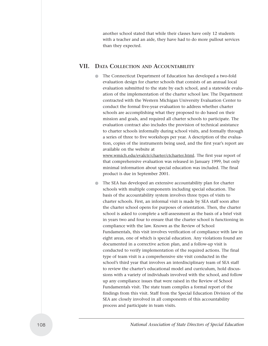another school stated that while their classes have only 12 students with a teacher and an aide, they have had to do more pullout services than they expected.

# **VII. DATA COLLECTION AND ACCOUNTABILITY**

The Connecticut Department of Education has developed a two-fold evaluation design for charter schools that consists of an annual local evaluation submitted to the state by each school, and a statewide evaluation of the implementation of the charter school law. The Department contracted with the Western Michigan University Evaluation Center to conduct the formal five-year evaluation to address whether charter schools are accomplishing what they proposed to do based on their mission and goals, and required all charter schools to participate. The evaluation contract also includes the provision of technical assistance to charter schools informally during school visits, and formally through a series of three to five workshops per year. A description of the evaluation, copies of the instruments being used, and the first year's report are available on the website at

www.wmich.edu/evalctr/charter/ctcharter.html. The first year report of that comprehensive evaluation was released in January 1999, but only minimal information about special education was included. The final product is due in September 2001.

● The SEA has developed an extensive accountability plan for charter schools with multiple components including special education. The basis of the accountability system involves three types of visits to charter schools. First, an informal visit is made by SEA staff soon after the charter school opens for purposes of orientation. Then, the charter school is asked to complete a self-assessment as the basis of a brief visit in years two and four to ensure that the charter school is functioning in compliance with the law. Known as the Review of School Fundamentals, this visit involves verification of compliance with law in eight areas, one of which is special education. Any violations found are documented in a corrective action plan, and a follow-up visit is conducted to verify implementation of the required actions. The final type of team visit is a comprehensive site visit conducted in the school's third year that involves an interdisciplinary team of SEA staff to review the charter's educational model and curriculum, hold discussions with a variety of individuals involved with the school, and follow up any compliance issues that were raised in the Review of School Fundamentals visit. The state team compiles a formal report of the findings from this visit. Staff from the Special Education Division of the SEA are closely involved in all components of this accountability process and participate in team visits.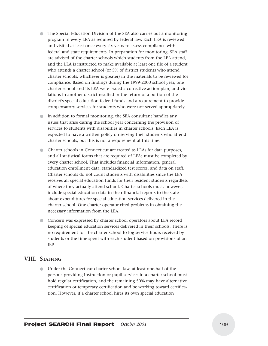- The Special Education Division of the SEA also carries out a monitoring program in every LEA as required by federal law. Each LEA is reviewed and visited at least once every six years to assess compliance with federal and state requirements. In preparation for monitoring, SEA staff are advised of the charter schools which students from the LEA attend, and the LEA is instructed to make available at least one file of a student who attends a charter school (or 5% of district students who attend charter schools, whichever is greater) in the materials to be reviewed for compliance. Based on findings during the 1999-2000 school year, one charter school and its LEA were issued a corrective action plan, and violations in another district resulted in the return of a portion of the district's special education federal funds and a requirement to provide compensatory services for students who were not served appropriately.
- In addition to formal monitoring, the SEA consultant handles any issues that arise during the school year concerning the provision of services to students with disabilities in charter schools. Each LEA is expected to have a written policy on serving their students who attend charter schools, but this is not a requirement at this time.
- Charter schools in Connecticut are treated as LEAs for data purposes, and all statistical forms that are required of LEAs must be completed by every charter school. That includes financial information, general education enrollment data, standardized test scores, and data on staff. Charter schools do not count students with disabilities since the LEA receives all special education funds for their resident students regardless of where they actually attend school. Charter schools must, however, include special education data in their financial reports to the state about expenditures for special education services delivered in the charter school. One charter operator cited problems in obtaining the necessary information from the LEA.
- Concern was expressed by charter school operators about LEA record keeping of special education services delivered in their schools. There is no requirement for the charter school to log service hours received by students or the time spent with each student based on provisions of an IEP.

# **VIII. STAFFING**

● Under the Connecticut charter school law, at least one-half of the persons providing instruction or pupil services in a charter school must hold regular certification, and the remaining 50% may have alternative certification or temporary certification and be working toward certification. However, if a charter school hires its own special education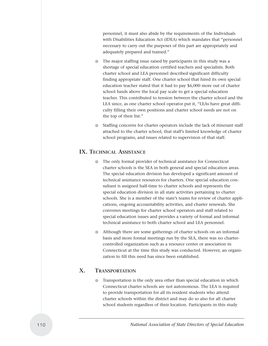personnel, it must also abide by the requirements of the Individuals with Disabilities Education Act (IDEA) which mandates that "personnel necessary to carry out the purposes of this part are appropriately and adequately prepared and trained."

- The major staffing issue raised by participants in this study was a shortage of special education certified teachers and specialists. Both charter school and LEA personnel described significant difficulty finding appropriate staff. One charter school that hired its own special education teacher stated that it had to pay \$6,000 more out of charter school funds above the local pay scale to get a special education teacher. This contributed to tension between the charter school and the LEA since, as one charter school operator put it, "LEAs have great difficulty filling their own positions and charter school needs are not on the top of their list."
- Staffing concerns for charter operators include the lack of itinerant staff attached to the charter school, that staff's limited knowledge of charter school programs, and issues related to supervision of that staff.

# **IX. TECHNICAL ASSISTANCE**

- The only formal provider of technical assistance for Connecticut charter schools is the SEA in both general and special education areas. The special education division has developed a significant amount of technical assistance resources for charters. One special education consultant is assigned half-time to charter schools and represents the special education division in all state activities pertaining to charter schools. She is a member of the state's teams for review of charter applications, ongoing accountability activities, and charter renewals. She convenes meetings for charter school operators and staff related to special education issues and provides a variety of formal and informal technical assistance to both charter school and LEA personnel.
- Although there are some gatherings of charter schools on an informal basis and more formal meetings run by the SEA, there was no chartercontrolled organization such as a resource center or association in Connecticut at the time this study was conducted. However, an organization to fill this need has since been established.

# **X. TRANSPORTATION**

Transportation is the only area other than special education in which Connecticut charter schools are not autonomous. The LEA is required to provide transportation for all its resident students who attend charter schools within the district and may do so also for all charter school students regardless of their location. Participants in this study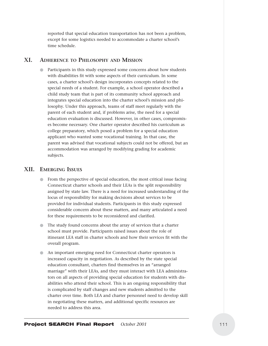reported that special education transportation has not been a problem, except for some logistics needed to accommodate a charter school's time schedule.

# **XI. ADHERENCE TO PHILOSOPHY AND MISSION**

Participants in this study expressed some concerns about how students with disabilities fit with some aspects of their curriculum. In some cases, a charter school's design incorporates concepts related to the special needs of a student. For example, a school operator described a child study team that is part of its community school approach and integrates special education into the charter school's mission and philosophy. Under this approach, teams of staff meet regularly with the parent of each student and, if problems arise, the need for a special education evaluation is discussed. However, in other cases, compromises become necessary. One charter operator described his curriculum as college preparatory, which posed a problem for a special education applicant who wanted some vocational training. In that case, the parent was advised that vocational subjects could not be offered, but an accommodation was arranged by modifying grading for academic subjects.

#### **XII. EMERGING ISSUES**

- From the perspective of special education, the most critical issue facing Connecticut charter schools and their LEAs is the split responsibility assigned by state law. There is a need for increased understanding of the locus of responsibility for making decisions about services to be provided for individual students. Participants in this study expressed considerable concern about these matters, and many articulated a need for these requirements to be reconsidered and clarified.
- The study found concerns about the array of services that a charter school must provide. Participants raised issues about the role of itinerant LEA staff in charter schools and how their services fit with the overall program.
- An important emerging need for Connecticut charter operators is increased capacity in negotiation. As described by the state special education consultant, charters find themselves in an "arranged marriage" with their LEAs, and they must interact with LEA administrators on all aspects of providing special education for students with disabilities who attend their school. This is an ongoing responsibility that is complicated by staff changes and new students admitted to the charter over time. Both LEA and charter personnel need to develop skill in negotiating these matters, and additional specific resources are needed to address this area.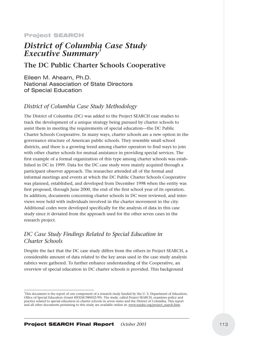# Project SEARCH

# *District of Columbia Case Study*  **Executive Summary**

# **The DC Public Charter Schools Cooperative**

Eileen M. Ahearn, Ph.D. National Association of State Directors of Special Education

# *District of Columbia Case Study Methodology*

The District of Columbia (DC) was added to the Project SEARCH case studies to track the development of a unique strategy being pursued by charter schools to assist them in meeting the requirements of special education—the DC Public Charter Schools Cooperative. In many ways, charter schools are a new option in the governance structure of American public schools. They resemble small school districts, and there is a growing trend among charter operators to find ways to join with other charter schools for mutual assistance in providing special services. The first example of a formal organization of this type among charter schools was established in DC in 1999. Data for the DC case study were mainly acquired through a participant observer approach. The researcher attended all of the formal and informal meetings and events at which the DC Public Charter Schools Cooperative was planned, established, and developed from December 1998 when the entity was first proposed, through June 2000, the end of the first school year of its operation. In addition, documents concerning charter schools in DC were reviewed, and interviews were held with individuals involved in the charter movement in the city. Additional codes were developed specifically for the analysis of data in this case study since it deviated from the approach used for the other seven cases in the research project.

# *DC Case Study Findings Related to Special Education in Charter Schools*

Despite the fact that the DC case study differs from the others in Project SEARCH, a considerable amount of data related to the key areas used in the case study analysis rubrics were gathered. To further enhance understanding of the Cooperative, an overview of special education in DC charter schools is provided. This background

<sup>1</sup> This document is the report of one component of a research study funded by the U. S. Department of Education, Office of Special Education (Grant #H324C980032-99). The study, called Project SEARCH, examines policy and practice related to special education in charter schools in seven states and the District of Columbia. This report and all other documents pertaining to this study are available online at: www.nasdse.org/project\_search.htm.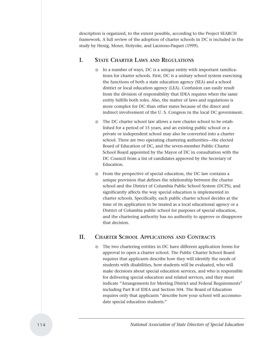description is organized, to the extent possible, according to the Project SEARCH framework. A full review of the adoption of charter schools in DC is included in the study by Henig, Moser, Holyoke, and Lacireno-Paquet (1999).

# **I. STATE CHARTER LAWS AND REGULATIONS**

- In a number of ways, DC is a unique entity with important ramifications for charter schools. First, DC is a unitary school system exercising the functions of both a state education agency (SEA) and a school district or local education agency (LEA). Confusion can easily result from the division of responsibility that IDEA requires when the same entity fulfills both roles. Also, the matter of laws and regulations is more complex for DC than other states because of the direct and indirect involvement of the U. S. Congress in the local DC government.
- The DC charter school law allows a new charter school to be established for a period of 15 years, and an existing public school or a private or independent school may also be converted into a charter school. There are two operating chartering authorities—the elected Board of Education of DC, and the seven-member Public Charter School Board appointed by the Mayor of DC in consultation with the DC Council from a list of candidates approved by the Secretary of Education.
- From the perspective of special education, the DC law contains a unique provision that defines the relationship between the charter school and the District of Columbia Public School System (DCPS), and significantly affects the way special education is implemented in charter schools. Specifically, each public charter school decides at the time of its application to be treated as a local educational agency or a District of Columbia public school for purposes of special education, and the chartering authority has no authority to approve or disapprove that decision.

# **II. CHARTER SCHOOL APPLICATIONS AND CONTRACTS**

The two chartering entities in DC have different application forms for approval to open a charter school. The Public Charter School Board requires that applicants describe how they will identify the needs of students with disabilities, how students will be evaluated, who will make decisions about special education services, and who is responsible for delivering special education and related services, and they must indicate "Arrangements for Meeting District and Federal Requirements" including Part B of IDEA and Section 504. The Board of Education requires only that applicants "describe how your school will accommodate special education students."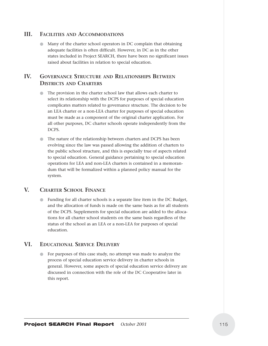# **III. FACILITIES AND ACCOMMODATIONS**

Many of the charter school operators in DC complain that obtaining adequate facilities is often difficult. However, in DC as in the other states included in Project SEARCH, there have been no significant issues raised about facilities in relation to special education.

# **IV. GOVERNANCE STRUCTURE AND RELATIONSHIPS BETWEEN DISTRICTS AND CHARTERS**

- The provision in the charter school law that allows each charter to select its relationship with the DCPS for purposes of special education complicates matters related to governance structure. The decision to be an LEA charter or a non-LEA charter for purposes of special education must be made as a component of the original charter application. For all other purposes, DC charter schools operate independently from the DCPS.
- The nature of the relationship between charters and DCPS has been evolving since the law was passed allowing the addition of charters to the public school structure, and this is especially true of aspects related to special education. General guidance pertaining to special education operations for LEA and non-LEA charters is contained in a memorandum that will be formalized within a planned policy manual for the system.

# **V. CHARTER SCHOOL FINANCE**

Funding for all charter schools is a separate line item in the DC Budget, and the allocation of funds is made on the same basis as for all students of the DCPS. Supplements for special education are added to the allocations for all charter school students on the same basis regardless of the status of the school as an LEA or a non-LEA for purposes of special education.

# **VI. EDUCATIONAL SERVICE DELIVERY**

For purposes of this case study, no attempt was made to analyze the process of special education service delivery in charter schools in general. However, some aspects of special education service delivery are discussed in connection with the role of the DC Cooperative later in this report.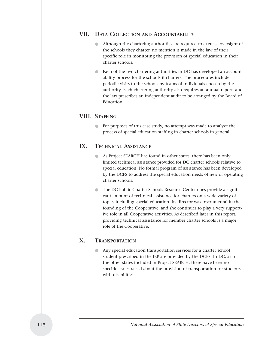# **VII. DATA COLLECTION AND ACCOUNTABILITY**

- Although the chartering authorities are required to exercise oversight of the schools they charter, no mention is made in the law of their specific role in monitoring the provision of special education in their charter schools.
- Each of the two chartering authorities in DC has developed an accountability process for the schools it charters. The procedures include periodic visits to the schools by teams of individuals chosen by the authority. Each chartering authority also requires an annual report, and the law prescribes an independent audit to be arranged by the Board of Education.

# **VIII. STAFFING**

● For purposes of this case study, no attempt was made to analyze the process of special education staffing in charter schools in general.

# **IX. TECHNICAL ASSISTANCE**

- As Project SEARCH has found in other states, there has been only limited technical assistance provided for DC charter schools relative to special education. No formal program of assistance has been developed by the DCPS to address the special education needs of new or operating charter schools.
- The DC Public Charter Schools Resource Center does provide a significant amount of technical assistance for charters on a wide variety of topics including special education. Its director was instrumental in the founding of the Cooperative, and she continues to play a very supportive role in all Cooperative activities. As described later in this report, providing technical assistance for member charter schools is a major role of the Cooperative.

# **X. TRANSPORTATION**

Any special education transportation services for a charter school student prescribed in the IEP are provided by the DCPS. In DC, as in the other states included in Project SEARCH, there have been no specific issues raised about the provision of transportation for students with disabilities.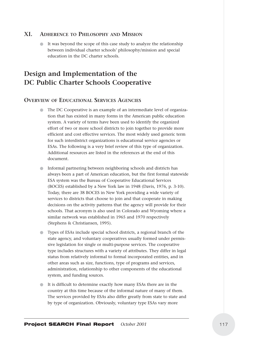# **XI. ADHERENCE TO PHILOSOPHY AND MISSION**

It was beyond the scope of this case study to analyze the relationship between individual charter schools' philosophy/mission and special education in the DC charter schools.

# **Design and Implementation of the DC Public Charter Schools Cooperative**

# **OVERVIEW OF EDUCATIONAL SERVICES AGENCIES**

- The DC Cooperative is an example of an intermediate level of organization that has existed in many forms in the American public education system. A variety of terms have been used to identify the organized effort of two or more school districts to join together to provide more efficient and cost effective services. The most widely used generic term for such interdistrict organizations is educational service agencies or ESAs. The following is a very brief review of this type of organization. Additional resources are listed in the references at the end of this document.
- Informal partnering between neighboring schools and districts has always been a part of American education, but the first formal statewide ESA system was the Bureau of Cooperative Educational Services (BOCES) established by a New York law in 1948 (Davis, 1976, p. 3-10). Today, there are 38 BOCES in New York providing a wide variety of services to districts that choose to join and that cooperate in making decisions on the activity patterns that the agency will provide for their schools. That acronym is also used in Colorado and Wyoming where a similar network was established in 1965 and 1970 respectively (Stephens & Christiansen, 1995).
- Types of ESAs include special school districts, a regional branch of the state agency, and voluntary cooperatives usually formed under permissive legislation for single or multi-purpose services. The cooperative type includes structures with a variety of attributes. They differ in legal status from relatively informal to formal incorporated entities, and in other areas such as size, functions, type of programs and services, administration, relationship to other components of the educational system, and funding sources.
- It is difficult to determine exactly how many ESAs there are in the country at this time because of the informal nature of many of them. The services provided by ESAs also differ greatly from state to state and by type of organization. Obviously, voluntary type ESAs vary more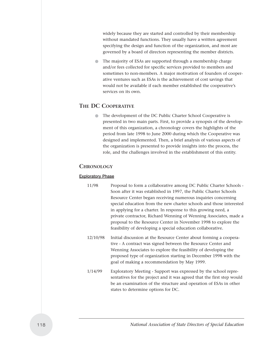widely because they are started and controlled by their membership without mandated functions. They usually have a written agreement specifying the design and function of the organization, and most are governed by a board of directors representing the member districts.

● The majority of ESAs are supported through a membership charge and/or fees collected for specific services provided to members and sometimes to non-members. A major motivation of founders of cooperative ventures such as ESAs is the achievement of cost savings that would not be available if each member established the cooperative's services on its own.

# **THE DC COOPERATIVE**

The development of the DC Public Charter School Cooperative is presented in two main parts. First, to provide a synopsis of the development of this organization, a chronology covers the highlights of the period from late 1998 to June 2000 during which the Cooperative was designed and implemented. Then, a brief analysis of various aspects of the organization is presented to provide insights into the process, the role, and the challenges involved in the establishment of this entity.

# **CHRONOLOGY**

#### Exploratory Phase

- 11/98 Proposal to form a collaborative among DC Public Charter Schools Soon after it was established in 1997, the Public Charter Schools Resource Center began receiving numerous inquiries concerning special education from the new charter schools and those interested in applying for a charter. In response to this growing need, a private contractor, Richard Wenning of Wenning Associates, made a proposal to the Resource Center in November 1998 to explore the feasibility of developing a special education collaborative.
- 12/10/98 Initial discussion at the Resource Center about forming a cooperative - A contract was signed between the Resource Center and Wenning Associates to explore the feasibility of developing the proposed type of organization starting in December 1998 with the goal of making a recommendation by May 1999.
- 1/14/99 Exploratory Meeting Support was expressed by the school representatives for the project and it was agreed that the first step would be an examination of the structure and operation of ESAs in other states to determine options for DC.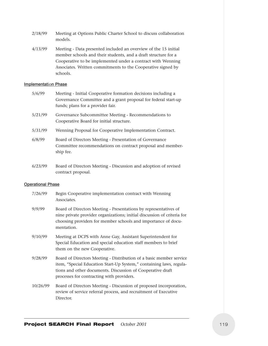- 2/18/99 Meeting at Options Public Charter School to discuss collaboration models.
- 4/13/99 Meeting Data presented included an overview of the 15 initial member schools and their students, and a draft structure for a Cooperative to be implemented under a contract with Wenning Associates. Written commitments to the Cooperative signed by schools.

#### Implementation Phase

| 5/6/99  | Meeting - Initial Cooperative formation decisions including a<br>Governance Committee and a grant proposal for federal start-up<br>funds; plans for a provider fair. |
|---------|----------------------------------------------------------------------------------------------------------------------------------------------------------------------|
| 5/21/99 | Governance Subcommittee Meeting - Recommendations to<br>Cooperative Board for initial structure.                                                                     |
| 5/31/99 | Wenning Proposal for Cooperative Implementation Contract.                                                                                                            |
| 6/8/99  | Board of Directors Meeting - Presentation of Governance<br>Committee recommendations on contract proposal and member-<br>ship fee.                                   |

6/23/99 Board of Directors Meeting - Discussion and adoption of revised contract proposal.

#### **Operational Phase**

| 7/26/99  | Begin Cooperative implementation contract with Wenning<br>Associates.                                                                                                                                                                                 |
|----------|-------------------------------------------------------------------------------------------------------------------------------------------------------------------------------------------------------------------------------------------------------|
| 9/9/99   | Board of Directors Meeting - Presentations by representatives of<br>nine private provider organizations; initial discussion of criteria for<br>choosing providers for member schools and importance of docu-<br>mentation.                            |
| 9/10/99  | Meeting at DCPS with Anne Gay, Assistant Superintendent for<br>Special Education and special education staff members to brief<br>them on the new Cooperative.                                                                                         |
| 9/28/99  | Board of Directors Meeting - Distribution of a basic member service<br>item, "Special Education Start-Up System," containing laws, regula-<br>tions and other documents. Discussion of Cooperative draft<br>processes for contracting with providers. |
| 10/26/99 | Board of Directors Meeting - Discussion of proposed incorporation,<br>review of service referral process, and recruitment of Executive<br>Director.                                                                                                   |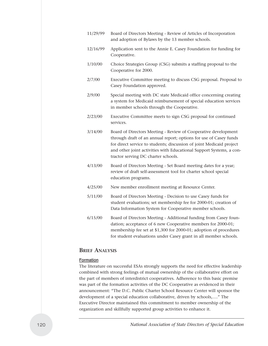- 11/29/99 Board of Directors Meeting Review of Articles of Incorporation and adoption of Bylaws by the 13 member schools. 12/16/99 Application sent to the Annie E. Casey Foundation for funding for Cooperative. 1/10/00 Choice Strategies Group (CSG) submits a staffing proposal to the Cooperative for 2000. 2/7/00 Executive Committee meeting to discuss CSG proposal. Proposal to Casey Foundation approved. 2/9/00 Special meeting with DC state Medicaid office concerning creating a system for Medicaid reimbursement of special education services in member schools through the Cooperative. 2/23/00 Executive Committee meets to sign CSG proposal for continued services. 3/14/00 Board of Directors Meeting - Review of Cooperative development through draft of an annual report; options for use of Casey funds for direct service to students; discussion of joint Medicaid project and other joint activities with Educational Support Systems, a contractor serving DC charter schools. 4/13/00 Board of Directors Meeting - Set Board meeting dates for a year; review of draft self-assessment tool for charter school special education programs. 4/25/00 New member enrollment meeting at Resource Center. 5/11/00 Board of Directors Meeting - Decision to use Casey funds for student evaluations; set membership fee for 2000-01; creation of
- 6/15/00 Board of Directors Meeting Additional funding from Casey foundation; acceptance of 6 new Cooperative members for 2000-01; membership fee set at \$1,300 for 2000-01; adoption of procedures for student evaluations under Casey grant in all member schools.

Data Information System for Cooperative member schools.

# **BRIEF ANALYSIS**

#### Formation

The literature on successful ESAs strongly supports the need for effective leadership combined with strong feelings of mutual ownership of the collaborative effort on the part of members of interdistrict cooperatives. Adherence to this basic premise was part of the formation activities of the DC Cooperative as evidenced in their announcement: "The D.C. Public Charter School Resource Center will sponsor the development of a special education collaborative, driven by schools,…." The Executive Director maintained this commitment to member ownership of the organization and skillfully supported group activities to enhance it.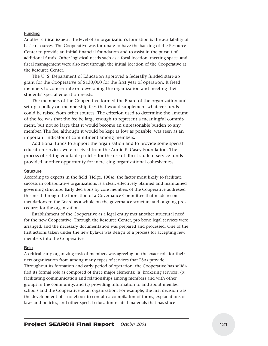#### Funding

Another critical issue at the level of an organization's formation is the availability of basic resources. The Cooperative was fortunate to have the backing of the Resource Center to provide an initial financial foundation and to assist in the pursuit of additional funds. Other logistical needs such as a focal location, meeting space, and fiscal management were also met through the initial location of the Cooperative at the Resource Center.

The U. S. Department of Education approved a federally funded start-up grant for the Cooperative of \$130,000 for the first year of operation. It freed members to concentrate on developing the organization and meeting their students' special education needs.

The members of the Cooperative formed the Board of the organization and set up a policy on membership fees that would supplement whatever funds could be raised from other sources. The criterion used to determine the amount of the fee was that the fee be large enough to represent a meaningful commitment, but not so large that it would become an unreasonable burden to any member. The fee, although it would be kept as low as possible, was seen as an important indicator of commitment among members.

Additional funds to support the organization and to provide some special education services were received from the Annie E. Casey Foundation. The process of setting equitable policies for the use of direct student service funds provided another opportunity for increasing organizational cohesiveness.

#### **Structure**

According to experts in the field (Helge, 1984), the factor most likely to facilitate success in collaborative organizations is a clear, effectively planned and maintained governing structure. Early decisions by core members of the Cooperative addressed this need through the formation of a Governance Committee that made recommendations to the Board as a whole on the governance structure and ongoing procedures for the organization.

Establishment of the Cooperative as a legal entity met another structural need for the new Cooperative. Through the Resource Center, pro bono legal services were arranged, and the necessary documentation was prepared and processed. One of the first actions taken under the new bylaws was design of a process for accepting new members into the Cooperative.

#### Role

A critical early organizing task of members was agreeing on the exact role for their new organization from among many types of services that ESAs provide. Throughout its formation and early period of operation, the Cooperative has solidified its formal role as composed of three major elements: (a) brokering services, (b) facilitating communication and relationships among members and with other groups in the community, and (c) providing information to and about member schools and the Cooperative as an organization. For example, the first decision was the development of a notebook to contain a compilation of forms, explanations of laws and policies, and other special education related materials that has since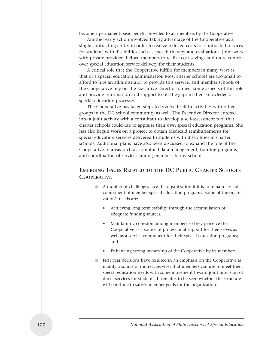become a permanent basic benefit provided to all members by the Cooperative.

Another early action involved taking advantage of the Cooperative as a single contracting entity in order to realize reduced costs for contracted services for students with disabilities such as speech therapy and evaluations. Joint work with private providers helped members to realize cost savings and more control over special education service delivery for their students.

A critical role that the Cooperative fulfills for members in many ways is that of a special education administrator. Most charter schools are too small to afford to hire an administrator to provide this service, and member schools of the Cooperative rely on the Executive Director to meet some aspects of this role and provide information and support to fill the gaps in their knowledge of special education processes.

The Cooperative has taken steps to involve itself in activities with other groups in the DC school community as well. The Executive Director entered into a joint activity with a consultant to develop a self-assessment tool that charter schools could use to appraise their own special education programs. She has also begun work on a project to obtain Medicaid reimbursements for special education services delivered to students with disabilities in charter schools. Additional plans have also been discussed to expand the role of the Cooperative in areas such as combined data management, training programs, and coordination of services among member charter schools.

# **EMERGING ISSUES RELATED TO THE DC PUBLIC CHARTER SCHOOLS COOPERATIVE**

- A number of challenges face the organization if it is to remain a viable component of member special education programs. Some of the organization's needs are:
	- Achieving long term stability through the accumulation of adequate funding sources;
	- Maintaining cohesion among members so they perceive the Cooperative as a source of professional support for themselves as well as a service component for their special education programs; and
	- Enhancing strong ownership of the Cooperative by its members.
- First year decisions have resulted in an emphasis on the Cooperative as mainly a source of indirect services that members can use to meet their special education needs with some movement toward joint provision of direct services for students. It remains to be seen whether the structure will continue to satisfy member goals for the organization.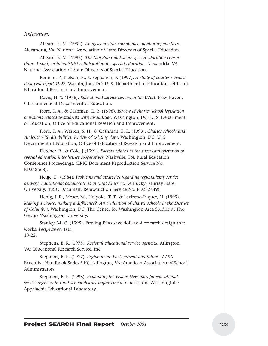# *References*

Ahearn, E. M. (1992). *Analysis of state compliance monitoring practices.* Alexandria, VA: National Association of State Directors of Special Education.

Ahearn, E. M. (1995). *The Maryland mid-shore special education consortium: A study of interdistrict collaboration for special education.* Alexandria, VA: National Association of State Directors of Special Education.

Berman, P., Nelson, B., & Seppanen, P. (1997). *A study of charter schools: First year report 1997.* Washington, DC: U. S. Department of Education, Office of Educational Research and Improvement.

Davis, H. S. (1976). *Educational service centers in the U.S.A.* New Haven, CT: Connecticut Department of Education.

Fiore, T. A., & Cashman, E. R. (1998). *Review of charter school legislation provisions related to students with disabilities.* Washington, DC: U. S. Department of Education, Office of Educational Research and Improvement.

Fiore, T. A., Warren, S. H., & Cashman, E. R. (1999). *Charter schools and students with disabilities: Review of existing data.* Washington, DC: U. S. Department of Education, Office of Educational Research and Improvement.

Fletcher. R., & Cole, J.(1991). *Factors related to the successful operation of special education interdistrict cooperatives.* Nashville, TN: Rural Education Conference Proceedings. (ERIC Document Reproduction Service No. ED342568).

Helge, D. (1984). *Problems and strategies regarding regionalizing service delivery: Educational collaboratives in rural America.* Kentucky: Murray State University. (ERIC Document Reproduction Service No. ED242449).

Henig, J. R., Moser, M., Holyoke, T. T., & Lacireno-Paquet, N. (1999). *Making a choice, making a difference?: An evaluation of charter schools in the District of Columbia.* Washington, DC: The Center for Washington Area Studies at The George Washington University.

Stanley, M. C. (1995). Proving ESAs save dollars: A research design that works. *Perspectives*, 1(1),

13-22.

Stephens, E. R. (1975). *Regional educational service agencies.* Arlington, VA: Educational Research Service, Inc.

Stephens, E. R. (1977). *Regionalism: Past, present and future.* (AASA Executive Handbook Series #10). Arlington, VA: American Association of School Administrators.

Stephens, E. R. (1998). *Expanding the vision: New roles for educational service agencies in rural school district improvement.* Charleston, West Virginia: Appalachia Educational Laboratory.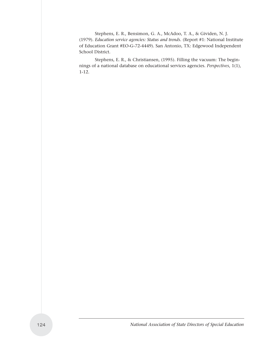Stephens, E. R., Bensimon, G. A., McAdoo, T. A., & Gividen, N. J. (1979). *Education service agencies: Status and trends.* (Report #1: National Institute of Education Grant #EO-G-72-4449). San Antonio, TX: Edgewood Independent School District.

Stephens, E. R., & Christiansen, (1995). Filling the vacuum: The beginnings of a national database on educational services agencies. *Perspectives*, 1(1), 1-12.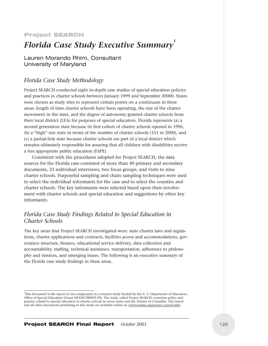### Project SEARCH

# *Florida Case Study Executive Summary*

Lauren Morando Rhim, Consultant University of Maryland

# *Florida Case Study Methodology*

Project SEARCH conducted eight in-depth case studies of special education policies and practices in charter schools between January 1999 and September 20000. States were chosen as study sites to represent certain points on a continuum in three areas: length of time charter schools have been operating, the size of the charter movement in the state, and the degree of autonomy granted charter schools from their local district (LEA) for purposes of special education. Florida represents (a) a second generation state because its first cohort of charter schools opened in 1996, (b) a "high" size state in terms of the number of charter schools (151 in 2000), and (c) a partial-link state because charter schools are part of a local district which remains ultimately responsible for assuring that all children with disabilities receive a free appropriate public education (FAPE).

Consistent with the procedures adopted for Project SEARCH, the data sources for the Florida case consisted of more than 40 primary and secondary documents, 23 individual interviews, two focus groups, and visits to nine charter schools. Purposeful sampling and chain sampling techniques were used to select the individual informants for the case and to select the counties and charter schools. The key informants were selected based upon their involvement with charter schools and special education and suggestions by other key informants.

# *Florida Case Study Findings Related to Special Education in Charter Schools*

The key areas that Project SEARCH investigated were: state charter laws and regulations, charter applications and contracts, facilities access and accommodations, governance structure, finance, educational service delivery, data collection and accountability, staffing, technical assistance, transportation, adherence to philosophy and mission, and emerging issues. The following is an executive summary of the Florida case study findings in these areas.

<sup>1</sup> This document is the report of one component of a research study funded by the U. S. Department of Education, Office of Special Education (Grant #H324C980032-99). The study, called Project SEARCH, examines policy and practice related to special education in charter schools in seven states and the District of Columbia. This report and all other documents pertaining to this study are available online at: www.nasdse.org/project\_search.htm.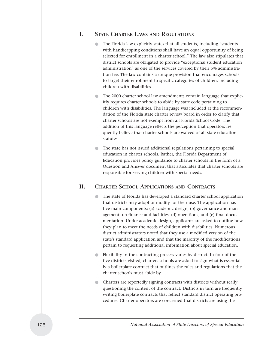# **I. STATE CHARTER LAWS AND REGULATIONS**

- The Florida law explicitly states that all students, including "students with handicapping conditions shall have an equal opportunity of being selected for enrollment in a charter school." The law also stipulates that district schools are obligated to provide "exceptional student education administration" as one of the services covered by their 5% administration fee. The law contains a unique provision that encourages schools to target their enrollment to specific categories of children, including children with disabilities.
- The 2000 charter school law amendments contain language that explicitly requires charter schools to abide by state code pertaining to children with disabilities. The language was included at the recommendation of the Florida state charter review board in order to clarify that charter schools are not exempt from all Florida School Code. The addition of this language reflects the perception that operators frequently believe that charter schools are waived of all state education statutes.
- The state has not issued additional regulations pertaining to special education in charter schools. Rather, the Florida Department of Education provides policy guidance to charter schools in the form of a Question and Answer document that articulates that charter schools are responsible for serving children with special needs.

# **II. CHARTER SCHOOL APPLICATIONS AND CONTRACTS**

- The state of Florida has developed a standard charter school application that districts may adopt or modify for their use. The application has five main components: (a) academic design, (b) governance and management, (c) finance and facilities, (d) operations, and (e) final documentation. Under academic design, applicants are asked to outline how they plan to meet the needs of children with disabilities. Numerous district administrators noted that they use a modified version of the state's standard application and that the majority of the modifications pertain to requesting additional information about special education.
- Flexibility in the contracting process varies by district. In four of the five districts visited, charters schools are asked to sign what is essentially a boilerplate contract that outlines the rules and regulations that the charter schools must abide by.
- Charters are reportedly signing contracts with districts without really questioning the content of the contract. Districts in turn are frequently writing boilerplate contracts that reflect standard district operating procedures. Charter operators are concerned that districts are using the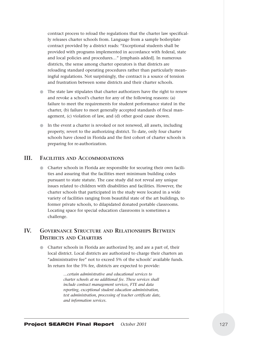contract process to reload the regulations that the charter law specifically releases charter schools from. Language from a sample boilerplate contract provided by a district reads: "Exceptional students shall be provided with programs implemented in accordance with federal, state and local policies and procedures…" [emphasis added]. In numerous districts, the sense among charter operators is that districts are reloading standard operating procedures rather than particularly meaningful regulations. Not surprisingly, the contract is a source of tension and frustration between some districts and their charter schools.

- The state law stipulates that charter authorizers have the right to renew and revoke a school's charter for any of the following reasons: (a) failure to meet the requirements for student performance stated in the charter, (b) failure to meet generally accepted standards of fiscal management, (c) violation of law, and (d) other good cause shown.
- In the event a charter is revoked or not renewed, all assets, including property, revert to the authorizing district. To date, only four charter schools have closed in Florida and the first cohort of charter schools is preparing for re-authorization.

# **III. FACILITIES AND ACCOMMODATIONS**

● Charter schools in Florida are responsible for securing their own facilities and assuring that the facilities meet minimum building codes pursuant to state statute. The case study did not reveal any unique issues related to children with disabilities and facilities. However, the charter schools that participated in the study were located in a wide variety of facilities ranging from beautiful state of the art buildings, to former private schools, to dilapidated donated portable classrooms. Locating space for special education classrooms is sometimes a challenge.

# **IV. GOVERNANCE STRUCTURE AND RELATIONSHIPS BETWEEN DISTRICTS AND CHARTERS**

● Charter schools in Florida are authorized by, and are a part of, their local district. Local districts are authorized to charge their charters an "administrative fee" not to exceed 5% of the schools' available funds. In return for the 5% fee, districts are expected to provide:

> *…certain administrative and educational services to charter schools at no additional fee. These services shall include contract management services, FTE and data reporting, exceptional student education administration, test administration, processing of teacher certificate date, and information services.*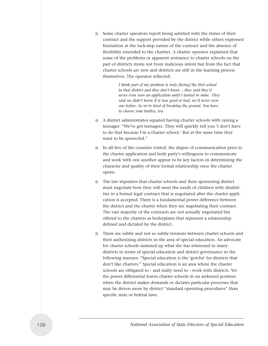Some charter operators report being satisfied with the status of their contract and the support provided by the district while others expressed frustration at the lock-step nature of the contract and the absence of flexibility extended to the charters. A charter operator explained that some of the problems or apparent resistance to charter schools on the part of districts stems not from malicious intent but from the fact that charter schools are new and districts are still in the learning process themselves. The operator reflected:

> *I think part of my problem is truly [being] the first school in that district and they don't know….they said they'd never even seen an application until I turned in mine. They said we didn't know if it was good or bad, we'd never seen one before. So we're kind of breaking the ground. You have to choose your battles, too.*

- A district administrator equated having charter schools with raising a teenager: "We've got teenagers. They will quickly tell you 'I don't have to do that because I'm a charter school.' But at the same time they want to be spoon-fed."
- In all five of the counties visited, the degree of communication prior to the charter application and both party's willingness to communicate and work with one another appear to be key factors in determining the character and quality of their formal relationship once the charter opens.
- The law stipulates that charter schools and their sponsoring district must negotiate how they will meet the needs of children with disabilities in a formal legal contract that is negotiated after the charter application is accepted. There is a fundamental power difference between the district and the charter when they are negotiating their contract. The vast majority of the contracts are not actually negotiated but offered to the charters as boilerplates that represent a relationship defined and dictated by the district.
- There are subtle and not so subtle tensions between charter schools and their authorizing districts in the area of special education. An advocate for charter schools summed up what she has witnessed in many districts in terms of special education and district governance in the following manner: "Special education is the 'gotcha' for districts that don't like charters." Special education is an area where the charter schools are obligated to - and really need to - work with districts. Yet the power differential leaves charter schools in an awkward position when the district makes demands or dictates particular processes that may be driven more by district "standard operating procedures" than specific state or federal laws.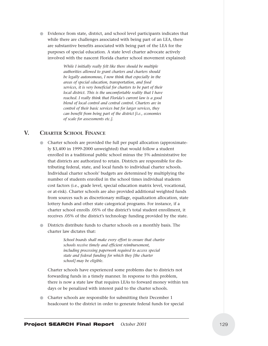● Evidence from state, district, and school level participants indicates that while there are challenges associated with being part of an LEA, there are substantive benefits associated with being part of the LEA for the purposes of special education. A state level charter advocate actively involved with the nascent Florida charter school movement explained:

> *While I initially really felt like there should be multiple authorities allowed to grant charters and charters should be legally autonomous, I now think that especially in the areas of special education, transportation, and food services, it is very beneficial for charters to be part of their local district. This is the uncomfortable reality that I have reached. I really think that Florida's current law is a good blend of local control and central control. Charters are in control of their basic services but for larger services, they can benefit from being part of the district [i.e., economies of scale for assessments etc.].*

# **V. CHARTER SCHOOL FINANCE**

- Charter schools are provided the full per pupil allocation (approximately \$3,400 in 1999-2000 unweighted) that would follow a student enrolled in a traditional public school minus the 5% administrative fee that districts are authorized to retain. Districts are responsible for distributing federal, state, and local funds to individual charter schools. Individual charter schools' budgets are determined by multiplying the number of students enrolled in the school times individual students cost factors (i.e., grade level, special education matrix level, vocational, or at-risk). Charter schools are also provided additional weighted funds from sources such as discretionary millage, equalization allocation, state lottery funds and other state categorical programs. For instance, if a charter school enrolls .05% of the district's total student enrollment, it receives .05% of the district's technology funding provided by the state.
- Districts distribute funds to charter schools on a monthly basis. The charter law dictates that:

*School boards shall make every effort to ensure that charter schools receive timely and efficient reimbursement, including processing paperwork required to access special state and federal funding for which they [the charter school] may be eligible.* 

Charter schools have experienced some problems due to districts not forwarding funds in a timely manner. In response to this problem, there is now a state law that requires LEAs to forward money within ten days or be penalized with interest paid to the charter schools.

● Charter schools are responsible for submitting their December 1 headcount to the district in order to generate federal funds for special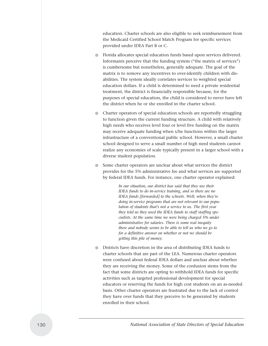education. Charter schools are also eligible to seek reimbursement from the Medicaid Certified School Match Program for specific services provided under IDEA Part B or C.

- Florida allocates special education funds based upon services delivered. Informants perceive that the funding system ("the matrix of services") is cumbersome but nonetheless, generally adequate. The goal of the matrix is to remove any incentives to over-identify children with disabilities. The system ideally correlates services to weighted special education dollars. If a child is determined to need a private residential treatment, the district is financially responsible because, for the purposes of special education, the child is considered to never have left the district when he or she enrolled in the charter school.
- Charter operators of special education schools are reportedly struggling to function given the current funding structure. A child with relatively high needs who receives level four or level five funding on the matrix may receive adequate funding when s/he functions within the larger infrastructure of a conventional public school. However, a small charter school designed to serve a small number of high need students cannot realize any economies of scale typically present in a larger school with a diverse student population.
- Some charter operators are unclear about what services the district provides for the 5% administrative fee and what services are supported by federal IDEA funds. For instance, one charter operator explained:

*In our situation, our district has said that they use their IDEA funds to do in-service training, and so there are no IDEA funds [forwarded] to the schools. Well, when they're doing in-service programs that are not relevant to our population of students that's not a service to us. The first year they told us they used the IDEA funds to staff staffing specialists. At the same time we were being charged 5% under administrative for salaries. There is some real inequity there and nobody seems to be able to tell us who we go to for a definitive answer on whether or not we should be getting this pile of money.* 

● Districts have discretion in the area of distributing IDEA funds to charter schools that are part of the LEA. Numerous charter operators were confused about federal IDEA dollars and unclear about whether they are receiving the money. Some of the confusion stems from the fact that some districts are opting to withhold IDEA funds for specific activities such as targeted professional development for special educators or reserving the funds for high cost students on an as-needed basis. Other charter operators are frustrated due to the lack of control they have over funds that they perceive to be generated by students enrolled in their school.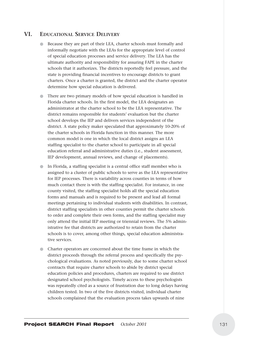# **VI. EDUCATIONAL SERVICE DELIVERY**

- Because they are part of their LEA, charter schools must formally and informally negotiate with the LEAs for the appropriate level of control of special education processes and service delivery. The LEA has the ultimate authority and responsibility for assuring FAPE in the charter schools that it authorizes. The districts reportedly feel pressure, and the state is providing financial incentives to encourage districts to grant charters. Once a charter is granted, the district and the charter operator determine how special education is delivered.
- There are two primary models of how special education is handled in Florida charter schools. In the first model, the LEA designates an administrator at the charter school to be the LEA representative. The district remains responsible for students' evaluation but the charter school develops the IEP and delivers services independent of the district. A state policy maker speculated that approximately 10-20% of the charter schools in Florida function in this manner. The more common model is one in which the local district assigns an LEA staffing specialist to the charter school to participate in all special education referral and administrative duties (i.e., student assessment, IEP development, annual reviews, and change of placements).
- In Florida, a staffing specialist is a central office staff member who is assigned to a cluster of public schools to serve as the LEA representative for IEP processes. There is variability across counties in terms of how much contact there is with the staffing specialist. For instance, in one county visited, the staffing specialist holds all the special education forms and manuals and is required to be present and lead all formal meetings pertaining to individual students with disabilities. In contrast, district staffing specialists in other counties permit the charter schools to order and complete their own forms, and the staffing specialist may only attend the initial IEP meeting or triennial reviews. The 5% administrative fee that districts are authorized to retain from the charter schools is to cover, among other things, special education administrative services.
- Charter operators are concerned about the time frame in which the district proceeds through the referral process and specifically the psychological evaluations. As noted previously, due to some charter school contracts that require charter schools to abide by district special education policies and procedures, charters are required to use district designated school psychologists. Timely access to these psychologists was repeatedly cited as a source of frustration due to long delays having children tested. In two of the five districts visited, individual charter schools complained that the evaluation process takes upwards of nine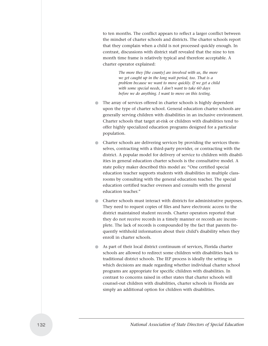to ten months. The conflict appears to reflect a larger conflict between the mindset of charter schools and districts. The charter schools report that they complain when a child is not processed quickly enough. In contrast, discussions with district staff revealed that the nine to ten month time frame is relatively typical and therefore acceptable. A charter operator explained:

> *The more they [the county] are involved with us, the more we get caught up in the long wait period, too. That is a problem because we want to move quickly. If we get a child with some special needs, I don't want to take 60 days before we do anything. I want to move on this testing.*

- The array of services offered in charter schools is highly dependent upon the type of charter school. General education charter schools are generally serving children with disabilities in an inclusive environment. Charter schools that target at-risk or children with disabilities tend to offer highly specialized education programs designed for a particular population.
- Charter schools are delivering services by providing the services themselves, contracting with a third-party provider, or contracting with the district. A popular model for delivery of service to children with disabilities in general education charter schools is the consultative model. A state policy maker described this model as: "One certified special education teacher supports students with disabilities in multiple classrooms by consulting with the general education teacher. The special education certified teacher oversees and consults with the general education teacher."
- Charter schools must interact with districts for administrative purposes. They need to request copies of files and have electronic access to the district maintained student records. Charter operators reported that they do not receive records in a timely manner or records are incomplete. The lack of records is compounded by the fact that parents frequently withhold information about their child's disability when they enroll in charter schools.
- As part of their local district continuum of services, Florida charter schools are allowed to redirect some children with disabilities back to traditional district schools. The IEP process is ideally the setting in which decisions are made regarding whether individual charter school programs are appropriate for specific children with disabilities. In contrast to concerns raised in other states that charter schools will counsel-out children with disabilities, charter schools in Florida are simply an additional option for children with disabilities.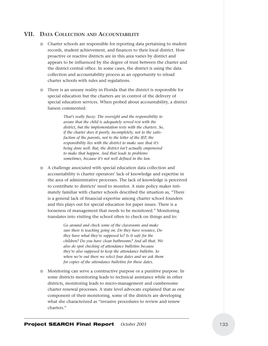# **VII. DATA COLLECTION AND ACCOUNTABILITY**

- Charter schools are responsible for reporting data pertaining to student records, student achievement, and finances to their local district. How proactive or reactive districts are in this area varies by district and appears to be influenced by the degree of trust between the charter and the district central office. In some cases, the district is using the data collection and accountability process as an opportunity to reload charter schools with rules and regulations.
- There is an uneasy reality in Florida that the district is responsible for special education but the charters are in control of the delivery of special education services. When probed about accountability, a district liaison commented:

*That's really fuzzy. The oversight and the responsibility to assure that the child is adequately served rest with the district, but the implementation rests with the charters. So, if the charter does it poorly, incompletely, not to the satisfaction of the parents, not to the letter of the IEP, the responsibility lies with the district to make sure that it's being done well. But, the district isn't actually empowered to make that happen. And that leads to problems sometimes, because it's not well defined in the law.*

● A challenge associated with special education data collection and accountability is charter operators' lack of knowledge and expertise in the area of administrative processes. The lack of knowledge is perceived to contribute to districts' need to monitor. A state policy maker intimately familiar with charter schools described the situation as, "There is a general lack of financial expertise among charter school founders and this plays out for special education for paper issues. There is a looseness of management that needs to be monitored." Monitoring translates into visiting the school often to check on things and to:

> *Go around and check some of the classrooms and make sure there is teaching going on. Do they have resource, Do they have what they're supposed to? Is it safe for the children? Do you have clean bathrooms? And all that. We also do spot checking of attendance bulletins because they're also supposed to keep the attendance bulletin. So when we're out there we select four dates and we ask them for copies of the attendance bulletins for those dates.*

Monitoring can serve a constructive purpose or a punitive purpose. In some districts monitoring leads to technical assistance while in other districts, monitoring leads to micro-management and cumbersome charter renewal processes. A state level advocate explained that as one component of their monitoring, some of the districts are developing what she characterized as "invasive procedures to review and renew charters."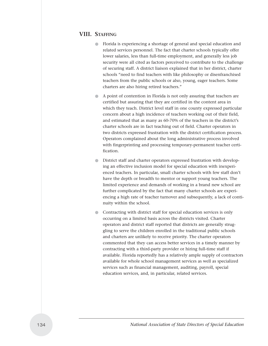# **VIII. STAFFING**

- Florida is experiencing a shortage of general and special education and related services personnel. The fact that charter schools typically offer lower salaries, less than full-time employment, and generally less job security were all cited as factors perceived to contribute to the challenge of securing staff. A district liaison explained that in her district, charter schools "need to find teachers with like philosophy or disenfranchised teachers from the public schools or also, young, eager teachers. Some charters are also hiring retired teachers."
- A point of contention in Florida is not only assuring that teachers are certified but assuring that they are certified in the content area in which they teach. District level staff in one county expressed particular concern about a high incidence of teachers working out of their field, and estimated that as many as 60-70% of the teachers in the district's charter schools are in fact teaching out of field. Charter operators in two districts expressed frustration with the district certification process. Operators complained about the long administrative process involved with fingerprinting and processing temporary-permanent teacher certification.
- District staff and charter operators expressed frustration with developing an effective inclusion model for special education with inexperienced teachers. In particular, small charter schools with few staff don't have the depth or breadth to mentor or support young teachers. The limited experience and demands of working in a brand new school are further complicated by the fact that many charter schools are experiencing a high rate of teacher turnover and subsequently, a lack of continuity within the school.
- Contracting with district staff for special education services is only occurring on a limited basis across the districts visited. Charter operators and district staff reported that districts are generally struggling to serve the children enrolled in the traditional public schools and charters are unlikely to receive priority. The charter operators commented that they can access better services in a timely manner by contracting with a third-party provider or hiring full-time staff if available. Florida reportedly has a relatively ample supply of contractors available for whole school management services as well as specialized services such as financial management, auditing, payroll, special education services, and, in particular, related services.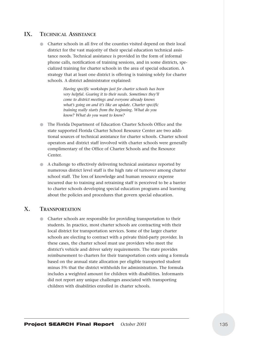# **IX. TECHNICAL ASSISTANCE**

● Charter schools in all five of the counties visited depend on their local district for the vast majority of their special education technical assistance needs. Technical assistance is provided in the form of informal phone calls, notification of training sessions, and in some districts, specialized training for charter schools in the area of special education. A strategy that at least one district is offering is training solely for charter schools. A district administrator explained:

> *Having specific workshops just for charter schools has been very helpful. Gearing it to their needs. Sometimes they'll come to district meetings and everyone already knows what's going on and it's like an update. Charter specific training really starts from the beginning. What do you know? What do you want to know?*

- The Florida Department of Education Charter Schools Office and the state supported Florida Charter School Resource Center are two additional sources of technical assistance for charter schools. Charter school operators and district staff involved with charter schools were generally complimentary of the Office of Charter Schools and the Resource Center.
- A challenge to effectively delivering technical assistance reported by numerous district level staff is the high rate of turnover among charter school staff. The loss of knowledge and human resource expense incurred due to training and retraining staff is perceived to be a barrier to charter schools developing special education programs and learning about the policies and procedures that govern special education.

# **X. TRANSPORTATION**

● Charter schools are responsible for providing transportation to their students. In practice, most charter schools are contracting with their local district for transportation services. Some of the larger charter schools are electing to contract with a private third-party provider. In these cases, the charter school must use providers who meet the district's vehicle and driver safety requirements. The state provides reimbursement to charters for their transportation costs using a formula based on the annual state allocation per eligible transported student minus 5% that the district withholds for administration. The formula includes a weighted amount for children with disabilities. Informants did not report any unique challenges associated with transporting children with disabilities enrolled in charter schools.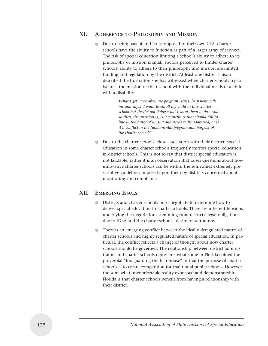# **XI. ADHERENCE TO PHILOSOPHY AND MISSION**

Due to being part of an LEA as opposed to their own LEA, charter schools have the ability to function as part of a larger array of services. The risk of special education limiting a school's ability to adhere to its philosophy or mission is small. Factors perceived to hinder charter schools' ability to adhere to their philosophy and mission are limited funding and regulation by the district. At least one district liaison described the frustration she has witnessed when charter schools try to balance the mission of their school with the individual needs of a child with a disability.

> *What I get more often are program issues. [A parent calls me and says] 'I want to enroll my child in this charter school but they're not doing what I want them to do.' And so then, the question is, is it something that should fall in line in the range of an IEP and needs to be addressed, or is it a conflict in the fundamental program and purpose of the charter school?*

Due to the charter schools' close association with their district, special education in some charter schools frequently mirrors special education in district schools. This is not to say that district special education is not laudable; rather it is an observation that raises questions about how innovative charter schools can be within the sometimes extremely prescriptive guidelines imposed upon them by districts concerned about monitoring and compliance.

# **XII EMERGING ISSUES**

- Districts and charter schools must negotiate to determine how to deliver special education in charter schools. There are inherent tensions underlying the negotiations stemming from districts' legal obligations due to IDEA and the charter schools' desire for autonomy.
- There is an emerging conflict between the ideally deregulated nature of charter schools and highly regulated nature of special education. In particular, the conflict reflects a change of thought about how charter schools should be governed. The relationship between district administrators and charter schools represents what some in Florida coined the proverbial "fox guarding the hen house" in that the purpose of charter schools is to create competition for traditional public schools. However, the somewhat uncomfortable reality expressed and demonstrated in Florida is that charter schools benefit from having a relationship with their district.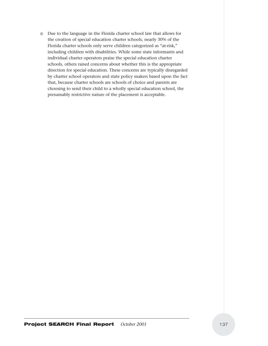● Due to the language in the Florida charter school law that allows for the creation of special education charter schools, nearly 30% of the Florida charter schools only serve children categorized as "at-risk," including children with disabilities. While some state informants and individual charter operators praise the special education charter schools, others raised concerns about whether this is the appropriate direction for special education. These concerns are typically disregarded by charter school operators and state policy makers based upon the fact that, because charter schools are schools of choice and parents are choosing to send their child to a wholly special education school, the presumably restrictive nature of the placement is acceptable.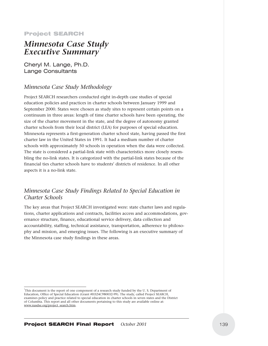#### Project SEARCH

# *Minnesota Case Study*  **Executive Summary**

Cheryl M. Lange, Ph.D. Lange Consultants

## *Minnesota Case Study Methodology*

Project SEARCH researchers conducted eight in-depth case studies of special education policies and practices in charter schools between January 1999 and September 2000. States were chosen as study sites to represent certain points on a continuum in three areas: length of time charter schools have been operating, the size of the charter movement in the state, and the degree of autonomy granted charter schools from their local district (LEA) for purposes of special education. Minnesota represents a first-generation charter school state, having passed the first charter law in the United States in 1991. It had a medium number of charter schools with approximately 50 schools in operation when the data were collected. The state is considered a partial-link state with characteristics more closely resembling the no-link states. It is categorized with the partial-link states because of the financial ties charter schools have to students' districts of residence. In all other aspects it is a no-link state.

# *Minnesota Case Study Findings Related to Special Education in Charter Schools*

The key areas that Project SEARCH investigated were: state charter laws and regulations, charter applications and contracts, facilities access and accommodations, governance structure, finance, educational service delivery, data collection and accountability, staffing, technical assistance, transportation, adherence to philosophy and mission, and emerging issues. The following is an executive summary of the Minnesota case study findings in these areas.

This document is the report of one component of a research study funded by the U.S. Department of Education, Office of Special Education (Grant #H324C980032-99). The study, called Project SEARCH, examines policy and practice related to special education in charter schools in seven states and the District of Columbia. This report and all other documents pertaining to this study are available online at: www.nasdse.org/project\_search.htm.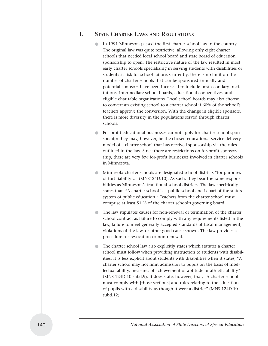# **I. STATE CHARTER LAWS AND REGULATIONS**

- In 1991 Minnesota passed the first charter school law in the country. The original law was quite restrictive, allowing only eight charter schools that needed local school board and state board of education sponsorship to open. The restrictive nature of the law resulted in most early charter schools specializing in serving students with disabilities or students at risk for school failure. Currently, there is no limit on the number of charter schools that can be sponsored annually and potential sponsors have been increased to include postsecondary institutions, intermediate school boards, educational cooperatives, and eligible charitable organizations. Local school boards may also choose to convert an existing school to a charter school if 60% of the school's teachers approve the conversion. With the change in eligible sponsors, there is more diversity in the populations served through charter schools.
- For-profit educational businesses cannot apply for charter school sponsorship; they may, however, be the chosen educational service delivery model of a charter school that has received sponsorship via the rules outlined in the law. Since there are restrictions on for-profit sponsorship, there are very few for-profit businesses involved in charter schools in Minnesota.
- Minnesota charter schools are designated school districts "for purposes of tort liability…" (MNS124D.10). As such, they bear the same responsibilities as Minnesota's traditional school districts. The law specifically states that, "A charter school is a public school and is part of the state's system of public education." Teachers from the charter school must comprise at least 51 % of the charter school's governing board.
- The law stipulates causes for non-renewal or termination of the charter school contract as failure to comply with any requirements listed in the law, failure to meet generally accepted standards of fiscal management, violations of the law, or other good cause shown. The law provides a procedure for revocation or non-renewal.
- The charter school law also explicitly states which statutes a charter school must follow when providing instruction to students with disabilities. It is less explicit about students with disabilities when it states, "A charter school may not limit admission to pupils on the basis of intellectual ability, measures of achievement or aptitude or athletic ability" (MNS 124D.10 subd.9). It does state, however, that, "A charter school must comply with [those sections] and rules relating to the education of pupils with a disability as though it were a district" (MNS 124D.10 subd.12).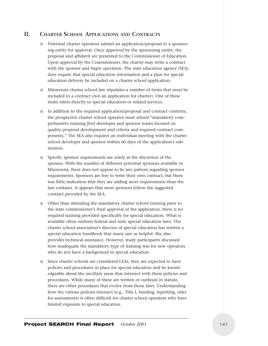## **II. CHARTER SCHOOL APPLICATIONS AND CONTRACTS**

- Potential charter operators submit an application/proposal to a sponsoring entity for approval. Once approved by the sponsoring entity, the proposal and affidavit are presented to the Commissioner of Education. Upon approval by the Commissioner, the charter may write a contract with the sponsor and begin operation. The state education agency (SEA) does require that special education information and a plan for special education delivery be included on a charter school application.
- Minnesota charter school law stipulates a number of items that must be included in a contract (not an application for charter). One of these items refers directly to special education or related services.
- In addition to the required application/proposal and contract contents, the prospective charter school operator must attend "mandatory comprehensive training [for] developer and sponsor teams focused on quality proposal development and criteria and required contract components." The SEA also requires an individual meeting with the charter school developer and sponsor within 60 days of the application's submission.
- Specific sponsor requirements are solely at the discretion of the sponsor. With the number of different potential sponsors available in Minnesota, there does not appear to be any pattern regarding sponsor requirements. Sponsors are free to write their own contract, but there was little indication that they are adding more requirements than the law contains. It appears that most sponsors follow the suggested contract provided by the SEA.
- Other than attending the mandatory charter school training prior to the state commissioner's final approval of the application, there is no required training provided specifically for special education. What is available often outlines federal and state special education laws. The charter school association's director of special education has written a special education handbook that many saw as helpful. She also provides technical assistance. However, study participants discussed how inadequate the mandatory type of training was for new operators who do not have a background in special education.
- Since charter schools are considered LEAs, they are expected to have policies and procedures in place for special education and be knowledgeable about the ancillary areas that intersect with these policies and procedures. While many of these are written or outlined in statute, there are other procedures that evolve from those laws. Understanding how the various policies intersect (e.g., Title I, funding, reporting, rules for assessments) is often difficult for charter school operators who have limited exposure to special education.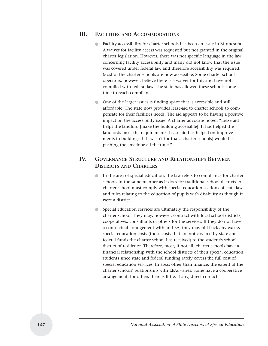### **III. FACILITIES AND ACCOMMODATIONS**

- Facility accessibility for charter schools has been an issue in Minnesota. A waiver for facility access was requested but not granted in the original charter legislation. However, there was not specific language in the law concerning facility accessibility and many did not know that the issue was covered under federal law and therefore accessibility was required. Most of the charter schools are now accessible. Some charter school operators, however, believe there is a waiver for this and have not complied with federal law. The state has allowed these schools some time to reach compliance.
- One of the larger issues is finding space that is accessible and still affordable. The state now provides lease-aid to charter schools to compensate for their facilities needs. The aid appears to be having a positive impact on the accessibility issue. A charter advocate noted, "Lease-aid helps the landlord [make the building accessible]. It has helped the landlords meet the requirements. Lease-aid has helped on improvements to buildings. If it wasn't for that, [charter schools] would be pushing the envelope all the time."

# **IV. GOVERNANCE STRUCTURE AND RELATIONSHIPS BETWEEN DISTRICTS AND CHARTERS**

- In the area of special education, the law refers to compliance for charter schools in the same manner as it does for traditional school districts. A charter school must comply with special education sections of state law and rules relating to the education of pupils with disability as though it were a district.
- Special education services are ultimately the responsibility of the charter school. They may, however, contract with local school districts, cooperatives, consultants or others for the services. If they do not have a contractual arrangement with an LEA, they may bill back any excess special education costs (those costs that are not covered by state and federal funds the charter school has received) to the student's school district of residence. Therefore, most, if not all, charter schools have a financial relationship with the school districts of their special education students since state and federal funding rarely covers the full cost of special education services. In areas other than finance, the extent of the charter schools' relationship with LEAs varies. Some have a cooperative arrangement; for others there is little, if any, direct contact.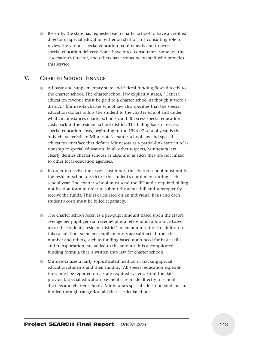● Recently, the state has requested each charter school to have a certified director of special education either on staff or in a consulting role to review the various special education requirements and to oversee special education delivery. Some have hired consultants, some use the association's director, and others have someone on staff who provides this service.

## **V. CHARTER SCHOOL FINANCE**

- All basic and supplementary state and federal funding flows directly to the charter school. The charter school law explicitly states, "General education revenue must be paid to a charter school as though it were a district." Minnesota charter school law also specifies that the special education dollars follow the student to the charter school and under what circumstances charter schools can bill excess special education costs back to the resident school district. The billing back of excess special education costs, beginning in the 1996-97 school year, is the only characteristic of Minnesota's charter school law and special education interface that defines Minnesota as a partial-link state in relationship to special education. In all other respects, Minnesota law clearly defines charter schools as LEAs and as such they are not linked to other local education agencies.
- In order to receive the excess cost funds, the charter school must notify the resident school district of the student's enrollment during each school year. The charter school must send the IEP and a required billing notification form in order to submit the actual bill and subsequently receive the funds. This is calculated on an individual basis and each student's costs must be billed separately.
- The charter school receives a per-pupil amount based upon the state's average per-pupil general revenue plus a referendum allowance based upon the student's resident district's referendum status. In addition to this calculation, some per-pupil amounts are subtracted from this number and others, such as funding based upon need for basic skills and transportation, are added to the amount. It is a complicated funding formula that is written into law for charter schools.
- Minnesota uses a fairly sophisticated method of tracking special education students and their funding. All special education expenditures must be reported on a state-required system. From the data provided, special education payments are made directly to school districts and charter schools. Minnesota's special education students are funded through categorical aid that is calculated on: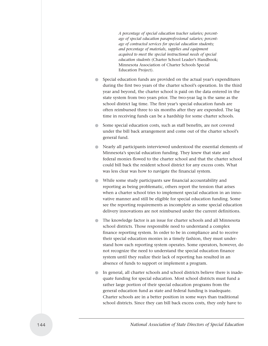*A percentage of special education teacher salaries; percentage of special education paraprofessional salaries; percentage of contracted services for special education students; and percentage of materials, supplies and equipment acquired to meet the special instructional needs of special education students* (Charter School Leader's Handbook; Minnesota Association of Charter Schools Special Education Project).

- Special education funds are provided on the actual year's expenditures during the first two years of the charter school's operation. In the third year and beyond, the charter school is paid on the data entered in the state system from two years prior. The two-year lag is the same as the school district lag time. The first year's special education funds are often reimbursed three to six months after they are expended. The lag time in receiving funds can be a hardship for some charter schools.
- Some special education costs, such as staff benefits, are not covered under the bill back arrangement and come out of the charter school's general fund.
- Nearly all participants interviewed understood the essential elements of Minnesota's special education funding. They knew that state and federal monies flowed to the charter school and that the charter school could bill back the resident school district for any excess costs. What was less clear was how to navigate the financial system.
- While some study participants saw financial accountability and reporting as being problematic, others report the tension that arises when a charter school tries to implement special education in an innovative manner and still be eligible for special education funding. Some see the reporting requirements as incomplete as some special education delivery innovations are not reimbursed under the current definitions.
- The knowledge factor is an issue for charter schools and all Minnesota school districts. Those responsible need to understand a complex finance reporting system. In order to be in compliance and to receive their special education monies in a timely fashion, they must understand how each reporting system operates. Some operators, however, do not recognize the need to understand the special education finance system until they realize their lack of reporting has resulted in an absence of funds to support or implement a program.
- In general, all charter schools and school districts believe there is inadequate funding for special education. Most school districts must fund a rather large portion of their special education programs from the general education fund as state and federal funding is inadequate. Charter schools are in a better position in some ways than traditional school districts. Since they can bill back excess costs, they only have to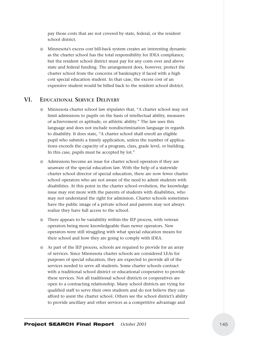pay those costs that are not covered by state, federal, or the resident school district.

● Minnesota's excess cost bill-back system creates an interesting dynamic as the charter school has the total responsibility for IDEA compliance, but the resident school district must pay for any costs over and above state and federal funding. The arrangement does, however, protect the charter school from the concerns of bankruptcy if faced with a high cost special education student. In that case, the excess cost of an expensive student would be billed back to the resident school district.

### **VI. EDUCATIONAL SERVICE DELIVERY**

- Minnesota charter school law stipulates that, "A charter school may not limit admissions to pupils on the basis of intellectual ability, measures of achievement or aptitude, or athletic ability." The law uses this language and does not include nondiscrimination language in regards to disability. It does state, "A charter school shall enroll an eligible pupil who submits a timely application, unless the number of applications exceeds the capacity of a program, class, grade level, or building. In this case, pupils must be accepted by lot."
- Admissions become an issue for charter school operators if they are unaware of the special education law. With the help of a statewide charter school director of special education, there are now fewer charter school operators who are not aware of the need to admit students with disabilities. At this point in the charter school evolution, the knowledge issue may rest more with the parents of students with disabilities, who may not understand the right for admission. Charter schools sometimes have the public image of a private school and parents may not always realize they have full access to the school.
- There appears to be variability within the IEP process, with veteran operators being more knowledgeable than newer operators. New operators were still struggling with what special education means for their school and how they are going to comply with IDEA.
- As part of the IEP process, schools are required to provide for an array of services. Since Minnesota charter schools are considered LEAs for purposes of special education, they are expected to provide all of the services needed to serve all students. Some charter schools contract with a traditional school district or educational cooperative to provide these services. Not all traditional school districts or cooperatives are open to a contracting relationship. Many school districts are vying for qualified staff to serve their own students and do not believe they can afford to assist the charter school. Others see the school district's ability to provide ancillary and other services as a competitive advantage and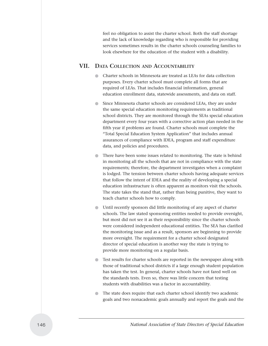feel no obligation to assist the charter school. Both the staff shortage and the lack of knowledge regarding who is responsible for providing services sometimes results in the charter schools counseling families to look elsewhere for the education of the student with a disability.

# **VII. DATA COLLECTION AND ACCOUNTABILITY**

- Charter schools in Minnesota are treated as LEAs for data collection purposes. Every charter school must complete all forms that are required of LEAs. That includes financial information, general education enrollment data, statewide assessments, and data on staff.
- Since Minnesota charter schools are considered LEAs, they are under the same special education monitoring requirements as traditional school districts. They are monitored through the SEAs special education department every four years with a corrective action plan needed in the fifth year if problems are found. Charter schools must complete the "Total Special Education System Application" that includes annual assurances of compliance with IDEA, program and staff expenditure data, and policies and procedures.
- There have been some issues related to monitoring. The state is behind in monitoring all the schools that are not in compliance with the state requirements; therefore, the department investigates when a complaint is lodged. The tension between charter schools having adequate services that follow the intent of IDEA and the reality of developing a special education infrastructure is often apparent as monitors visit the schools. The state takes the stand that, rather than being punitive, they want to teach charter schools how to comply.
- Until recently sponsors did little monitoring of any aspect of charter schools. The law stated sponsoring entities needed to provide oversight, but most did not see it as their responsibility since the charter schools were considered independent educational entities. The SEA has clarified the monitoring issue and as a result, sponsors are beginning to provide more oversight. The requirement for a charter school designated director of special education is another way the state is trying to provide more monitoring on a regular basis.
- Test results for charter schools are reported in the newspaper along with those of traditional school districts if a large enough student population has taken the test. In general, charter schools have not fared well on the standards tests. Even so, there was little concern that testing students with disabilities was a factor in accountability.
- The state does require that each charter school identify two academic goals and two nonacademic goals annually and report the goals and the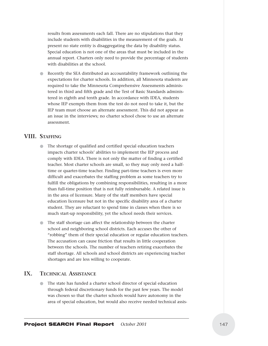results from assessments each fall. There are no stipulations that they include students with disabilities in the measurement of the goals. At present no state entity is disaggregating the data by disability status. Special education is not one of the areas that must be included in the annual report. Charters only need to provide the percentage of students with disabilities at the school.

Recently the SEA distributed an accountability framework outlining the expectations for charter schools. In addition, all Minnesota students are required to take the Minnesota Comprehensive Assessments administered in third and fifth grade and the Test of Basic Standards administered in eighth and tenth grade. In accordance with IDEA, students whose IEP exempts them from the test do not need to take it, but the IEP team must choose an alternate assessment. This did not appear as an issue in the interviews; no charter school chose to use an alternate assessment.

## **VIII. STAFFING**

- The shortage of qualified and certified special education teachers impacts charter schools' abilities to implement the IEP process and comply with IDEA. There is not only the matter of finding a certified teacher. Most charter schools are small, so they may only need a halftime or quarter-time teacher. Finding part-time teachers is even more difficult and exacerbates the staffing problem as some teachers try to fulfill the obligations by combining responsibilities, resulting in a more than full-time position that is not fully reimbursable. A related issue is in the area of licensure. Many of the staff members have special education licensure but not in the specific disability area of a charter student. They are reluctant to spend time in classes when there is so much start-up responsibility, yet the school needs their services.
- The staff shortage can affect the relationship between the charter school and neighboring school districts. Each accuses the other of "robbing" them of their special education or regular education teachers. The accusation can cause friction that results in little cooperation between the schools. The number of teachers retiring exacerbates the staff shortage. All schools and school districts are experiencing teacher shortages and are less willing to cooperate.

### **IX. TECHNICAL ASSISTANCE**

The state has funded a charter school director of special education through federal discretionary funds for the past few years. The model was chosen so that the charter schools would have autonomy in the area of special education, but would also receive needed technical assis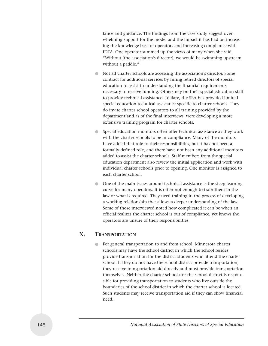tance and guidance. The findings from the case study suggest overwhelming support for the model and the impact it has had on increasing the knowledge base of operators and increasing compliance with IDEA. One operator summed up the views of many when she said, "Without [the association's director], we would be swimming upstream without a paddle."

- Not all charter schools are accessing the association's director. Some contract for additional services by hiring retired directors of special education to assist in understanding the financial requirements necessary to receive funding. Others rely on their special education staff to provide technical assistance. To date, the SEA has provided limited special education technical assistance specific to charter schools. They do invite charter school operators to all training provided by the department and as of the final interviews, were developing a more extensive training program for charter schools.
- Special education monitors often offer technical assistance as they work with the charter schools to be in compliance. Many of the monitors have added that role to their responsibilities, but it has not been a formally defined role, and there have not been any additional monitors added to assist the charter schools. Staff members from the special education department also review the initial application and work with individual charter schools prior to opening. One monitor is assigned to each charter school.
- One of the main issues around technical assistance is the steep learning curve for many operators. It is often not enough to train them in the law or what is required. They need training in the process of developing a working relationship that allows a deeper understanding of the law. Some of those interviewed noted how complicated it can be when an official realizes the charter school is out of compliance, yet knows the operators are unsure of their responsibilities.

### **X. TRANSPORTATION**

For general transportation to and from school, Minnesota charter schools may have the school district in which the school resides provide transportation for the district students who attend the charter school. If they do not have the school district provide transportation, they receive transportation aid directly and must provide transportation themselves. Neither the charter school nor the school district is responsible for providing transportation to students who live outside the boundaries of the school district in which the charter school is located. Such students may receive transportation aid if they can show financial need.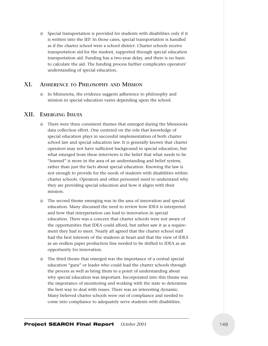● Special transportation is provided for students with disabilities only if it is written into the IEP. In those cases, special transportation is handled as if the charter school were a school district. Charter schools receive transportation aid for the student, supported through special education transportation aid. Funding has a two-year delay, and there is no basis to calculate the aid. The funding process further complicates operators' understanding of special education.

## **XI. ADHERENCE TO PHILOSOPHY AND MISSION**

● In Minnesota, the evidence suggests adherence to philosophy and mission in special education varies depending upon the school.

### **XII. EMERGING ISSUES**

- There were three consistent themes that emerged during the Minnesota data collection effort. One centered on the role that knowledge of special education plays in successful implementation of both charter school law and special education law. It is generally known that charter operators may not have sufficient background in special education, but what emerged from these interviews is the belief that what needs to be "learned" is more in the area of an understanding and belief system, rather than just the facts about special education. Knowing the law is not enough to provide for the needs of students with disabilities within charter schools. Operators and other personnel need to understand why they are providing special education and how it aligns with their mission.
- The second theme emerging was in the area of innovation and special education. Many discussed the need to review how IDEA is interpreted and how that interpretation can lead to innovation in special education. There was a concern that charter schools were not aware of the opportunities that IDEA could afford, but rather saw it as a requirement they had to meet. Nearly all agreed that the charter school staff had the best interests of the students at heart and that the view of IDEA as an endless paper production line needed to be shifted to IDEA as an opportunity for innovation.
- The third theme that emerged was the importance of a central special education "guru" or leader who could lead the charter schools through the process as well as bring them to a point of understanding about why special education was important. Incorporated into this theme was the importance of monitoring and working with the state to determine the best way to deal with issues. There was an interesting dynamic. Many believed charter schools were out of compliance and needed to come into compliance to adequately serve students with disabilities.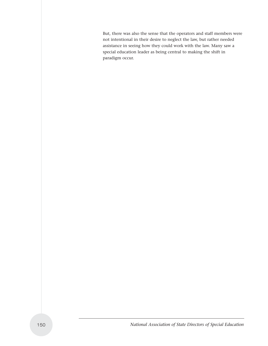But, there was also the sense that the operators and staff members were not intentional in their desire to neglect the law, but rather needed assistance in seeing how they could work with the law. Many saw a special education leader as being central to making the shift in paradigm occur.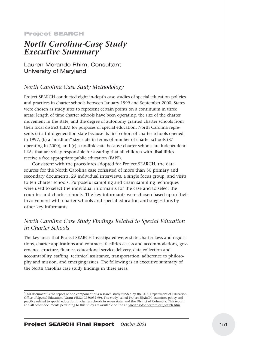#### Project SEARCH

# *North Carolina-Case Study Executive Summary1*

Lauren Morando Rhim, Consultant University of Maryland

# *North Carolina Case Study Methodology*

Project SEARCH conducted eight in-depth case studies of special education policies and practices in charter schools between January 1999 and September 2000. States were chosen as study sites to represent certain points on a continuum in three areas: length of time charter schools have been operating, the size of the charter movement in the state, and the degree of autonomy granted charter schools from their local district (LEA) for purposes of special education. North Carolina represents (a) a third generation state because its first cohort of charter schools opened in 1997, (b) a "medium" size state in terms of number of charter schools (87 operating in 2000), and (c) a no-link state because charter schools are independent LEAs that are solely responsible for assuring that all children with disabilities receive a free appropriate public education (FAPE).

Consistent with the procedures adopted for Project SEARCH, the data sources for the North Carolina case consisted of more than 50 primary and secondary documents, 29 individual interviews, a single focus group, and visits to ten charter schools. Purposeful sampling and chain sampling techniques were used to select the individual informants for the case and to select the counties and charter schools. The key informants were chosen based upon their involvement with charter schools and special education and suggestions by other key informants.

# *North Carolina Case Study Findings Related to Special Education in Charter Schools*

The key areas that Project SEARCH investigated were: state charter laws and regulations, charter applications and contracts, facilities access and accommodations, governance structure, finance, educational service delivery, data collection and accountability, staffing, technical assistance, transportation, adherence to philosophy and mission, and emerging issues. The following is an executive summary of the North Carolina case study findings in these areas.

<sup>1</sup> This document is the report of one component of a research study funded by the U. S. Department of Education, Office of Special Education (Grant #H324C980032-99). The study, called Project SEARCH, examines policy and practice related to special education in charter schools in seven states and the District of Columbia. This report and all other documents pertaining to this study are available online at: www.nasdse.org/project\_search.htm.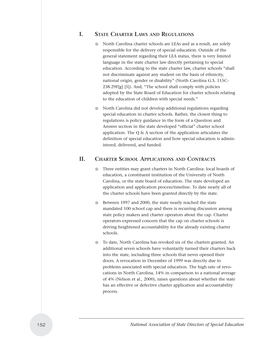### **I. STATE CHARTER LAWS AND REGULATIONS**

- North Carolina charter schools are LEAs and as a result, are solely responsible for the delivery of special education. Outside of the general statement regarding their LEA status, there is very limited language in the state charter law directly pertaining to special education. According to the state charter law, charter schools "shall not discriminate against any student on the basis of ethnicity, national origin, gender or disability" (North Carolina G.S. 115C-238.29F[g] [5]). And, "The school shall comply with policies adopted by the State Board of Education for charter schools relating to the education of children with special needs."
- North Carolina did not develop additional regulations regarding special education in charter schools. Rather, the closest thing to regulations is policy guidance in the form of a Question and Answer section in the state developed "official" charter school application. The Q & A section of the application articulates the definition of special education and how special education is administered, delivered, and funded.

## **II. CHARTER SCHOOL APPLICATIONS AND CONTRACTS**

- Three entities may grant charters in North Carolina: local boards of education, a constituent institution of the University of North Carolina, or the state board of education. The state developed an application and application process/timeline. To date nearly all of the charter schools have been granted directly by the state.
- Between 1997 and 2000, the state nearly reached the state mandated 100 school cap and there is recurring discussion among state policy makers and charter operators about the cap. Charter operators expressed concern that the cap on charter schools is driving heightened accountability for the already existing charter schools.
- To date, North Carolina has revoked six of the charters granted. An additional seven schools have voluntarily turned their charters back into the state, including three schools that never opened their doors. A revocation in December of 1999 was directly due to problems associated with special education. The high rate of revocations in North Carolina, 14% in comparison to a national average of 4% (Nelson et al., 2000), raises questions about whether the state has an effective or defective charter application and accountability process.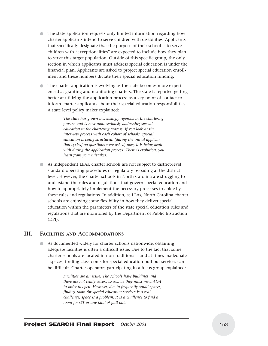- The state application requests only limited information regarding how charter applicants intend to serve children with disabilities. Applicants that specifically designate that the purpose of their school is to serve children with "exceptionalities" are expected to include how they plan to serve this target population. Outside of this specific group, the only section in which applicants must address special education is under the financial plan. Applicants are asked to project special education enrollment and these numbers dictate their special education funding.
- The charter application is evolving as the state becomes more experienced at granting and monitoring charters. The state is reported getting better at utilizing the application process as a key point of contact to inform charter applicants about their special education responsibilities. A state level policy maker explained:

*The state has grown increasingly rigorous in the chartering process and is now more seriously addressing special education in the chartering process. If you look at the interview process with each cohort of schools, special education is being structured, [during the initial application cycles] no questions were asked, now, it is being dealt with during the application process. There is evolution, you learn from your mistakes.* 

● As independent LEAs, charter schools are not subject to district-level standard operating procedures or regulatory reloading at the district level. However, the charter schools in North Carolina are struggling to understand the rules and regulations that govern special education and how to appropriately implement the necessary processes to abide by these rules and regulations. In addition, as LEAs, North Carolina charter schools are enjoying some flexibility in how they deliver special education within the parameters of the state special education rules and regulations that are monitored by the Department of Public Instruction (DPI).

### **III. FACILITIES AND ACCOMMODATIONS**

As documented widely for charter schools nationwide, obtaining adequate facilities is often a difficult issue. Due to the fact that some charter schools are located in non-traditional - and at times inadequate - spaces, finding classrooms for special education pull-out services can be difficult. Charter operators participating in a focus group explained:

> *Facilities are an issue. The schools have buildings and there are not really access issues, as they must meet ADA in order to open. However, due to frequently small spaces, finding room for special education services is a real challenge, space is a problem. It is a challenge to find a room for OT or any kind of pull-out.*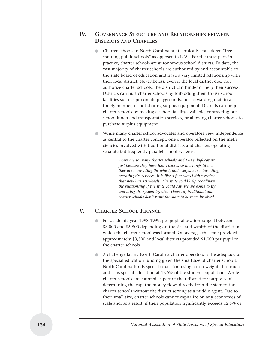# **IV. GOVERNANCE STRUCTURE AND RELATIONSHIPS BETWEEN DISTRICTS AND CHARTERS**

- Charter schools in North Carolina are technically considered "freestanding public schools" as opposed to LEAs. For the most part, in practice, charter schools are autonomous school districts. To date, the vast majority of charter schools are authorized by and accountable to the state board of education and have a very limited relationship with their local district. Nevertheless, even if the local district does not authorize charter schools, the district can hinder or help their success. Districts can hurt charter schools by forbidding them to use school facilities such as proximate playgrounds, not forwarding mail in a timely manner, or not sharing surplus equipment. Districts can help charter schools by making a school facility available, contracting out school lunch and transportation services, or allowing charter schools to purchase surplus equipment.
- While many charter school advocates and operators view independence as central to the charter concept, one operator reflected on the inefficiencies involved with traditional districts and charters operating separate but frequently parallel school systems:

*There are so many charter schools and LEAs duplicating just because they have too. There is so much repetition, they are reinventing the wheel, and everyone is reinventing, repeating the services. It is like a four-wheel drive vehicle that now has 10 wheels. The state could help coordinate the relationship if the state could say, we are going to try and bring the system together. However, traditional and charter schools don't want the state to be more involved.*

# **V. CHARTER SCHOOL FINANCE**

- For academic year 1998-1999, per pupil allocation ranged between \$3,000 and \$5,500 depending on the size and wealth of the district in which the charter school was located. On average, the state provided approximately \$3,500 and local districts provided \$1,000 per pupil to the charter schools.
- A challenge facing North Carolina charter operators is the adequacy of the special education funding given the small size of charter schools. North Carolina funds special education using a non-weighted formula and caps special education at 12.5% of the student population. While charter schools are counted as part of their district for purposes of determining the cap, the money flows directly from the state to the charter schools without the district serving as a middle agent. Due to their small size, charter schools cannot capitalize on any economies of scale and, as a result, if their population significantly exceeds 12.5% or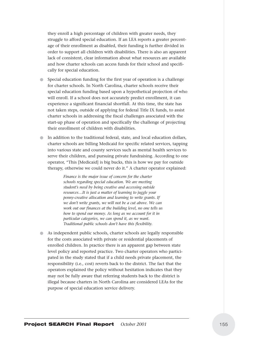they enroll a high percentage of children with greater needs, they struggle to afford special education. If an LEA reports a greater percentage of their enrollment as disabled, their funding is further divided in order to support all children with disabilities. There is also an apparent lack of consistent, clear information about what resources are available and how charter schools can access funds for their school and specifically for special education.

- Special education funding for the first year of operation is a challenge for charter schools. In North Carolina, charter schools receive their special education funding based upon a hypothetical projection of who will enroll. If a school does not accurately predict enrollment, it can experience a significant financial shortfall. At this time, the state has not taken steps, outside of applying for federal Title IX funds, to assist charter schools in addressing the fiscal challenges associated with the start-up phase of operation and specifically the challenge of projecting their enrollment of children with disabilities.
- In addition to the traditional federal, state, and local education dollars, charter schools are billing Medicaid for specific related services, tapping into various state and county services such as mental health services to serve their children, and pursuing private fundraising. According to one operator, "This [Medicaid] is big bucks, this is how we pay for outside therapy, otherwise we could never do it." A charter operator explained:

*Finance is the major issue of concern for the charter schools regarding special education. We are meeting student's need by being creative and accessing outside resources…It is just a matter of learning to juggle your penny-creative allocation and learning to write grants. If we don't write grants, we will not be a cut above. We can work out our finances at the building level, no one tells us how to spend our money. As long as we account for it in particular categories, we can spend it, as we want. Traditional public schools don't have this flexibility.*

● As independent public schools, charter schools are legally responsible for the costs associated with private or residential placements of enrolled children. In practice there is an apparent gap between state level policy and reported practice. Two charter operators who participated in the study stated that if a child needs private placement, the responsibility (i.e., cost) reverts back to the district. The fact that the operators explained the policy without hesitation indicates that they may not be fully aware that referring students back to the district is illegal because charters in North Carolina are considered LEAs for the purpose of special education service delivery.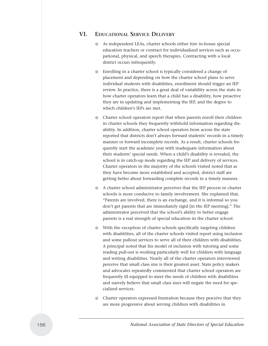## **VI. EDUCATIONAL SERVICE DELIVERY**

- As independent LEAs, charter schools either hire in-house special education teachers or contract for individualized services such as occupational, physical, and speech therapies. Contracting with a local district occurs infrequently.
- Enrolling in a charter school is typically considered a change of placement and depending on how the charter school plans to serve individual students with disabilities, enrollment should trigger an IEP review. In practice, there is a great deal of variability across the state in how charter operators learn that a child has a disability, how proactive they are in updating and implementing the IEP, and the degree to which children's IEPs are met.
- Charter school operators report that when parents enroll their children in charter schools they frequently withhold information regarding disability. In addition, charter school operators from across the state reported that districts don't always forward students' records in a timely manner or forward incomplete records. As a result, charter schools frequently start the academic year with inadequate information about their students' special needs. When a child's disability is revealed, the school is in catch-up mode regarding the IEP and delivery of services. Charter operators in the majority of the schools visited noted that as they have become more established and accepted, district staff are getting better about forwarding complete records in a timely manner.
- A charter school administrator perceives that the IEP process in charter schools is more conducive to family involvement. She explained that, "Parents are involved, there is an exchange, and it is informal so you don't get parents that are immediately rigid [in the IEP meeting]." The administrator perceived that the school's ability to better engage parents is a real strength of special education in the charter school.
- With the exception of charter schools specifically targeting children with disabilities, all of the charter schools visited report using inclusion and some pullout services to serve all of their children with disabilities. A principal noted that his model of inclusion with tutoring and some reading pull-out is working particularly well for children with language and writing disabilities. Nearly all of the charter operators interviewed perceive that small class size is their greatest asset. State policy makers and advocates repeatedly commented that charter school operators are frequently ill equipped to meet the needs of children with disabilities and naively believe that small class sizes will negate the need for specialized services.
- Charter operators expressed frustration because they perceive that they are more progressive about serving children with disabilities in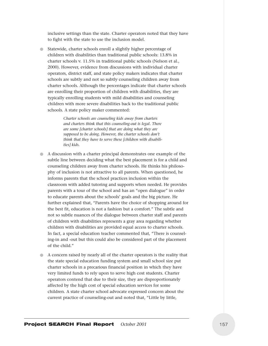inclusive settings than the state. Charter operators noted that they have to fight with the state to use the inclusion model.

● Statewide, charter schools enroll a slightly higher percentage of children with disabilities than traditional public schools: 13.8% in charter schools v. 11.5% in traditional public schools (Nelson et al., 2000). However, evidence from discussions with individual charter operators, district staff, and state policy makers indicates that charter schools are subtly and not so subtly counseling children away from charter schools. Although the percentages indicate that charter schools are enrolling their proportion of children with disabilities, they are typically enrolling students with mild disabilities and counseling children with more severe disabilities back to the traditional public schools. A state policy maker commented:

> *Charter schools are counseling kids away from charters and charters think that this counseling-out is legal. There are some [charter schools] that are doing what they are supposed to be doing. However, the charter schools don't think that they have to serve these [children with disabilities] kids.*

- A discussion with a charter principal demonstrates one example of the subtle line between deciding what the best placement is for a child and counseling children away from charter schools. He thinks his philosophy of inclusion is not attractive to all parents. When questioned, he informs parents that the school practices inclusion within the classroom with added tutoring and supports when needed. He provides parents with a tour of the school and has an "open dialogue" in order to educate parents about the schools' goals and the big picture. He further explained that, "Parents have the choice of shopping around for the best fit, education is not a fashion but a comfort." The subtle and not so subtle nuances of the dialogue between charter staff and parents of children with disabilities represents a gray area regarding whether children with disabilities are provided equal access to charter schools. In fact, a special education teacher commented that, "There is counseling-in and -out but this could also be considered part of the placement of the child."
- A concern raised by nearly all of the charter operators is the reality that the state special education funding system and small school size put charter schools in a precarious financial position in which they have very limited funds to rely upon to serve high cost students. Charter operators contend that due to their size, they are disproportionately affected by the high cost of special education services for some children. A state charter school advocate expressed concern about the current practice of counseling-out and noted that, "Little by little,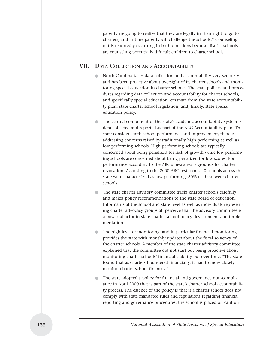parents are going to realize that they are legally in their right to go to charters, and in time parents will challenge the schools." Counselingout is reportedly occurring in both directions because district schools are counseling potentially difficult children to charter schools.

### **VII. DATA COLLECTION AND ACCOUNTABILITY**

- North Carolina takes data collection and accountability very seriously and has been proactive about oversight of its charter schools and monitoring special education in charter schools. The state policies and procedures regarding data collection and accountability for charter schools, and specifically special education, emanate from the state accountability plan, state charter school legislation, and, finally, state special education policy.
- The central component of the state's academic accountability system is data collected and reported as part of the ABC Accountability plan. The state considers both school performance and improvement, thereby addressing concerns raised by traditionally high performing as well as low performing schools. High performing schools are typically concerned about being penalized for lack of growth while low performing schools are concerned about being penalized for low scores. Poor performance according to the ABC's measures is grounds for charter revocation. According to the 2000 ABC test scores 40 schools across the state were characterized as low performing; 50% of these were charter schools.
- The state charter advisory committee tracks charter schools carefully and makes policy recommendations to the state board of education. Informants at the school and state level as well as individuals representing charter advocacy groups all perceive that the advisory committee is a powerful actor in state charter school policy development and implementation.
- The high level of monitoring, and in particular financial monitoring, provides the state with monthly updates about the fiscal solvency of the charter schools. A member of the state charter advisory committee explained that the committee did not start out being proactive about monitoring charter schools' financial stability but over time, "The state found that as charters floundered financially, it had to more closely monitor charter school finances."
- The state adopted a policy for financial and governance non-compliance in April 2000 that is part of the state's charter school accountability process. The essence of the policy is that if a charter school does not comply with state mandated rules and regulations regarding financial reporting and governance procedures, the school is placed on caution-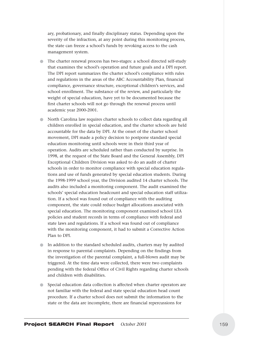ary, probationary, and finally disciplinary status. Depending upon the severity of the infraction, at any point during this monitoring process, the state can freeze a school's funds by revoking access to the cash management system.

- The charter renewal process has two-stages: a school directed self-study that examines the school's operation and future goals and a DPI report. The DPI report summarizes the charter school's compliance with rules and regulations in the areas of the ABC Accountability Plan, financial compliance, governance structure, exceptional children's services, and school enrollment. The substance of the review, and particularly the weight of special education, have yet to be documented because the first charter schools will not go through the renewal process until academic year 2000-2001.
- North Carolina law requires charter schools to collect data regarding all children enrolled in special education, and the charter schools are held accountable for the data by DPI. At the onset of the charter school movement, DPI made a policy decision to postpone standard special education monitoring until schools were in their third year of operation. Audits are scheduled rather than conducted by surprise. In 1998, at the request of the State Board and the General Assembly, DPI Exceptional Children Division was asked to do an audit of charter schools in order to monitor compliance with special education regulations and use of funds generated by special education students. During the 1998-1999 school year, the Division audited 14 charter schools. The audits also included a monitoring component. The audit examined the schools' special education headcount and special education staff utilization. If a school was found out of compliance with the auditing component, the state could reduce budget allocations associated with special education. The monitoring component examined school LEA policies and student records in terms of compliance with federal and state laws and regulations. If a school was found out of compliance with the monitoring component, it had to submit a Corrective Action Plan to DPI.
- In addition to the standard scheduled audits, charters may by audited in response to parental complaints. Depending on the findings from the investigation of the parental complaint, a full-blown audit may be triggered. At the time data were collected, there were two complaints pending with the federal Office of Civil Rights regarding charter schools and children with disabilities.
- Special education data collection is affected when charter operators are not familiar with the federal and state special education head count procedure. If a charter school does not submit the information to the state or the data are incomplete, there are financial repercussions for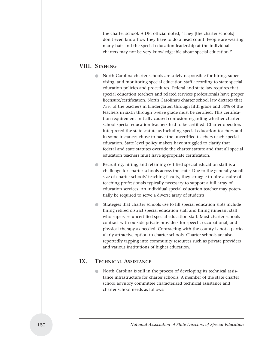the charter school. A DPI official noted, "They [the charter schools] don't even know how they have to do a head count. People are wearing many hats and the special education leadership at the individual charters may not be very knowledgeable about special education."

## **VIII. STAFFING**

- North Carolina charter schools are solely responsible for hiring, supervising, and monitoring special education staff according to state special education policies and procedures. Federal and state law requires that special education teachers and related services professionals have proper licensure/certification. North Carolina's charter school law dictates that 75% of the teachers in kindergarten through fifth grade and 50% of the teachers in sixth through twelve grade must be certified. This certification requirement initially caused confusion regarding whether charter school special education teachers had to be certified. Charter operators interpreted the state statute as including special education teachers and in some instances chose to have the uncertified teachers teach special education. State level policy makers have struggled to clarify that federal and state statutes override the charter statute and that all special education teachers must have appropriate certification.
- Recruiting, hiring, and retaining certified special education staff is a challenge for charter schools across the state. Due to the generally small size of charter schools' teaching faculty, they struggle to hire a cadre of teaching professionals typically necessary to support a full array of education services. An individual special education teacher may potentially be required to serve a diverse array of students.
- Strategies that charter schools use to fill special education slots include hiring retired district special education staff and hiring itinerant staff who supervise uncertified special education staff. Most charter schools contract with outside private providers for speech, occupational, and physical therapy as needed. Contracting with the county is not a particularly attractive option to charter schools. Charter schools are also reportedly tapping into community resources such as private providers and various institutions of higher education.

## **IX. TECHNICAL ASSISTANCE**

North Carolina is still in the process of developing its technical assistance infrastructure for charter schools. A member of the state charter school advisory committee characterized technical assistance and charter school needs as follows: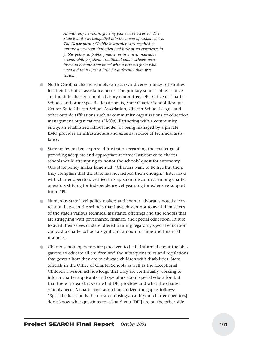*As with any newborn, growing pains have occurred. The State Board was catapulted into the arena of school choice. The Department of Public Instruction was required to nurture a newborn that often had little or no experience in public policy, in public finance, or in a new, malleable accountability system. Traditional public schools were forced to become acquainted with a new neighbor who often did things just a little bit differently than was custom.*

- North Carolina charter schools can access a diverse number of entities for their technical assistance needs. The primary sources of assistance are the state charter school advisory committee, DPI, Office of Charter Schools and other specific departments, State Charter School Resource Center, State Charter School Association, Charter School League and other outside affiliations such as community organizations or education management organizations (EMOs). Partnering with a community entity, an established school model, or being managed by a private EMO provides an infrastructure and external source of technical assistance.
- State policy makers expressed frustration regarding the challenge of providing adequate and appropriate technical assistance to charter schools while attempting to honor the schools' quest for autonomy. One state policy maker lamented, "Charters want to be free but then, they complain that the state has not helped them enough." Interviews with charter operators verified this apparent disconnect among charter operators striving for independence yet yearning for extensive support from DPI.
- Numerous state level policy makers and charter advocates noted a correlation between the schools that have chosen not to avail themselves of the state's various technical assistance offerings and the schools that are struggling with governance, finance, and special education. Failure to avail themselves of state offered training regarding special education can cost a charter school a significant amount of time and financial resources.
- Charter school operators are perceived to be ill informed about the obligations to educate all children and the subsequent rules and regulations that govern how they are to educate children with disabilities. State officials in the Office of Charter Schools as well as the Exceptional Children Division acknowledge that they are continually working to inform charter applicants and operators about special education but that there is a gap between what DPI provides and what the charter schools need. A charter operator characterized the gap as follows: "Special education is the most confusing area. If you [charter operators] don't know what questions to ask and you [DPI] are on the other side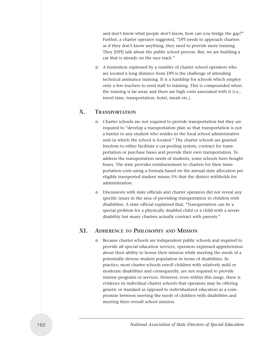and don't know what people don't know, how can you bridge the gap?" Further, a charter operator suggested, "DPI needs to approach charters as if they don't know anything, they need to provide more training. They [DPI] talk about the public school process. But, we are building a car that is already on the race track."

● A frustration expressed by a number of charter school operators who are located a long distance from DPI is the challenge of attending technical assistance training. It is a hardship for schools which employ only a few teachers to send staff to training. This is compounded when the training is far away and there are high costs associated with it (i.e., travel time, transportation, hotel, meals etc.).

### **X. TRANSPORTATION**

- Charter schools are not required to provide transportation but they are required to "develop a transportation plan so that transportation is not a barrier to any student who resides in the local school administrative unit in which the school is located." The charter schools are granted freedom to either facilitate a car-pooling system, contract for transportation or purchase buses and provide their own transportation. To address the transportation needs of students, some schools have bought buses. The state provides reimbursement to charters for their transportation costs using a formula based on the annual state allocation per eligible transported student minus 5% that the district withholds for administration.
- Discussions with state officials and charter operators did not reveal any specific issues in the area of providing transportation to children with disabilities. A state official explained that, "Transportation can be a special problem for a physically disabled child or a child with a severe disability but many charters actually contract with parents."

# **XI. ADHERENCE TO PHILOSOPHY AND MISSION**

● Because charter schools are independent public schools and required to provide all special education services, operators expressed apprehension about their ability to honor their mission while meeting the needs of a potentially diverse student population in terms of disabilities. In practice, most charter schools enroll children with relatively mild or moderate disabilities and consequently, are not required to provide intense programs or services. However, even within this range, there is evidence in individual charter schools that operators may be offering generic or standard as opposed to individualized education as a compromise between meeting the needs of children with disabilities and meeting their overall school mission.